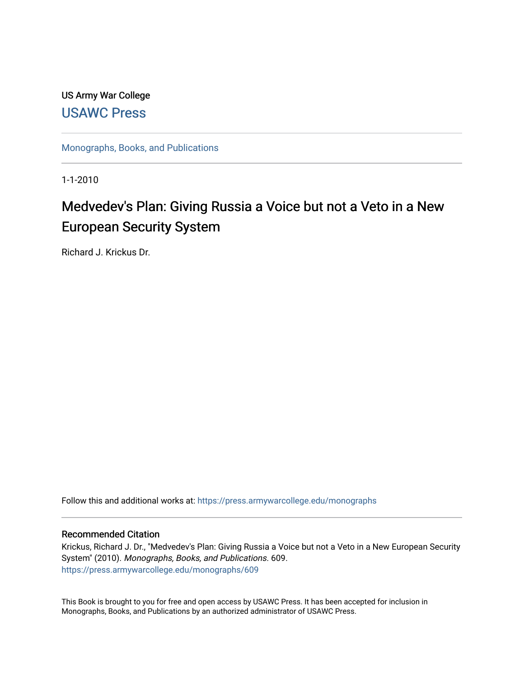## US Army War College [USAWC Press](https://press.armywarcollege.edu/)

[Monographs, Books, and Publications](https://press.armywarcollege.edu/monographs) 

1-1-2010

# Medvedev's Plan: Giving Russia a Voice but not a Veto in a New European Security System

Richard J. Krickus Dr.

Follow this and additional works at: [https://press.armywarcollege.edu/monographs](https://press.armywarcollege.edu/monographs?utm_source=press.armywarcollege.edu%2Fmonographs%2F609&utm_medium=PDF&utm_campaign=PDFCoverPages)

#### Recommended Citation

Krickus, Richard J. Dr., "Medvedev's Plan: Giving Russia a Voice but not a Veto in a New European Security System" (2010). Monographs, Books, and Publications. 609. [https://press.armywarcollege.edu/monographs/609](https://press.armywarcollege.edu/monographs/609?utm_source=press.armywarcollege.edu%2Fmonographs%2F609&utm_medium=PDF&utm_campaign=PDFCoverPages)

This Book is brought to you for free and open access by USAWC Press. It has been accepted for inclusion in Monographs, Books, and Publications by an authorized administrator of USAWC Press.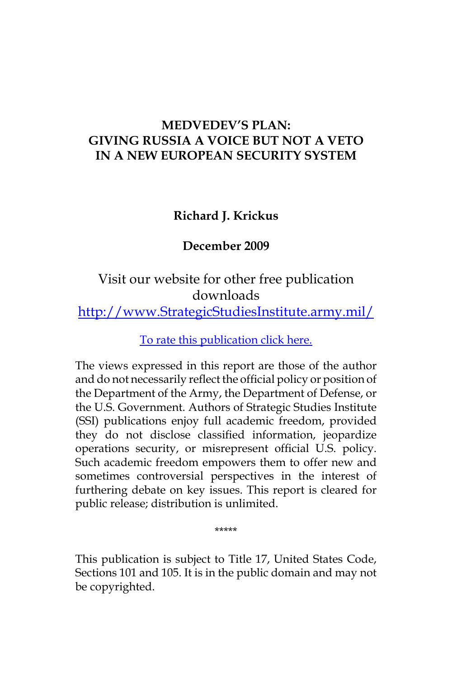#### **MEDVEDEV'S PLAN: GIVING RUSSIA A VOICE BUT NOT A VETO IN A NEW EUROPEAN SECURITY SYSTEM**

**Richard J. Krickus**

#### **December 2009**

### Visit our website for other free publication downloads http://www.StrategicStudiesInstitute.army.mil/

[To rate this publication click here.](http://www.strategicstudiesinstitute.army.mil/pubs/display.cfm?pubID=958)

The views expressed in this report are those of the author and do not necessarily reflect the official policy or position of the Department of the Army, the Department of Defense, or the U.S. Government. Authors of Strategic Studies Institute (SSI) publications enjoy full academic freedom, provided they do not disclose classified information, jeopardize operations security, or misrepresent official U.S. policy. Such academic freedom empowers them to offer new and sometimes controversial perspectives in the interest of furthering debate on key issues. This report is cleared for public release; distribution is unlimited.

\*\*\*\*\*

This publication is subject to Title 17, United States Code, Sections 101 and 105. It is in the public domain and may not be copyrighted.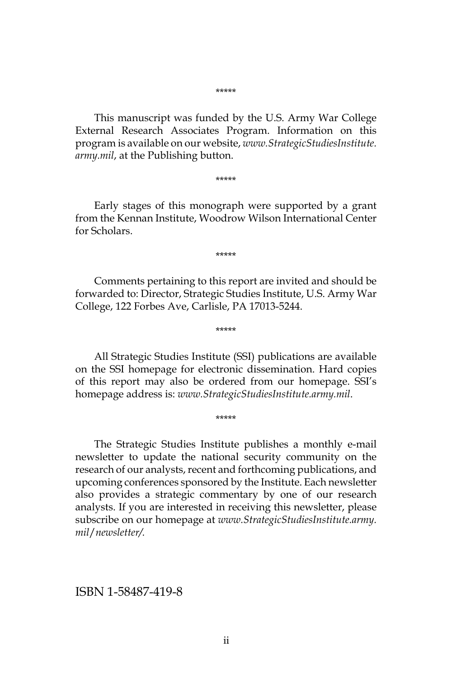#### \*\*\*\*\*

This manuscript was funded by the U.S. Army War College External Research Associates Program. Information on this program is available on our website, *www.StrategicStudiesInstitute. army.mil*, at the Publishing button.

\*\*\*\*\*

Early stages of this monograph were supported by a grant from the Kennan Institute, Woodrow Wilson International Center for Scholars.

\*\*\*\*\*

Comments pertaining to this report are invited and should be forwarded to: Director, Strategic Studies Institute, U.S. Army War College, 122 Forbes Ave, Carlisle, PA 17013-5244.

\*\*\*\*\*

All Strategic Studies Institute (SSI) publications are available on the SSI homepage for electronic dissemination. Hard copies of this report may also be ordered from our homepage. SSI's homepage address is: *www.StrategicStudiesInstitute.army.mil*.

\*\*\*\*\*

The Strategic Studies Institute publishes a monthly e-mail newsletter to update the national security community on the research of our analysts, recent and forthcoming publications, and upcoming conferences sponsored by the Institute. Each newsletter also provides a strategic commentary by one of our research analysts. If you are interested in receiving this newsletter, please subscribe on our homepage at *www.StrategicStudiesInstitute.army. mil*/*newsletter/.*

ISBN 1-58487-419-8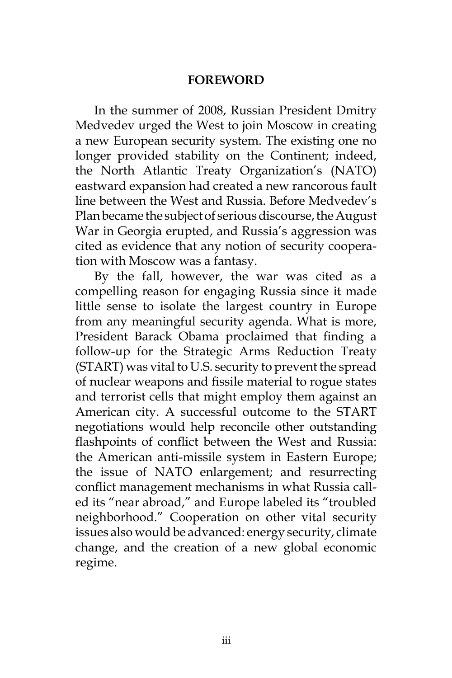#### **FOREWORD**

In the summer of 2008, Russian President Dmitry Medvedev urged the West to join Moscow in creating a new European security system. The existing one no longer provided stability on the Continent; indeed, the North Atlantic Treaty Organization's (NATO) eastward expansion had created a new rancorous fault line between the West and Russia. Before Medvedev's Plan became the subject of serious discourse, the August War in Georgia erupted, and Russia's aggression was cited as evidence that any notion of security cooperation with Moscow was a fantasy.

By the fall, however, the war was cited as a compelling reason for engaging Russia since it made little sense to isolate the largest country in Europe from any meaningful security agenda. What is more, President Barack Obama proclaimed that finding a follow-up for the Strategic Arms Reduction Treaty (START) was vital to U.S. security to prevent the spread of nuclear weapons and fissile material to rogue states and terrorist cells that might employ them against an American city. A successful outcome to the START negotiations would help reconcile other outstanding flashpoints of conflict between the West and Russia: the American anti-missile system in Eastern Europe; the issue of NATO enlargement; and resurrecting conflict management mechanisms in what Russia called its "near abroad," and Europe labeled its "troubled neighborhood." Cooperation on other vital security issues also would be advanced: energy security, climate change, and the creation of a new global economic regime.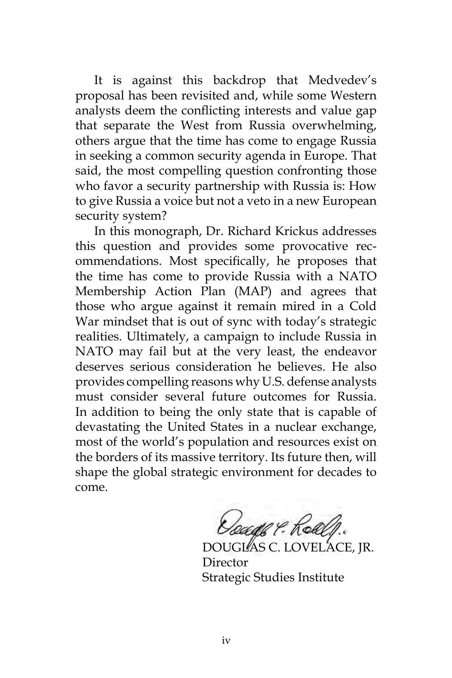It is against this backdrop that Medvedev's proposal has been revisited and, while some Western analysts deem the conflicting interests and value gap that separate the West from Russia overwhelming, others argue that the time has come to engage Russia in seeking a common security agenda in Europe. That said, the most compelling question confronting those who favor a security partnership with Russia is: How to give Russia a voice but not a veto in a new European security system?

In this monograph, Dr. Richard Krickus addresses this question and provides some provocative recommendations. Most specifically, he proposes that the time has come to provide Russia with a NATO Membership Action Plan (MAP) and agrees that those who argue against it remain mired in a Cold War mindset that is out of sync with today's strategic realities. Ultimately, a campaign to include Russia in NATO may fail but at the very least, the endeavor deserves serious consideration he believes. He also provides compelling reasons why U.S. defense analysts must consider several future outcomes for Russia. In addition to being the only state that is capable of devastating the United States in a nuclear exchange, most of the world's population and resources exist on the borders of its massive territory. Its future then, will shape the global strategic environment for decades to come.

Doagle 4. Roald.

DOUGLAS C. LOVELACE, JR. Director Strategic Studies Institute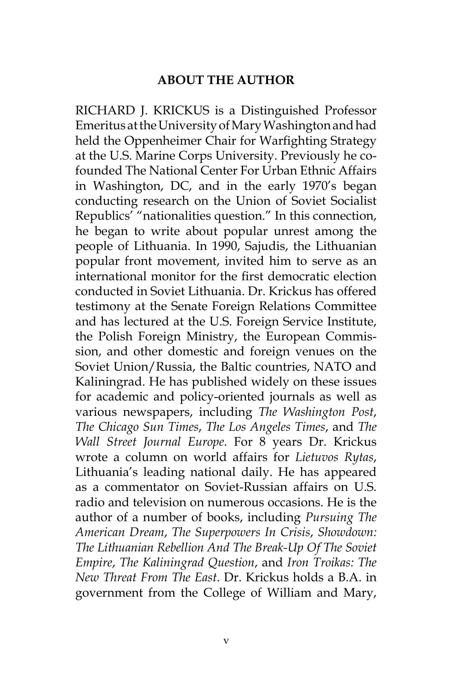#### **ABOUT THE AUTHOR**

RICHARD J. KRICKUS is a Distinguished Professor Emeritus at the University of Mary Washington and had held the Oppenheimer Chair for Warfighting Strategy at the U.S. Marine Corps University. Previously he cofounded The National Center For Urban Ethnic Affairs in Washington, DC, and in the early 1970's began conducting research on the Union of Soviet Socialist Republics' "nationalities question." In this connection, he began to write about popular unrest among the people of Lithuania. In 1990, Sajudis, the Lithuanian popular front movement, invited him to serve as an international monitor for the first democratic election conducted in Soviet Lithuania. Dr. Krickus has offered testimony at the Senate Foreign Relations Committee and has lectured at the U.S. Foreign Service Institute, the Polish Foreign Ministry, the European Commission, and other domestic and foreign venues on the Soviet Union/Russia, the Baltic countries, NATO and Kaliningrad. He has published widely on these issues for academic and policy-oriented journals as well as various newspapers, including *The Washington Post*, *The Chicago Sun Times*, *The Los Angeles Times*, and *The Wall Street Journal Europe*. For 8 years Dr. Krickus wrote a column on world affairs for *Lietuvos Rytas*, Lithuania's leading national daily. He has appeared as a commentator on Soviet-Russian affairs on U.S. radio and television on numerous occasions. He is the author of a number of books, including *Pursuing The American Dream*, *The Superpowers In Crisis*, *Showdown: The Lithuanian Rebellion And The Break-Up Of The Soviet Empire*, *The Kaliningrad Question*, and *Iron Troikas: The New Threat From The East*. Dr. Krickus holds a B.A. in government from the College of William and Mary,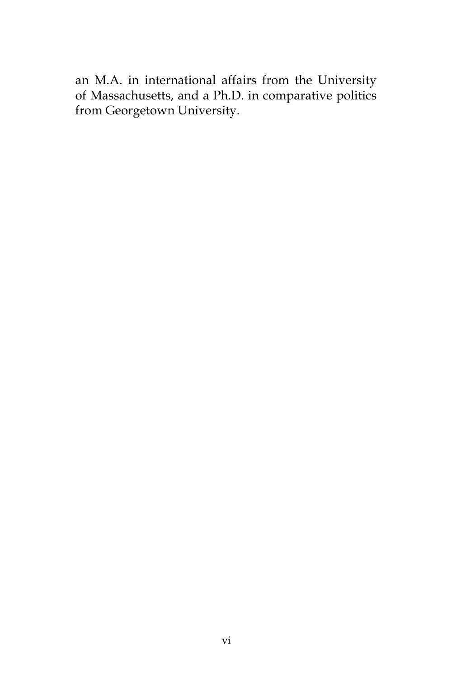an M.A. in international affairs from the University of Massachusetts, and a Ph.D. in comparative politics from Georgetown University.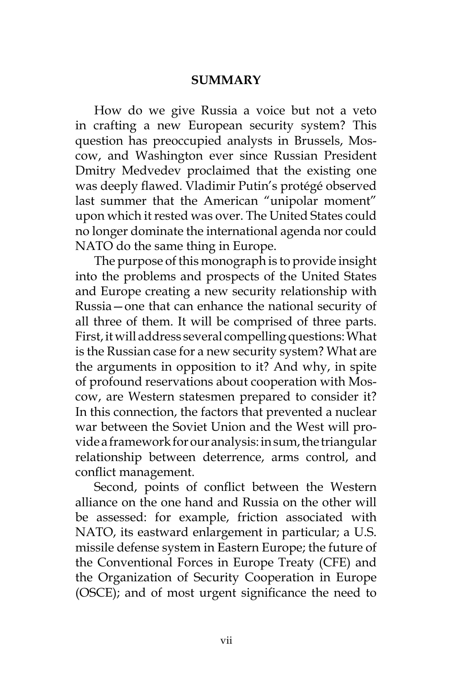#### **SUMMARY**

How do we give Russia a voice but not a veto in crafting a new European security system? This question has preoccupied analysts in Brussels, Moscow, and Washington ever since Russian President Dmitry Medvedev proclaimed that the existing one was deeply flawed. Vladimir Putin's protégé observed last summer that the American "unipolar moment" upon which it rested was over. The United States could no longer dominate the international agenda nor could NATO do the same thing in Europe.

The purpose of this monograph is to provide insight into the problems and prospects of the United States and Europe creating a new security relationship with Russia—one that can enhance the national security of all three of them. It will be comprised of three parts. First, it will address several compelling questions: What is the Russian case for a new security system? What are the arguments in opposition to it? And why, in spite of profound reservations about cooperation with Moscow, are Western statesmen prepared to consider it? In this connection, the factors that prevented a nuclear war between the Soviet Union and the West will provide a framework for our analysis: in sum, the triangular relationship between deterrence, arms control, and conflict management.

Second, points of conflict between the Western alliance on the one hand and Russia on the other will be assessed: for example, friction associated with NATO, its eastward enlargement in particular; a U.S. missile defense system in Eastern Europe; the future of the Conventional Forces in Europe Treaty (CFE) and the Organization of Security Cooperation in Europe (OSCE); and of most urgent significance the need to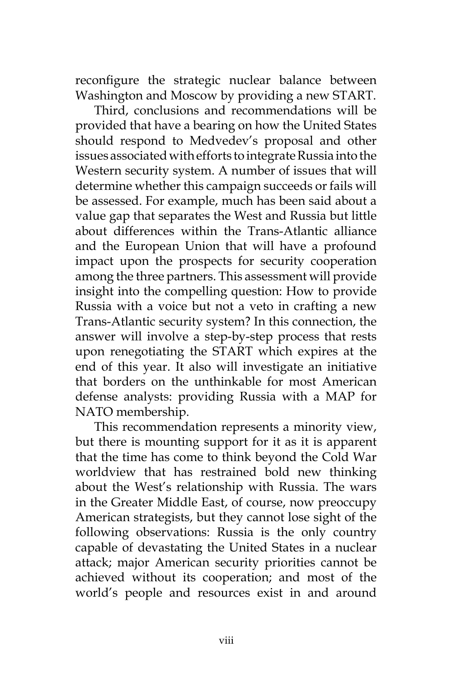reconfigure the strategic nuclear balance between Washington and Moscow by providing a new START.

Third, conclusions and recommendations will be provided that have a bearing on how the United States should respond to Medvedev's proposal and other issues associated with efforts to integrate Russia into the Western security system. A number of issues that will determine whether this campaign succeeds or fails will be assessed. For example, much has been said about a value gap that separates the West and Russia but little about differences within the Trans-Atlantic alliance and the European Union that will have a profound impact upon the prospects for security cooperation among the three partners. This assessment will provide insight into the compelling question: How to provide Russia with a voice but not a veto in crafting a new Trans-Atlantic security system? In this connection, the answer will involve a step-by-step process that rests upon renegotiating the START which expires at the end of this year. It also will investigate an initiative that borders on the unthinkable for most American defense analysts: providing Russia with a MAP for NATO membership.

This recommendation represents a minority view, but there is mounting support for it as it is apparent that the time has come to think beyond the Cold War worldview that has restrained bold new thinking about the West's relationship with Russia. The wars in the Greater Middle East, of course, now preoccupy American strategists, but they cannot lose sight of the following observations: Russia is the only country capable of devastating the United States in a nuclear attack; major American security priorities cannot be achieved without its cooperation; and most of the world's people and resources exist in and around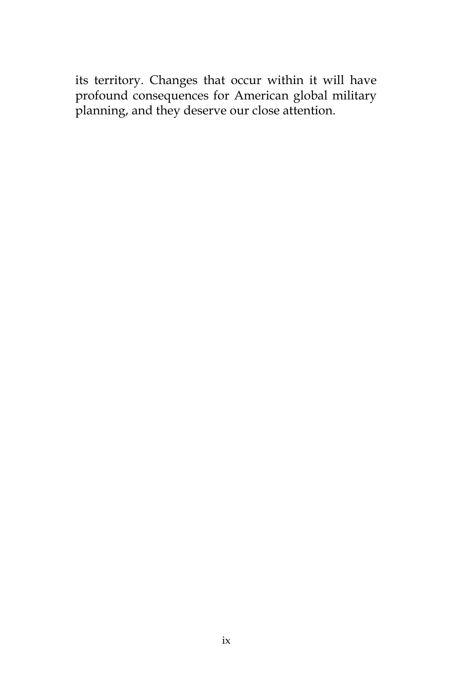its territory. Changes that occur within it will have profound consequences for American global military planning, and they deserve our close attention.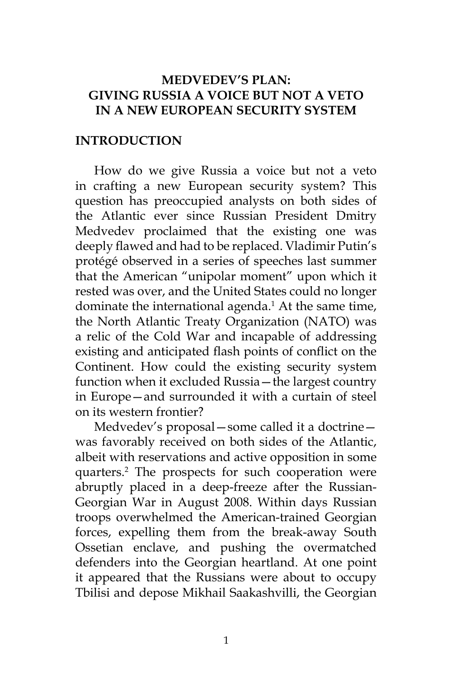#### **MEDVEDEV'S PLAN: GIVING RUSSIA A VOICE BUT NOT A VETO IN A NEW EUROPEAN SECURITY SYSTEM**

#### **INTRODUCTION**

How do we give Russia a voice but not a veto in crafting a new European security system? This question has preoccupied analysts on both sides of the Atlantic ever since Russian President Dmitry Medvedev proclaimed that the existing one was deeply flawed and had to be replaced. Vladimir Putin's protégé observed in a series of speeches last summer that the American "unipolar moment" upon which it rested was over, and the United States could no longer dominate the international agenda.<sup>1</sup> At the same time, the North Atlantic Treaty Organization (NATO) was a relic of the Cold War and incapable of addressing existing and anticipated flash points of conflict on the Continent. How could the existing security system function when it excluded Russia—the largest country in Europe—and surrounded it with a curtain of steel on its western frontier?

Medvedev's proposal—some called it a doctrine was favorably received on both sides of the Atlantic, albeit with reservations and active opposition in some quarters.2 The prospects for such cooperation were abruptly placed in a deep-freeze after the Russian-Georgian War in August 2008. Within days Russian troops overwhelmed the American-trained Georgian forces, expelling them from the break-away South Ossetian enclave, and pushing the overmatched defenders into the Georgian heartland. At one point it appeared that the Russians were about to occupy Tbilisi and depose Mikhail Saakashvilli, the Georgian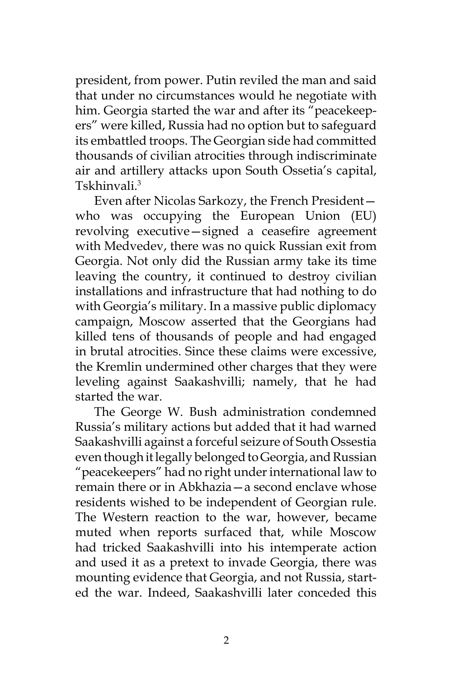president, from power. Putin reviled the man and said that under no circumstances would he negotiate with him. Georgia started the war and after its "peacekeepers" were killed, Russia had no option but to safeguard its embattled troops. The Georgian side had committed thousands of civilian atrocities through indiscriminate air and artillery attacks upon South Ossetia's capital, Tskhinvali.3

Even after Nicolas Sarkozy, the French President who was occupying the European Union (EU) revolving executive—signed a ceasefire agreement with Medvedev, there was no quick Russian exit from Georgia. Not only did the Russian army take its time leaving the country, it continued to destroy civilian installations and infrastructure that had nothing to do with Georgia's military. In a massive public diplomacy campaign, Moscow asserted that the Georgians had killed tens of thousands of people and had engaged in brutal atrocities. Since these claims were excessive, the Kremlin undermined other charges that they were leveling against Saakashvilli; namely, that he had started the war.

The George W. Bush administration condemned Russia's military actions but added that it had warned Saakashvilli against a forceful seizure of South Ossestia even though it legally belonged to Georgia, and Russian "peacekeepers" had no right under international law to remain there or in Abkhazia—a second enclave whose residents wished to be independent of Georgian rule. The Western reaction to the war, however, became muted when reports surfaced that, while Moscow had tricked Saakashvilli into his intemperate action and used it as a pretext to invade Georgia, there was mounting evidence that Georgia, and not Russia, started the war. Indeed, Saakashvilli later conceded this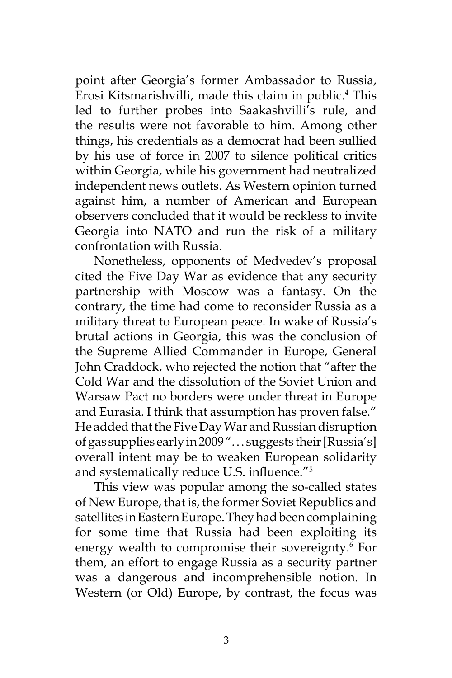point after Georgia's former Ambassador to Russia, Erosi Kitsmarishvilli, made this claim in public.4 This led to further probes into Saakashvilli's rule, and the results were not favorable to him. Among other things, his credentials as a democrat had been sullied by his use of force in 2007 to silence political critics within Georgia, while his government had neutralized independent news outlets. As Western opinion turned against him, a number of American and European observers concluded that it would be reckless to invite Georgia into NATO and run the risk of a military confrontation with Russia.

Nonetheless, opponents of Medvedev's proposal cited the Five Day War as evidence that any security partnership with Moscow was a fantasy. On the contrary, the time had come to reconsider Russia as a military threat to European peace. In wake of Russia's brutal actions in Georgia, this was the conclusion of the Supreme Allied Commander in Europe, General John Craddock, who rejected the notion that "after the Cold War and the dissolution of the Soviet Union and Warsaw Pact no borders were under threat in Europe and Eurasia. I think that assumption has proven false." He added that the Five Day War and Russian disruption of gas supplies early in 2009 ". . . suggests their [Russia's] overall intent may be to weaken European solidarity and systematically reduce U.S. influence."5

This view was popular among the so-called states of New Europe, that is, the former Soviet Republics and satellites in Eastern Europe. They had been complaining for some time that Russia had been exploiting its energy wealth to compromise their sovereignty.<sup>6</sup> For them, an effort to engage Russia as a security partner was a dangerous and incomprehensible notion. In Western (or Old) Europe, by contrast, the focus was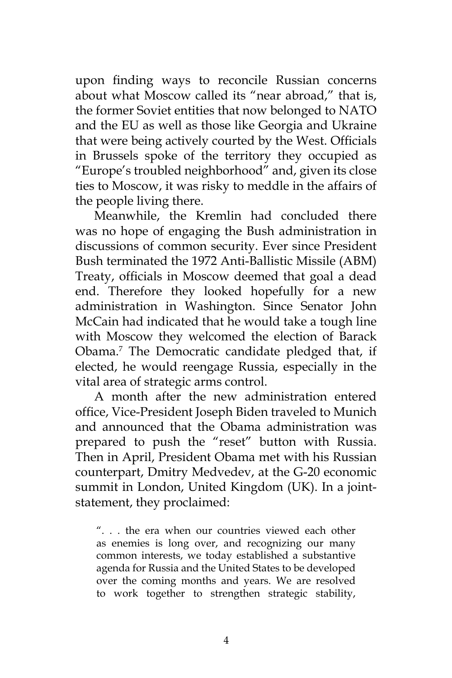upon finding ways to reconcile Russian concerns about what Moscow called its "near abroad," that is, the former Soviet entities that now belonged to NATO and the EU as well as those like Georgia and Ukraine that were being actively courted by the West. Officials in Brussels spoke of the territory they occupied as "Europe's troubled neighborhood" and, given its close ties to Moscow, it was risky to meddle in the affairs of the people living there.

Meanwhile, the Kremlin had concluded there was no hope of engaging the Bush administration in discussions of common security. Ever since President Bush terminated the 1972 Anti-Ballistic Missile (ABM) Treaty, officials in Moscow deemed that goal a dead end. Therefore they looked hopefully for a new administration in Washington. Since Senator John McCain had indicated that he would take a tough line with Moscow they welcomed the election of Barack Obama.7 The Democratic candidate pledged that, if elected, he would reengage Russia, especially in the vital area of strategic arms control.

A month after the new administration entered office, Vice-President Joseph Biden traveled to Munich and announced that the Obama administration was prepared to push the "reset" button with Russia. Then in April, President Obama met with his Russian counterpart, Dmitry Medvedev, at the G-20 economic summit in London, United Kingdom (UK). In a jointstatement, they proclaimed:

". . . the era when our countries viewed each other as enemies is long over, and recognizing our many common interests, we today established a substantive agenda for Russia and the United States to be developed over the coming months and years. We are resolved to work together to strengthen strategic stability,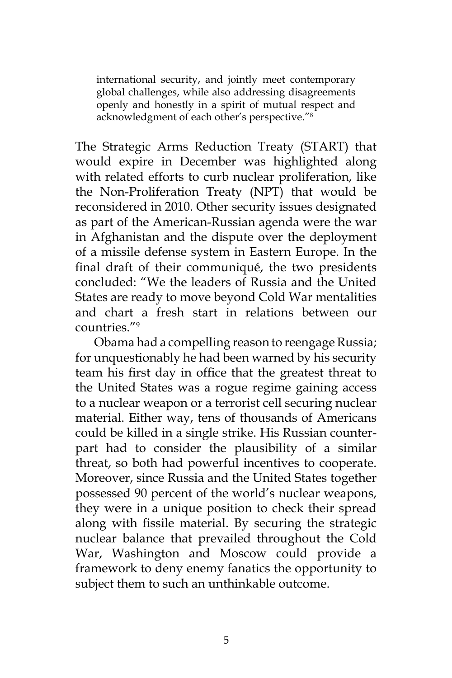international security, and jointly meet contemporary global challenges, while also addressing disagreements openly and honestly in a spirit of mutual respect and acknowledgment of each other's perspective."8

The Strategic Arms Reduction Treaty (START) that would expire in December was highlighted along with related efforts to curb nuclear proliferation, like the Non-Proliferation Treaty (NPT) that would be reconsidered in 2010. Other security issues designated as part of the American-Russian agenda were the war in Afghanistan and the dispute over the deployment of a missile defense system in Eastern Europe. In the final draft of their communiqué, the two presidents concluded: "We the leaders of Russia and the United States are ready to move beyond Cold War mentalities and chart a fresh start in relations between our countries<sup>"9</sup>

Obama had a compelling reason to reengage Russia; for unquestionably he had been warned by his security team his first day in office that the greatest threat to the United States was a rogue regime gaining access to a nuclear weapon or a terrorist cell securing nuclear material. Either way, tens of thousands of Americans could be killed in a single strike. His Russian counterpart had to consider the plausibility of a similar threat, so both had powerful incentives to cooperate. Moreover, since Russia and the United States together possessed 90 percent of the world's nuclear weapons, they were in a unique position to check their spread along with fissile material. By securing the strategic nuclear balance that prevailed throughout the Cold War, Washington and Moscow could provide a framework to deny enemy fanatics the opportunity to subject them to such an unthinkable outcome.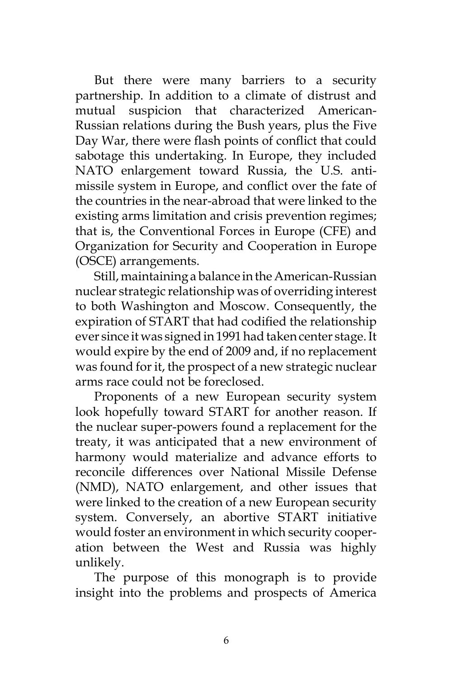But there were many barriers to a security partnership. In addition to a climate of distrust and mutual suspicion that characterized American-Russian relations during the Bush years, plus the Five Day War, there were flash points of conflict that could sabotage this undertaking. In Europe, they included NATO enlargement toward Russia, the U.S. antimissile system in Europe, and conflict over the fate of the countries in the near-abroad that were linked to the existing arms limitation and crisis prevention regimes; that is, the Conventional Forces in Europe (CFE) and Organization for Security and Cooperation in Europe (OSCE) arrangements.

Still, maintaining a balance in the American-Russian nuclear strategic relationship was of overriding interest to both Washington and Moscow. Consequently, the expiration of START that had codified the relationship ever since it was signed in 1991 had taken center stage. It would expire by the end of 2009 and, if no replacement was found for it, the prospect of a new strategic nuclear arms race could not be foreclosed.

Proponents of a new European security system look hopefully toward START for another reason. If the nuclear super-powers found a replacement for the treaty, it was anticipated that a new environment of harmony would materialize and advance efforts to reconcile differences over National Missile Defense (NMD), NATO enlargement, and other issues that were linked to the creation of a new European security system. Conversely, an abortive START initiative would foster an environment in which security cooperation between the West and Russia was highly unlikely.

The purpose of this monograph is to provide insight into the problems and prospects of America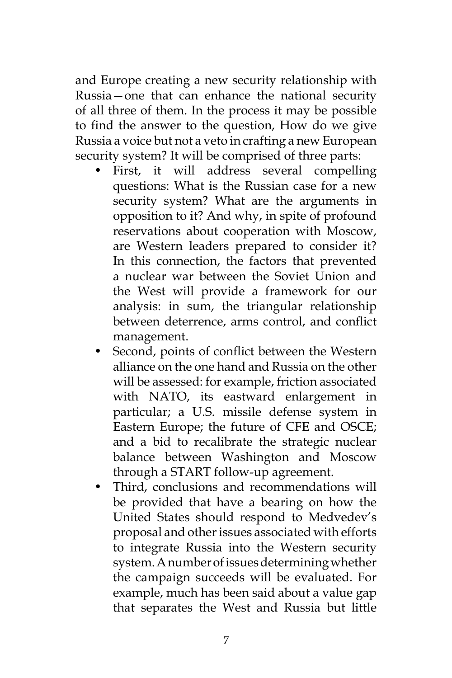and Europe creating a new security relationship with Russia—one that can enhance the national security of all three of them. In the process it may be possible to find the answer to the question, How do we give Russia a voice but not a veto in crafting a new European security system? It will be comprised of three parts:

- First, it will address several compelling questions: What is the Russian case for a new security system? What are the arguments in opposition to it? And why, in spite of profound reservations about cooperation with Moscow, are Western leaders prepared to consider it? In this connection, the factors that prevented a nuclear war between the Soviet Union and the West will provide a framework for our analysis: in sum, the triangular relationship between deterrence, arms control, and conflict management.
- Second, points of conflict between the Western alliance on the one hand and Russia on the other will be assessed: for example, friction associated with NATO, its eastward enlargement in particular; a U.S. missile defense system in Eastern Europe; the future of CFE and OSCE; and a bid to recalibrate the strategic nuclear balance between Washington and Moscow through a START follow-up agreement.
- Third, conclusions and recommendations will be provided that have a bearing on how the United States should respond to Medvedev's proposal and other issues associated with efforts to integrate Russia into the Western security system. A number of issues determining whether the campaign succeeds will be evaluated. For example, much has been said about a value gap that separates the West and Russia but little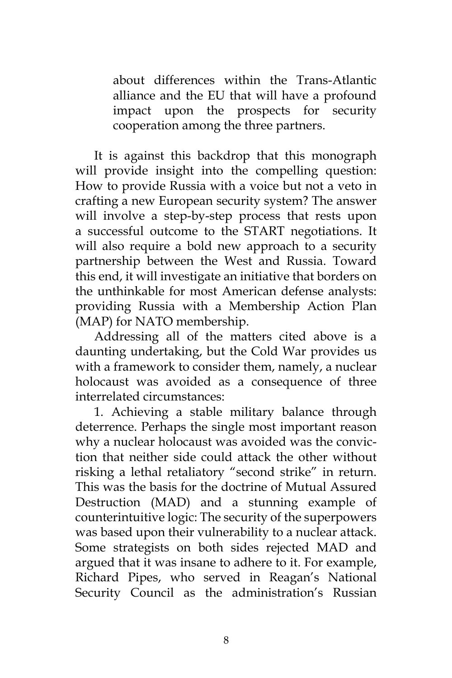about differences within the Trans-Atlantic alliance and the EU that will have a profound impact upon the prospects for security cooperation among the three partners.

It is against this backdrop that this monograph will provide insight into the compelling question: How to provide Russia with a voice but not a veto in crafting a new European security system? The answer will involve a step-by-step process that rests upon a successful outcome to the START negotiations. It will also require a bold new approach to a security partnership between the West and Russia. Toward this end, it will investigate an initiative that borders on the unthinkable for most American defense analysts: providing Russia with a Membership Action Plan (MAP) for NATO membership.

Addressing all of the matters cited above is a daunting undertaking, but the Cold War provides us with a framework to consider them, namely, a nuclear holocaust was avoided as a consequence of three interrelated circumstances:

1. Achieving a stable military balance through deterrence. Perhaps the single most important reason why a nuclear holocaust was avoided was the conviction that neither side could attack the other without risking a lethal retaliatory "second strike" in return. This was the basis for the doctrine of Mutual Assured Destruction (MAD) and a stunning example of counterintuitive logic: The security of the superpowers was based upon their vulnerability to a nuclear attack. Some strategists on both sides rejected MAD and argued that it was insane to adhere to it. For example, Richard Pipes, who served in Reagan's National Security Council as the administration's Russian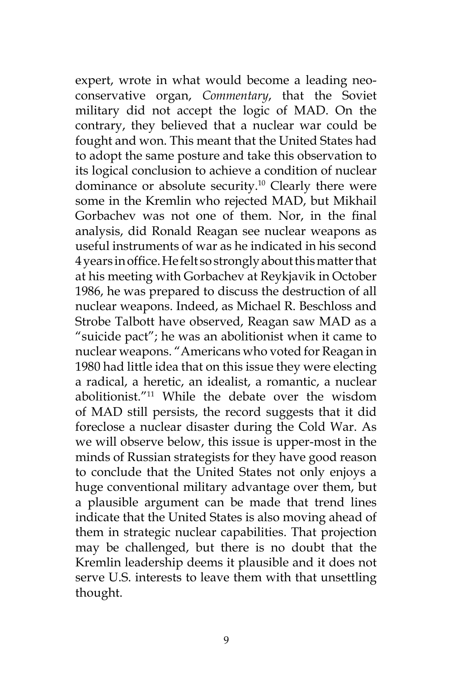expert, wrote in what would become a leading neoconservative organ, *Commentary*, that the Soviet military did not accept the logic of MAD. On the contrary, they believed that a nuclear war could be fought and won. This meant that the United States had to adopt the same posture and take this observation to its logical conclusion to achieve a condition of nuclear dominance or absolute security.<sup>10</sup> Clearly there were some in the Kremlin who rejected MAD, but Mikhail Gorbachev was not one of them. Nor, in the final analysis, did Ronald Reagan see nuclear weapons as useful instruments of war as he indicated in his second 4 years in office. He felt so strongly about this matter that at his meeting with Gorbachev at Reykjavik in October 1986, he was prepared to discuss the destruction of all nuclear weapons. Indeed, as Michael R. Beschloss and Strobe Talbott have observed, Reagan saw MAD as a "suicide pact"; he was an abolitionist when it came to nuclear weapons. "Americans who voted for Reagan in 1980 had little idea that on this issue they were electing a radical, a heretic, an idealist, a romantic, a nuclear abolitionist."11 While the debate over the wisdom of MAD still persists, the record suggests that it did foreclose a nuclear disaster during the Cold War. As we will observe below, this issue is upper-most in the minds of Russian strategists for they have good reason to conclude that the United States not only enjoys a huge conventional military advantage over them, but a plausible argument can be made that trend lines indicate that the United States is also moving ahead of them in strategic nuclear capabilities. That projection may be challenged, but there is no doubt that the Kremlin leadership deems it plausible and it does not serve U.S. interests to leave them with that unsettling thought.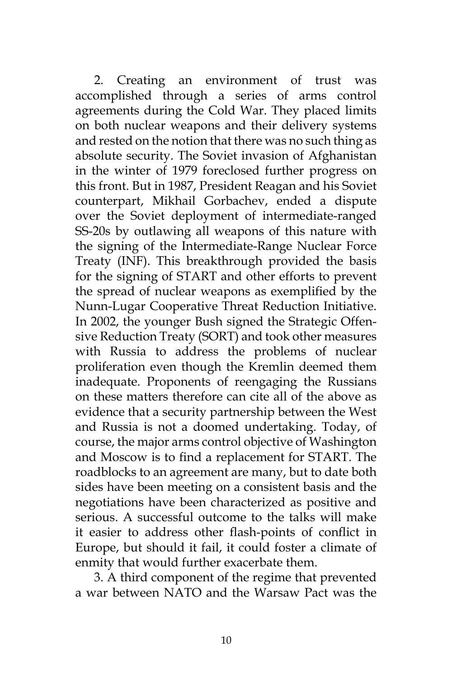2. Creating an environment of trust was accomplished through a series of arms control agreements during the Cold War. They placed limits on both nuclear weapons and their delivery systems and rested on the notion that there was no such thing as absolute security. The Soviet invasion of Afghanistan in the winter of 1979 foreclosed further progress on this front. But in 1987, President Reagan and his Soviet counterpart, Mikhail Gorbachev, ended a dispute over the Soviet deployment of intermediate-ranged SS-20s by outlawing all weapons of this nature with the signing of the Intermediate-Range Nuclear Force Treaty (INF). This breakthrough provided the basis for the signing of START and other efforts to prevent the spread of nuclear weapons as exemplified by the Nunn-Lugar Cooperative Threat Reduction Initiative. In 2002, the younger Bush signed the Strategic Offensive Reduction Treaty (SORT) and took other measures with Russia to address the problems of nuclear proliferation even though the Kremlin deemed them inadequate. Proponents of reengaging the Russians on these matters therefore can cite all of the above as evidence that a security partnership between the West and Russia is not a doomed undertaking. Today, of course, the major arms control objective of Washington and Moscow is to find a replacement for START. The roadblocks to an agreement are many, but to date both sides have been meeting on a consistent basis and the negotiations have been characterized as positive and serious. A successful outcome to the talks will make it easier to address other flash-points of conflict in Europe, but should it fail, it could foster a climate of enmity that would further exacerbate them.

3. A third component of the regime that prevented a war between NATO and the Warsaw Pact was the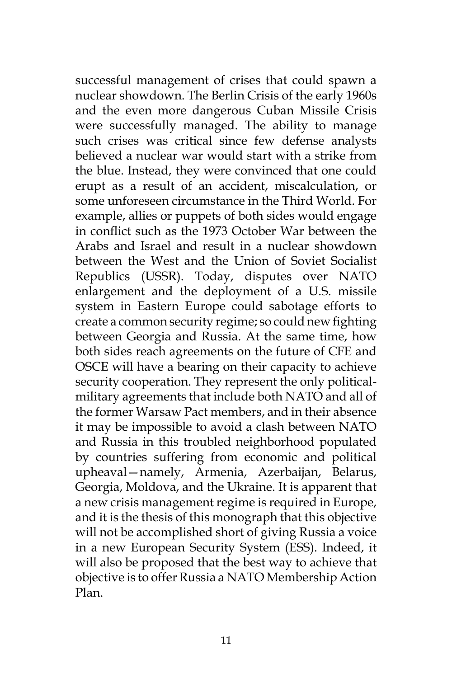successful management of crises that could spawn a nuclear showdown. The Berlin Crisis of the early 1960s and the even more dangerous Cuban Missile Crisis were successfully managed. The ability to manage such crises was critical since few defense analysts believed a nuclear war would start with a strike from the blue. Instead, they were convinced that one could erupt as a result of an accident, miscalculation, or some unforeseen circumstance in the Third World. For example, allies or puppets of both sides would engage in conflict such as the 1973 October War between the Arabs and Israel and result in a nuclear showdown between the West and the Union of Soviet Socialist Republics (USSR). Today, disputes over NATO enlargement and the deployment of a U.S. missile system in Eastern Europe could sabotage efforts to create a common security regime; so could new fighting between Georgia and Russia. At the same time, how both sides reach agreements on the future of CFE and OSCE will have a bearing on their capacity to achieve security cooperation. They represent the only politicalmilitary agreements that include both NATO and all of the former Warsaw Pact members, and in their absence it may be impossible to avoid a clash between NATO and Russia in this troubled neighborhood populated by countries suffering from economic and political upheaval—namely, Armenia, Azerbaijan, Belarus, Georgia, Moldova, and the Ukraine. It is apparent that a new crisis management regime is required in Europe, and it is the thesis of this monograph that this objective will not be accomplished short of giving Russia a voice in a new European Security System (ESS). Indeed, it will also be proposed that the best way to achieve that objective is to offer Russia a NATO Membership Action Plan.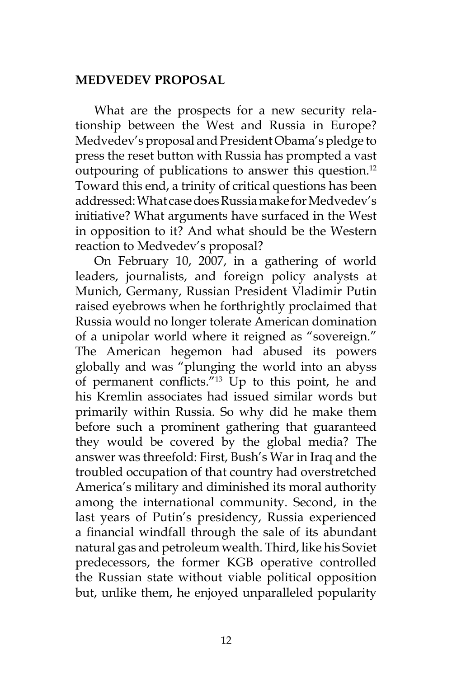#### **MEDVEDEV PROPOSAL**

What are the prospects for a new security relationship between the West and Russia in Europe? Medvedev's proposal and President Obama's pledge to press the reset button with Russia has prompted a vast outpouring of publications to answer this question.<sup>12</sup> Toward this end, a trinity of critical questions has been addressed: What case does Russia make for Medvedev's initiative? What arguments have surfaced in the West in opposition to it? And what should be the Western reaction to Medvedev's proposal?

On February 10, 2007, in a gathering of world leaders, journalists, and foreign policy analysts at Munich, Germany, Russian President Vladimir Putin raised eyebrows when he forthrightly proclaimed that Russia would no longer tolerate American domination of a unipolar world where it reigned as "sovereign." The American hegemon had abused its powers globally and was "plunging the world into an abyss of permanent conflicts."13 Up to this point, he and his Kremlin associates had issued similar words but primarily within Russia. So why did he make them before such a prominent gathering that guaranteed they would be covered by the global media? The answer was threefold: First, Bush's War in Iraq and the troubled occupation of that country had overstretched America's military and diminished its moral authority among the international community. Second, in the last years of Putin's presidency, Russia experienced a financial windfall through the sale of its abundant natural gas and petroleum wealth. Third, like his Soviet predecessors, the former KGB operative controlled the Russian state without viable political opposition but, unlike them, he enjoyed unparalleled popularity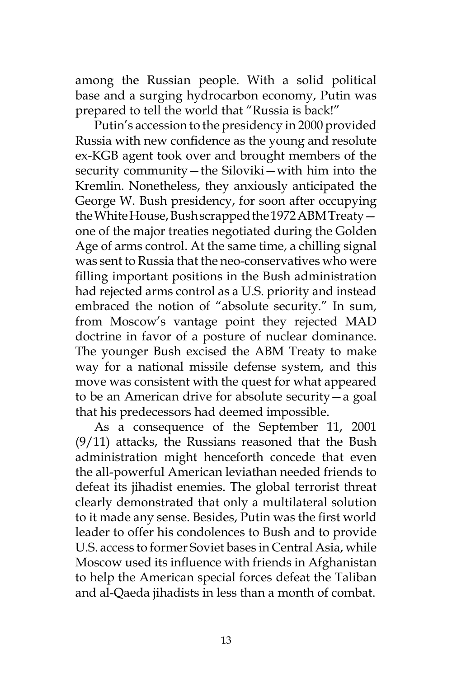among the Russian people. With a solid political base and a surging hydrocarbon economy, Putin was prepared to tell the world that "Russia is back!"

Putin's accession to the presidency in 2000 provided Russia with new confidence as the young and resolute ex-KGB agent took over and brought members of the security community—the Siloviki—with him into the Kremlin. Nonetheless, they anxiously anticipated the George W. Bush presidency, for soon after occupying the White House, Bush scrapped the 1972 ABM Treaty one of the major treaties negotiated during the Golden Age of arms control. At the same time, a chilling signal was sent to Russia that the neo-conservatives who were filling important positions in the Bush administration had rejected arms control as a U.S. priority and instead embraced the notion of "absolute security." In sum, from Moscow's vantage point they rejected MAD doctrine in favor of a posture of nuclear dominance. The younger Bush excised the ABM Treaty to make way for a national missile defense system, and this move was consistent with the quest for what appeared to be an American drive for absolute security—a goal that his predecessors had deemed impossible.

As a consequence of the September 11, 2001 (9/11) attacks, the Russians reasoned that the Bush administration might henceforth concede that even the all-powerful American leviathan needed friends to defeat its jihadist enemies. The global terrorist threat clearly demonstrated that only a multilateral solution to it made any sense. Besides, Putin was the first world leader to offer his condolences to Bush and to provide U.S. access to former Soviet bases in Central Asia, while Moscow used its influence with friends in Afghanistan to help the American special forces defeat the Taliban and al-Qaeda jihadists in less than a month of combat.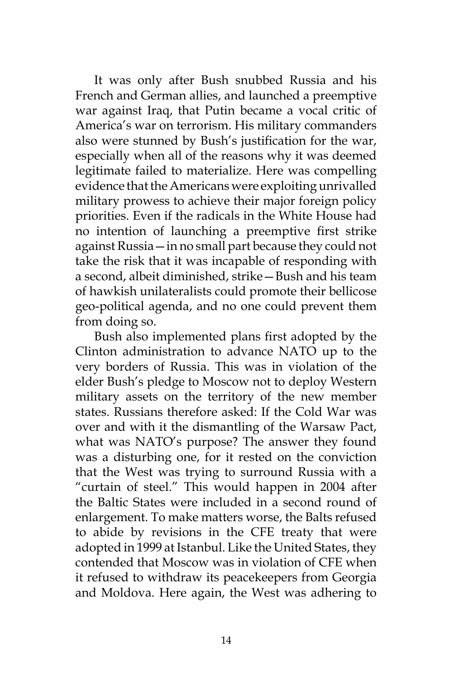It was only after Bush snubbed Russia and his French and German allies, and launched a preemptive war against Iraq, that Putin became a vocal critic of America's war on terrorism. His military commanders also were stunned by Bush's justification for the war, especially when all of the reasons why it was deemed legitimate failed to materialize. Here was compelling evidence that the Americans were exploiting unrivalled military prowess to achieve their major foreign policy priorities. Even if the radicals in the White House had no intention of launching a preemptive first strike against Russia—in no small part because they could not take the risk that it was incapable of responding with a second, albeit diminished, strike—Bush and his team of hawkish unilateralists could promote their bellicose geo-political agenda, and no one could prevent them from doing so.

Bush also implemented plans first adopted by the Clinton administration to advance NATO up to the very borders of Russia. This was in violation of the elder Bush's pledge to Moscow not to deploy Western military assets on the territory of the new member states. Russians therefore asked: If the Cold War was over and with it the dismantling of the Warsaw Pact, what was NATO's purpose? The answer they found was a disturbing one, for it rested on the conviction that the West was trying to surround Russia with a "curtain of steel." This would happen in 2004 after the Baltic States were included in a second round of enlargement. To make matters worse, the Balts refused to abide by revisions in the CFE treaty that were adopted in 1999 at Istanbul. Like the United States, they contended that Moscow was in violation of CFE when it refused to withdraw its peacekeepers from Georgia and Moldova. Here again, the West was adhering to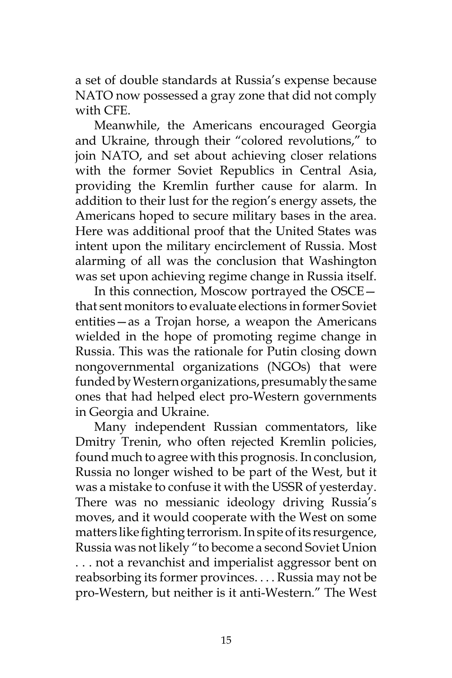a set of double standards at Russia's expense because NATO now possessed a gray zone that did not comply with CFE.

Meanwhile, the Americans encouraged Georgia and Ukraine, through their "colored revolutions," to join NATO, and set about achieving closer relations with the former Soviet Republics in Central Asia, providing the Kremlin further cause for alarm. In addition to their lust for the region's energy assets, the Americans hoped to secure military bases in the area. Here was additional proof that the United States was intent upon the military encirclement of Russia. Most alarming of all was the conclusion that Washington was set upon achieving regime change in Russia itself.

In this connection, Moscow portrayed the OSCE that sent monitors to evaluate elections in former Soviet entities—as a Trojan horse, a weapon the Americans wielded in the hope of promoting regime change in Russia. This was the rationale for Putin closing down nongovernmental organizations (NGOs) that were funded by Western organizations, presumably the same ones that had helped elect pro-Western governments in Georgia and Ukraine.

Many independent Russian commentators, like Dmitry Trenin, who often rejected Kremlin policies, found much to agree with this prognosis. In conclusion, Russia no longer wished to be part of the West, but it was a mistake to confuse it with the USSR of yesterday. There was no messianic ideology driving Russia's moves, and it would cooperate with the West on some matters like fighting terrorism. In spite of its resurgence, Russia was not likely "to become a second Soviet Union

. . . not a revanchist and imperialist aggressor bent on reabsorbing its former provinces. . . . Russia may not be pro-Western, but neither is it anti-Western." The West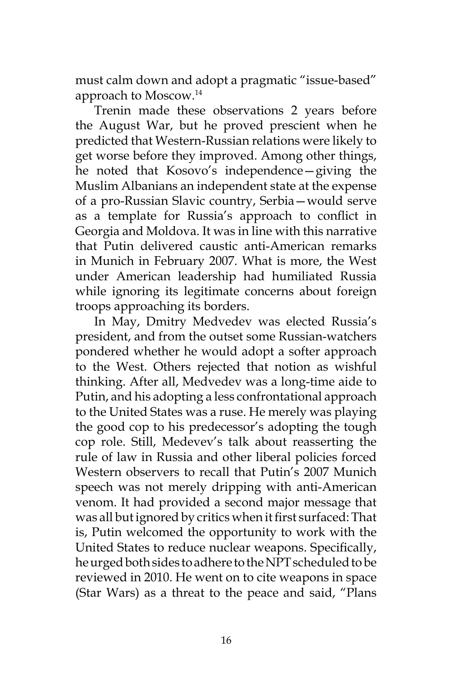must calm down and adopt a pragmatic "issue-based" approach to Moscow.14

Trenin made these observations 2 years before the August War, but he proved prescient when he predicted that Western-Russian relations were likely to get worse before they improved. Among other things, he noted that Kosovo's independence—giving the Muslim Albanians an independent state at the expense of a pro-Russian Slavic country, Serbia—would serve as a template for Russia's approach to conflict in Georgia and Moldova. It was in line with this narrative that Putin delivered caustic anti-American remarks in Munich in February 2007. What is more, the West under American leadership had humiliated Russia while ignoring its legitimate concerns about foreign troops approaching its borders.

In May, Dmitry Medvedev was elected Russia's president, and from the outset some Russian-watchers pondered whether he would adopt a softer approach to the West. Others rejected that notion as wishful thinking. After all, Medvedev was a long-time aide to Putin, and his adopting a less confrontational approach to the United States was a ruse. He merely was playing the good cop to his predecessor's adopting the tough cop role. Still, Medevev's talk about reasserting the rule of law in Russia and other liberal policies forced Western observers to recall that Putin's 2007 Munich speech was not merely dripping with anti-American venom. It had provided a second major message that was all but ignored by critics when it first surfaced: That is, Putin welcomed the opportunity to work with the United States to reduce nuclear weapons. Specifically, he urged both sides to adhere to the NPT scheduled to be reviewed in 2010. He went on to cite weapons in space (Star Wars) as a threat to the peace and said, "Plans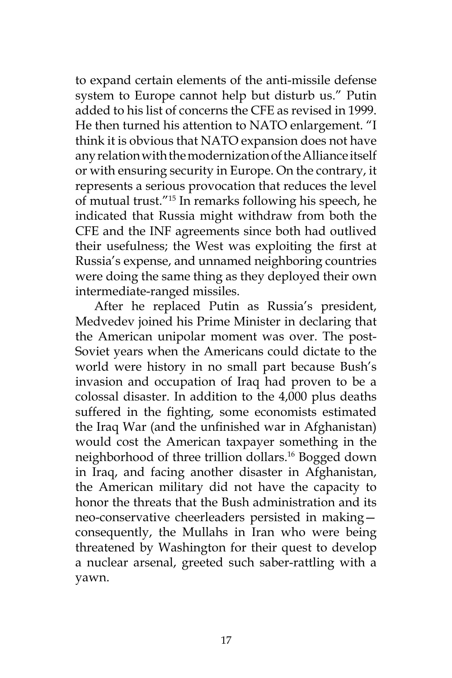to expand certain elements of the anti-missile defense system to Europe cannot help but disturb us." Putin added to his list of concerns the CFE as revised in 1999. He then turned his attention to NATO enlargement. "I think it is obvious that NATO expansion does not have any relation with the modernization of the Alliance itself or with ensuring security in Europe. On the contrary, it represents a serious provocation that reduces the level of mutual trust."15 In remarks following his speech, he indicated that Russia might withdraw from both the CFE and the INF agreements since both had outlived their usefulness; the West was exploiting the first at Russia's expense, and unnamed neighboring countries were doing the same thing as they deployed their own intermediate-ranged missiles.

After he replaced Putin as Russia's president, Medvedev joined his Prime Minister in declaring that the American unipolar moment was over. The post-Soviet years when the Americans could dictate to the world were history in no small part because Bush's invasion and occupation of Iraq had proven to be a colossal disaster. In addition to the 4,000 plus deaths suffered in the fighting, some economists estimated the Iraq War (and the unfinished war in Afghanistan) would cost the American taxpayer something in the neighborhood of three trillion dollars.16 Bogged down in Iraq, and facing another disaster in Afghanistan, the American military did not have the capacity to honor the threats that the Bush administration and its neo-conservative cheerleaders persisted in making consequently, the Mullahs in Iran who were being threatened by Washington for their quest to develop a nuclear arsenal, greeted such saber-rattling with a yawn.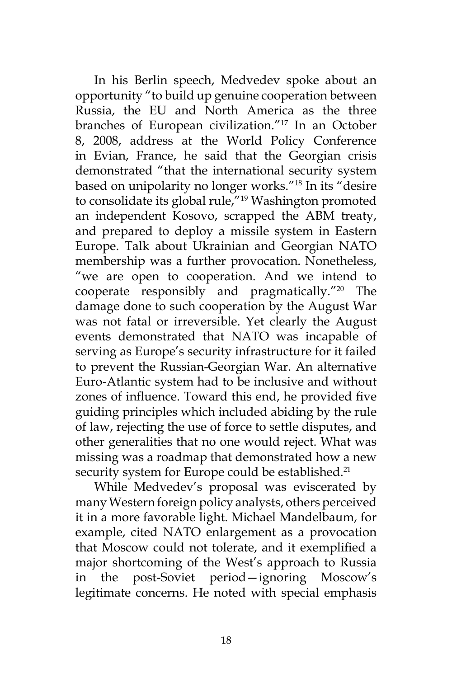In his Berlin speech, Medvedev spoke about an opportunity "to build up genuine cooperation between Russia, the EU and North America as the three branches of European civilization."17 In an October 8, 2008, address at the World Policy Conference in Evian, France, he said that the Georgian crisis demonstrated "that the international security system based on unipolarity no longer works."18 In its "desire to consolidate its global rule,"<sup>19</sup> Washington promoted an independent Kosovo, scrapped the ABM treaty, and prepared to deploy a missile system in Eastern Europe. Talk about Ukrainian and Georgian NATO membership was a further provocation. Nonetheless, "we are open to cooperation. And we intend to cooperate responsibly and pragmatically."20 The damage done to such cooperation by the August War was not fatal or irreversible. Yet clearly the August events demonstrated that NATO was incapable of serving as Europe's security infrastructure for it failed to prevent the Russian-Georgian War. An alternative Euro-Atlantic system had to be inclusive and without zones of influence. Toward this end, he provided five guiding principles which included abiding by the rule of law, rejecting the use of force to settle disputes, and other generalities that no one would reject. What was missing was a roadmap that demonstrated how a new security system for Europe could be established.<sup>21</sup>

While Medvedev's proposal was eviscerated by many Western foreign policy analysts, others perceived it in a more favorable light. Michael Mandelbaum, for example, cited NATO enlargement as a provocation that Moscow could not tolerate, and it exemplified a major shortcoming of the West's approach to Russia in the post-Soviet period—ignoring Moscow's legitimate concerns. He noted with special emphasis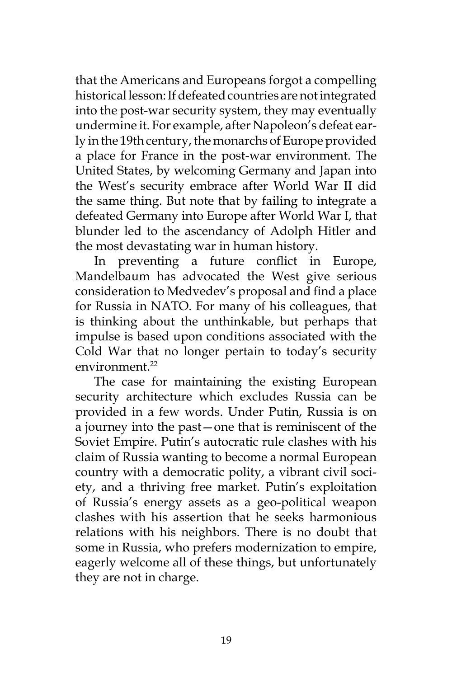that the Americans and Europeans forgot a compelling historical lesson: If defeated countries are not integrated into the post-war security system, they may eventually undermine it. For example, after Napoleon's defeat early in the 19th century, the monarchs of Europe provided a place for France in the post-war environment. The United States, by welcoming Germany and Japan into the West's security embrace after World War II did the same thing. But note that by failing to integrate a defeated Germany into Europe after World War I, that blunder led to the ascendancy of Adolph Hitler and the most devastating war in human history.

In preventing a future conflict in Europe, Mandelbaum has advocated the West give serious consideration to Medvedev's proposal and find a place for Russia in NATO. For many of his colleagues, that is thinking about the unthinkable, but perhaps that impulse is based upon conditions associated with the Cold War that no longer pertain to today's security environment<sup>22</sup>

The case for maintaining the existing European security architecture which excludes Russia can be provided in a few words. Under Putin, Russia is on a journey into the past—one that is reminiscent of the Soviet Empire. Putin's autocratic rule clashes with his claim of Russia wanting to become a normal European country with a democratic polity, a vibrant civil society, and a thriving free market. Putin's exploitation of Russia's energy assets as a geo-political weapon clashes with his assertion that he seeks harmonious relations with his neighbors. There is no doubt that some in Russia, who prefers modernization to empire, eagerly welcome all of these things, but unfortunately they are not in charge.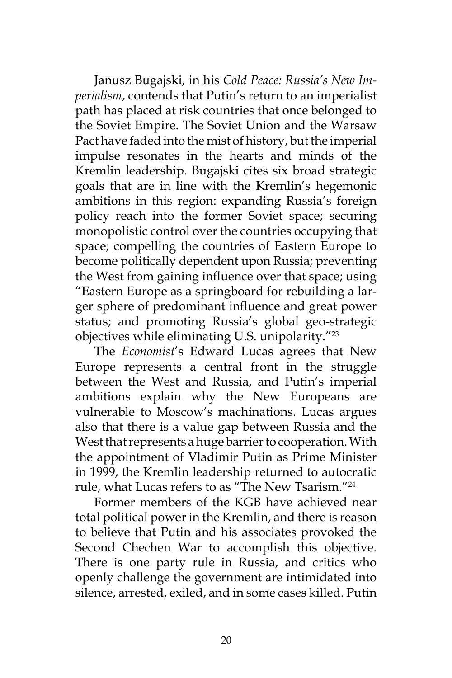Janusz Bugajski, in his *Cold Peace: Russia's New Imperialism*, contends that Putin's return to an imperialist path has placed at risk countries that once belonged to the Soviet Empire. The Soviet Union and the Warsaw Pact have faded into the mist of history, but the imperial impulse resonates in the hearts and minds of the Kremlin leadership. Bugajski cites six broad strategic goals that are in line with the Kremlin's hegemonic ambitions in this region: expanding Russia's foreign policy reach into the former Soviet space; securing monopolistic control over the countries occupying that space; compelling the countries of Eastern Europe to become politically dependent upon Russia; preventing the West from gaining influence over that space; using "Eastern Europe as a springboard for rebuilding a larger sphere of predominant influence and great power status; and promoting Russia's global geo-strategic objectives while eliminating U.S. unipolarity."23

The *Economist*'s Edward Lucas agrees that New Europe represents a central front in the struggle between the West and Russia, and Putin's imperial ambitions explain why the New Europeans are vulnerable to Moscow's machinations. Lucas argues also that there is a value gap between Russia and the West that represents a huge barrier to cooperation. With the appointment of Vladimir Putin as Prime Minister in 1999, the Kremlin leadership returned to autocratic rule, what Lucas refers to as "The New Tsarism."24

Former members of the KGB have achieved near total political power in the Kremlin, and there is reason to believe that Putin and his associates provoked the Second Chechen War to accomplish this objective. There is one party rule in Russia, and critics who openly challenge the government are intimidated into silence, arrested, exiled, and in some cases killed. Putin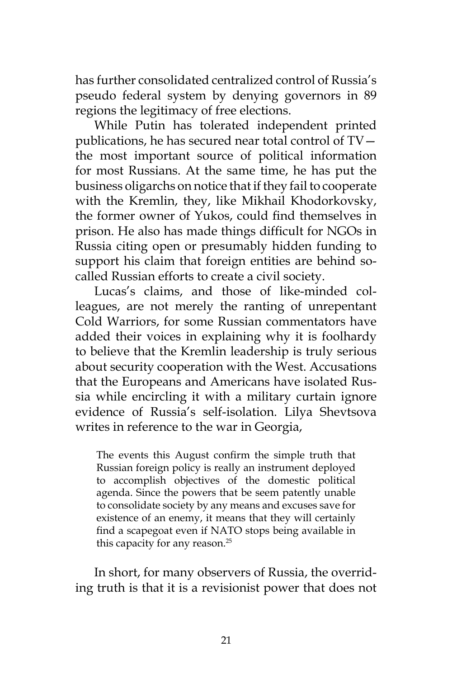has further consolidated centralized control of Russia's pseudo federal system by denying governors in 89 regions the legitimacy of free elections.

While Putin has tolerated independent printed publications, he has secured near total control of TV the most important source of political information for most Russians. At the same time, he has put the business oligarchs on notice that if they fail to cooperate with the Kremlin, they, like Mikhail Khodorkovsky, the former owner of Yukos, could find themselves in prison. He also has made things difficult for NGOs in Russia citing open or presumably hidden funding to support his claim that foreign entities are behind socalled Russian efforts to create a civil society.

Lucas's claims, and those of like-minded colleagues, are not merely the ranting of unrepentant Cold Warriors, for some Russian commentators have added their voices in explaining why it is foolhardy to believe that the Kremlin leadership is truly serious about security cooperation with the West. Accusations that the Europeans and Americans have isolated Russia while encircling it with a military curtain ignore evidence of Russia's self-isolation. Lilya Shevtsova writes in reference to the war in Georgia,

The events this August confirm the simple truth that Russian foreign policy is really an instrument deployed to accomplish objectives of the domestic political agenda. Since the powers that be seem patently unable to consolidate society by any means and excuses save for existence of an enemy, it means that they will certainly find a scapegoat even if NATO stops being available in this capacity for any reason.<sup>25</sup>

In short, for many observers of Russia, the overriding truth is that it is a revisionist power that does not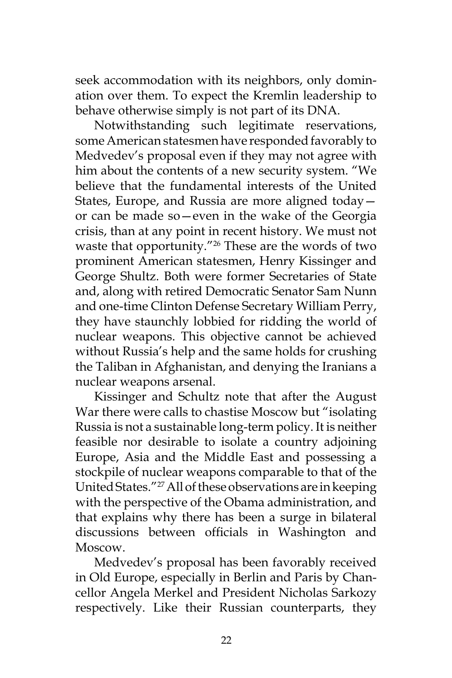seek accommodation with its neighbors, only domination over them. To expect the Kremlin leadership to behave otherwise simply is not part of its DNA.

Notwithstanding such legitimate reservations, some American statesmen have responded favorably to Medvedev's proposal even if they may not agree with him about the contents of a new security system. "We believe that the fundamental interests of the United States, Europe, and Russia are more aligned today or can be made so—even in the wake of the Georgia crisis, than at any point in recent history. We must not waste that opportunity."26 These are the words of two prominent American statesmen, Henry Kissinger and George Shultz. Both were former Secretaries of State and, along with retired Democratic Senator Sam Nunn and one-time Clinton Defense Secretary William Perry, they have staunchly lobbied for ridding the world of nuclear weapons. This objective cannot be achieved without Russia's help and the same holds for crushing the Taliban in Afghanistan, and denying the Iranians a nuclear weapons arsenal.

Kissinger and Schultz note that after the August War there were calls to chastise Moscow but "isolating Russia is not a sustainable long-term policy. It is neither feasible nor desirable to isolate a country adjoining Europe, Asia and the Middle East and possessing a stockpile of nuclear weapons comparable to that of the United States."27 All of these observations are in keeping with the perspective of the Obama administration, and that explains why there has been a surge in bilateral discussions between officials in Washington and Moscow.

Medvedev's proposal has been favorably received in Old Europe, especially in Berlin and Paris by Chancellor Angela Merkel and President Nicholas Sarkozy respectively. Like their Russian counterparts, they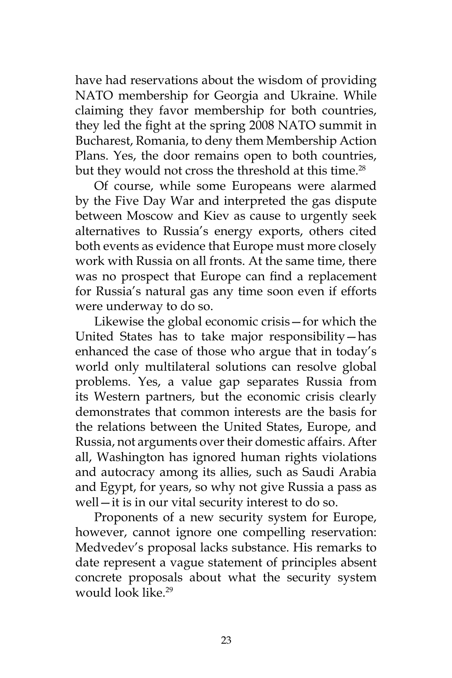have had reservations about the wisdom of providing NATO membership for Georgia and Ukraine. While claiming they favor membership for both countries, they led the fight at the spring 2008 NATO summit in Bucharest, Romania, to deny them Membership Action Plans. Yes, the door remains open to both countries, but they would not cross the threshold at this time.<sup>28</sup>

Of course, while some Europeans were alarmed by the Five Day War and interpreted the gas dispute between Moscow and Kiev as cause to urgently seek alternatives to Russia's energy exports, others cited both events as evidence that Europe must more closely work with Russia on all fronts. At the same time, there was no prospect that Europe can find a replacement for Russia's natural gas any time soon even if efforts were underway to do so.

Likewise the global economic crisis—for which the United States has to take major responsibility—has enhanced the case of those who argue that in today's world only multilateral solutions can resolve global problems. Yes, a value gap separates Russia from its Western partners, but the economic crisis clearly demonstrates that common interests are the basis for the relations between the United States, Europe, and Russia, not arguments over their domestic affairs. After all, Washington has ignored human rights violations and autocracy among its allies, such as Saudi Arabia and Egypt, for years, so why not give Russia a pass as well—it is in our vital security interest to do so.

Proponents of a new security system for Europe, however, cannot ignore one compelling reservation: Medvedev's proposal lacks substance. His remarks to date represent a vague statement of principles absent concrete proposals about what the security system would look like<sup>29</sup>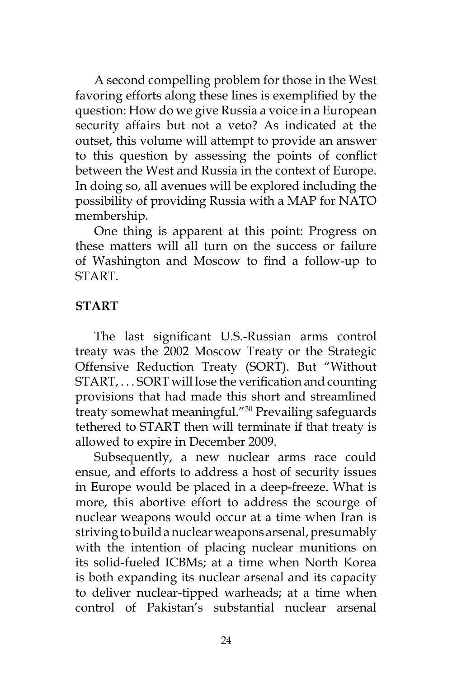A second compelling problem for those in the West favoring efforts along these lines is exemplified by the question: How do we give Russia a voice in a European security affairs but not a veto? As indicated at the outset, this volume will attempt to provide an answer to this question by assessing the points of conflict between the West and Russia in the context of Europe. In doing so, all avenues will be explored including the possibility of providing Russia with a MAP for NATO membership.

One thing is apparent at this point: Progress on these matters will all turn on the success or failure of Washington and Moscow to find a follow-up to START.

#### **START**

The last significant U.S.-Russian arms control treaty was the 2002 Moscow Treaty or the Strategic Offensive Reduction Treaty (SORT). But "Without START, . . . SORT will lose the verification and counting provisions that had made this short and streamlined treaty somewhat meaningful."30 Prevailing safeguards tethered to START then will terminate if that treaty is allowed to expire in December 2009.

Subsequently, a new nuclear arms race could ensue, and efforts to address a host of security issues in Europe would be placed in a deep-freeze. What is more, this abortive effort to address the scourge of nuclear weapons would occur at a time when Iran is striving to build a nuclear weapons arsenal, presumably with the intention of placing nuclear munitions on its solid-fueled ICBMs; at a time when North Korea is both expanding its nuclear arsenal and its capacity to deliver nuclear-tipped warheads; at a time when control of Pakistan's substantial nuclear arsenal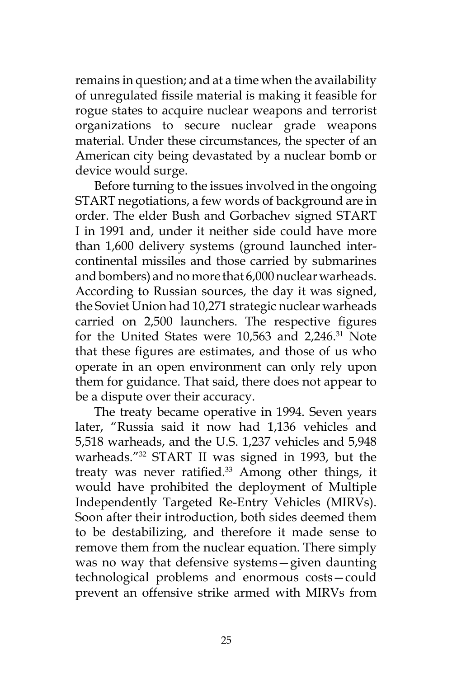remains in question; and at a time when the availability of unregulated fissile material is making it feasible for rogue states to acquire nuclear weapons and terrorist organizations to secure nuclear grade weapons material. Under these circumstances, the specter of an American city being devastated by a nuclear bomb or device would surge.

Before turning to the issues involved in the ongoing START negotiations, a few words of background are in order. The elder Bush and Gorbachev signed START I in 1991 and, under it neither side could have more than 1,600 delivery systems (ground launched intercontinental missiles and those carried by submarines and bombers) and no more that 6,000 nuclear warheads. According to Russian sources, the day it was signed, the Soviet Union had 10,271 strategic nuclear warheads carried on 2,500 launchers. The respective figures for the United States were 10,563 and 2,246.<sup>31</sup> Note that these figures are estimates, and those of us who operate in an open environment can only rely upon them for guidance. That said, there does not appear to be a dispute over their accuracy.

The treaty became operative in 1994. Seven years later, "Russia said it now had 1,136 vehicles and 5,518 warheads, and the U.S. 1,237 vehicles and 5,948 warheads."32 START II was signed in 1993, but the treaty was never ratified.<sup>33</sup> Among other things, it would have prohibited the deployment of Multiple Independently Targeted Re-Entry Vehicles (MIRVs). Soon after their introduction, both sides deemed them to be destabilizing, and therefore it made sense to remove them from the nuclear equation. There simply was no way that defensive systems—given daunting technological problems and enormous costs—could prevent an offensive strike armed with MIRVs from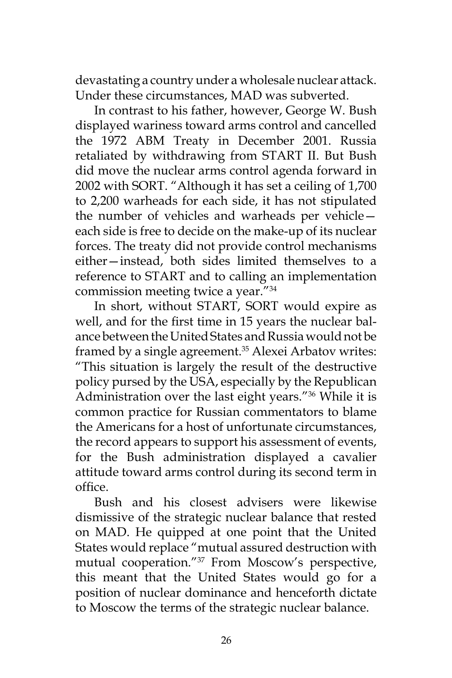devastating a country under a wholesale nuclear attack. Under these circumstances, MAD was subverted.

In contrast to his father, however, George W. Bush displayed wariness toward arms control and cancelled the 1972 ABM Treaty in December 2001. Russia retaliated by withdrawing from START II. But Bush did move the nuclear arms control agenda forward in 2002 with SORT. "Although it has set a ceiling of 1,700 to 2,200 warheads for each side, it has not stipulated the number of vehicles and warheads per vehicle each side is free to decide on the make-up of its nuclear forces. The treaty did not provide control mechanisms either—instead, both sides limited themselves to a reference to START and to calling an implementation commission meeting twice a year."34

In short, without START, SORT would expire as well, and for the first time in 15 years the nuclear balance between the United States and Russia would not be framed by a single agreement.<sup>35</sup> Alexei Arbatov writes: "This situation is largely the result of the destructive policy pursed by the USA, especially by the Republican Administration over the last eight years."36 While it is common practice for Russian commentators to blame the Americans for a host of unfortunate circumstances, the record appears to support his assessment of events, for the Bush administration displayed a cavalier attitude toward arms control during its second term in office.

Bush and his closest advisers were likewise dismissive of the strategic nuclear balance that rested on MAD. He quipped at one point that the United States would replace "mutual assured destruction with mutual cooperation."37 From Moscow's perspective, this meant that the United States would go for a position of nuclear dominance and henceforth dictate to Moscow the terms of the strategic nuclear balance.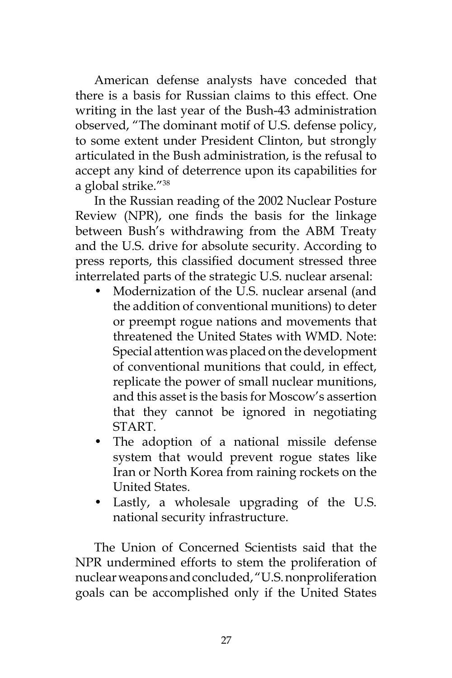American defense analysts have conceded that there is a basis for Russian claims to this effect. One writing in the last year of the Bush-43 administration observed, "The dominant motif of U.S. defense policy, to some extent under President Clinton, but strongly articulated in the Bush administration, is the refusal to accept any kind of deterrence upon its capabilities for a global strike."38

In the Russian reading of the 2002 Nuclear Posture Review (NPR), one finds the basis for the linkage between Bush's withdrawing from the ABM Treaty and the U.S. drive for absolute security. According to press reports, this classified document stressed three interrelated parts of the strategic U.S. nuclear arsenal:

- Modernization of the U.S. nuclear arsenal (and the addition of conventional munitions) to deter or preempt rogue nations and movements that threatened the United States with WMD. Note: Special attention was placed on the development of conventional munitions that could, in effect, replicate the power of small nuclear munitions, and this asset is the basis for Moscow's assertion that they cannot be ignored in negotiating START.
- The adoption of a national missile defense system that would prevent rogue states like Iran or North Korea from raining rockets on the United States.
- Lastly, a wholesale upgrading of the U.S. national security infrastructure.

The Union of Concerned Scientists said that the NPR undermined efforts to stem the proliferation of nuclear weapons and concluded, "U.S. nonproliferation goals can be accomplished only if the United States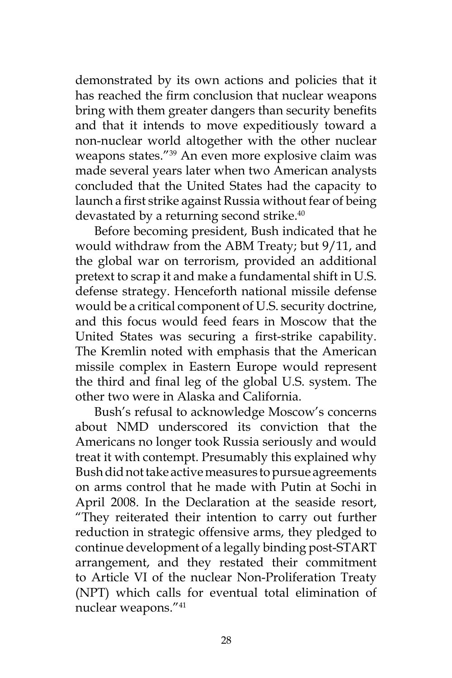demonstrated by its own actions and policies that it has reached the firm conclusion that nuclear weapons bring with them greater dangers than security benefits and that it intends to move expeditiously toward a non-nuclear world altogether with the other nuclear weapons states."39 An even more explosive claim was made several years later when two American analysts concluded that the United States had the capacity to launch a first strike against Russia without fear of being devastated by a returning second strike.<sup>40</sup>

Before becoming president, Bush indicated that he would withdraw from the ABM Treaty; but 9/11, and the global war on terrorism, provided an additional pretext to scrap it and make a fundamental shift in U.S. defense strategy. Henceforth national missile defense would be a critical component of U.S. security doctrine, and this focus would feed fears in Moscow that the United States was securing a first-strike capability. The Kremlin noted with emphasis that the American missile complex in Eastern Europe would represent the third and final leg of the global U.S. system. The other two were in Alaska and California.

Bush's refusal to acknowledge Moscow's concerns about NMD underscored its conviction that the Americans no longer took Russia seriously and would treat it with contempt. Presumably this explained why Bush did not take active measures to pursue agreements on arms control that he made with Putin at Sochi in April 2008. In the Declaration at the seaside resort, "They reiterated their intention to carry out further reduction in strategic offensive arms, they pledged to continue development of a legally binding post-START arrangement, and they restated their commitment to Article VI of the nuclear Non-Proliferation Treaty (NPT) which calls for eventual total elimination of nuclear weapons."41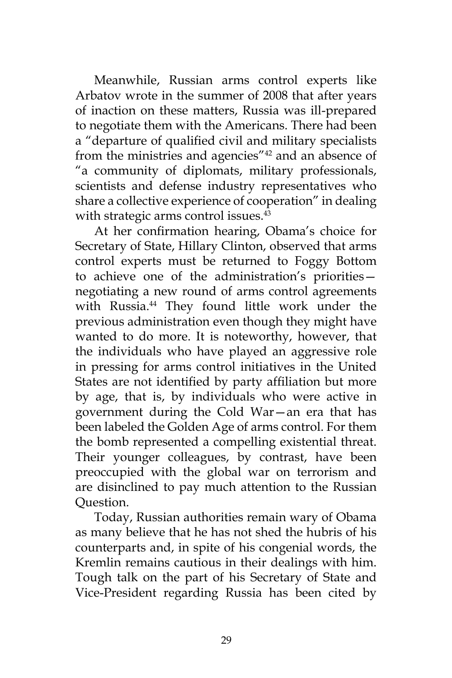Meanwhile, Russian arms control experts like Arbatov wrote in the summer of 2008 that after years of inaction on these matters, Russia was ill-prepared to negotiate them with the Americans. There had been a "departure of qualified civil and military specialists from the ministries and agencies"<sup>42</sup> and an absence of "a community of diplomats, military professionals, scientists and defense industry representatives who share a collective experience of cooperation" in dealing with strategic arms control issues.<sup>43</sup>

At her confirmation hearing, Obama's choice for Secretary of State, Hillary Clinton, observed that arms control experts must be returned to Foggy Bottom to achieve one of the administration's priorities negotiating a new round of arms control agreements with Russia.<sup>44</sup> They found little work under the previous administration even though they might have wanted to do more. It is noteworthy, however, that the individuals who have played an aggressive role in pressing for arms control initiatives in the United States are not identified by party affiliation but more by age, that is, by individuals who were active in government during the Cold War—an era that has been labeled the Golden Age of arms control. For them the bomb represented a compelling existential threat. Their younger colleagues, by contrast, have been preoccupied with the global war on terrorism and are disinclined to pay much attention to the Russian Question.

Today, Russian authorities remain wary of Obama as many believe that he has not shed the hubris of his counterparts and, in spite of his congenial words, the Kremlin remains cautious in their dealings with him. Tough talk on the part of his Secretary of State and Vice-President regarding Russia has been cited by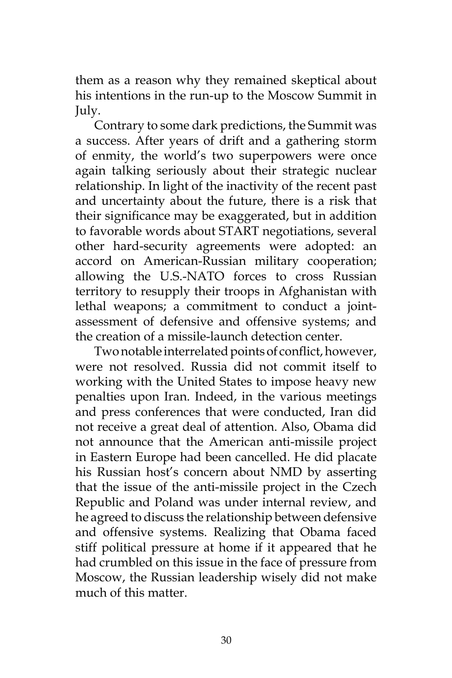them as a reason why they remained skeptical about his intentions in the run-up to the Moscow Summit in July.

Contrary to some dark predictions, the Summit was a success. After years of drift and a gathering storm of enmity, the world's two superpowers were once again talking seriously about their strategic nuclear relationship. In light of the inactivity of the recent past and uncertainty about the future, there is a risk that their significance may be exaggerated, but in addition to favorable words about START negotiations, several other hard-security agreements were adopted: an accord on American-Russian military cooperation; allowing the U.S.-NATO forces to cross Russian territory to resupply their troops in Afghanistan with lethal weapons; a commitment to conduct a jointassessment of defensive and offensive systems; and the creation of a missile-launch detection center.

Two notable interrelated points of conflict, however, were not resolved. Russia did not commit itself to working with the United States to impose heavy new penalties upon Iran. Indeed, in the various meetings and press conferences that were conducted, Iran did not receive a great deal of attention. Also, Obama did not announce that the American anti-missile project in Eastern Europe had been cancelled. He did placate his Russian host's concern about NMD by asserting that the issue of the anti-missile project in the Czech Republic and Poland was under internal review, and he agreed to discuss the relationship between defensive and offensive systems. Realizing that Obama faced stiff political pressure at home if it appeared that he had crumbled on this issue in the face of pressure from Moscow, the Russian leadership wisely did not make much of this matter.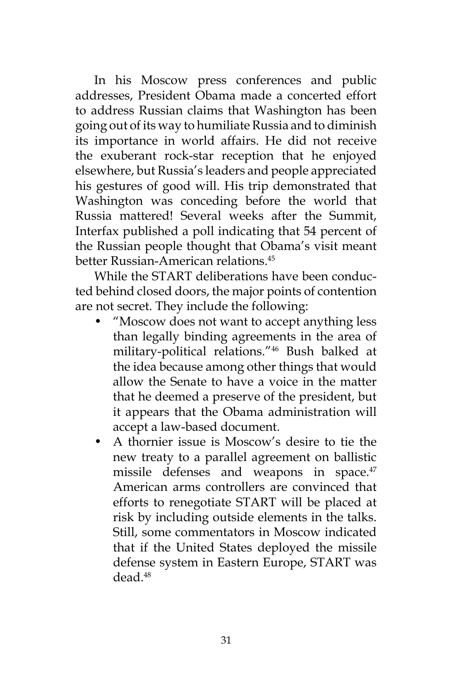In his Moscow press conferences and public addresses, President Obama made a concerted effort to address Russian claims that Washington has been going out of its way to humiliate Russia and to diminish its importance in world affairs. He did not receive the exuberant rock-star reception that he enjoyed elsewhere, but Russia's leaders and people appreciated his gestures of good will. His trip demonstrated that Washington was conceding before the world that Russia mattered! Several weeks after the Summit, Interfax published a poll indicating that 54 percent of the Russian people thought that Obama's visit meant better Russian-American relations.<sup>45</sup>

While the START deliberations have been conducted behind closed doors, the major points of contention are not secret. They include the following:

- "Moscow does not want to accept anything less than legally binding agreements in the area of military-political relations."46 Bush balked at the idea because among other things that would allow the Senate to have a voice in the matter that he deemed a preserve of the president, but it appears that the Obama administration will accept a law-based document.
- A thornier issue is Moscow's desire to tie the new treaty to a parallel agreement on ballistic missile defenses and weapons in space.<sup>47</sup> American arms controllers are convinced that efforts to renegotiate START will be placed at risk by including outside elements in the talks. Still, some commentators in Moscow indicated that if the United States deployed the missile defense system in Eastern Europe, START was dead.48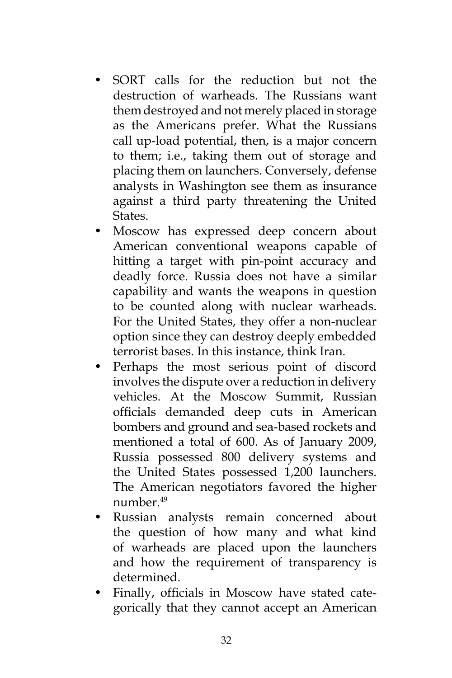- SORT calls for the reduction but not the destruction of warheads. The Russians want them destroyed and not merely placed in storage as the Americans prefer. What the Russians call up-load potential, then, is a major concern to them; i.e., taking them out of storage and placing them on launchers. Conversely, defense analysts in Washington see them as insurance against a third party threatening the United States.
- Moscow has expressed deep concern about American conventional weapons capable of hitting a target with pin-point accuracy and deadly force. Russia does not have a similar capability and wants the weapons in question to be counted along with nuclear warheads. For the United States, they offer a non-nuclear option since they can destroy deeply embedded terrorist bases. In this instance, think Iran.
- Perhaps the most serious point of discord involves the dispute over a reduction in delivery vehicles. At the Moscow Summit, Russian officials demanded deep cuts in American bombers and ground and sea-based rockets and mentioned a total of 600. As of January 2009, Russia possessed 800 delivery systems and the United States possessed 1,200 launchers. The American negotiators favored the higher number.49
- Russian analysts remain concerned about the question of how many and what kind of warheads are placed upon the launchers and how the requirement of transparency is determined.
- Finally, officials in Moscow have stated categorically that they cannot accept an American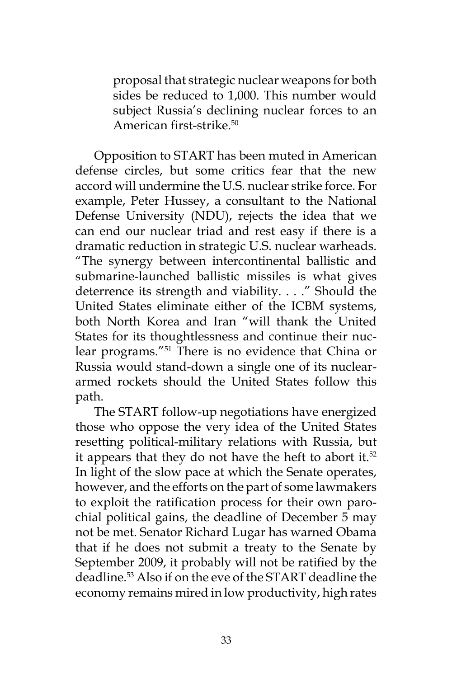proposal that strategic nuclear weapons for both sides be reduced to 1,000. This number would subject Russia's declining nuclear forces to an American first-strike.50

Opposition to START has been muted in American defense circles, but some critics fear that the new accord will undermine the U.S. nuclear strike force. For example, Peter Hussey, a consultant to the National Defense University (NDU), rejects the idea that we can end our nuclear triad and rest easy if there is a dramatic reduction in strategic U.S. nuclear warheads. "The synergy between intercontinental ballistic and submarine-launched ballistic missiles is what gives deterrence its strength and viability. . . ." Should the United States eliminate either of the ICBM systems, both North Korea and Iran "will thank the United States for its thoughtlessness and continue their nuclear programs."51 There is no evidence that China or Russia would stand-down a single one of its nucleararmed rockets should the United States follow this path.

The START follow-up negotiations have energized those who oppose the very idea of the United States resetting political-military relations with Russia, but it appears that they do not have the heft to abort it. $52$ In light of the slow pace at which the Senate operates, however, and the efforts on the part of some lawmakers to exploit the ratification process for their own parochial political gains, the deadline of December 5 may not be met. Senator Richard Lugar has warned Obama that if he does not submit a treaty to the Senate by September 2009, it probably will not be ratified by the deadline.53 Also if on the eve of the START deadline the economy remains mired in low productivity, high rates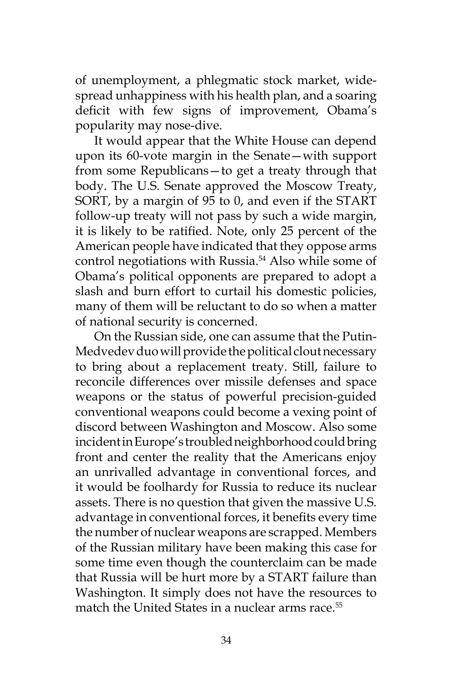of unemployment, a phlegmatic stock market, widespread unhappiness with his health plan, and a soaring deficit with few signs of improvement, Obama's popularity may nose-dive.

It would appear that the White House can depend upon its 60-vote margin in the Senate—with support from some Republicans—to get a treaty through that body. The U.S. Senate approved the Moscow Treaty, SORT, by a margin of 95 to 0, and even if the START follow-up treaty will not pass by such a wide margin, it is likely to be ratified. Note, only 25 percent of the American people have indicated that they oppose arms control negotiations with Russia.54 Also while some of Obama's political opponents are prepared to adopt a slash and burn effort to curtail his domestic policies, many of them will be reluctant to do so when a matter of national security is concerned.

On the Russian side, one can assume that the Putin-Medvedev duo will provide the political clout necessary to bring about a replacement treaty. Still, failure to reconcile differences over missile defenses and space weapons or the status of powerful precision-guided conventional weapons could become a vexing point of discord between Washington and Moscow. Also some incident in Europe's troubled neighborhood could bring front and center the reality that the Americans enjoy an unrivalled advantage in conventional forces, and it would be foolhardy for Russia to reduce its nuclear assets. There is no question that given the massive U.S. advantage in conventional forces, it benefits every time the number of nuclear weapons are scrapped. Members of the Russian military have been making this case for some time even though the counterclaim can be made that Russia will be hurt more by a START failure than Washington. It simply does not have the resources to match the United States in a nuclear arms race.<sup>55</sup>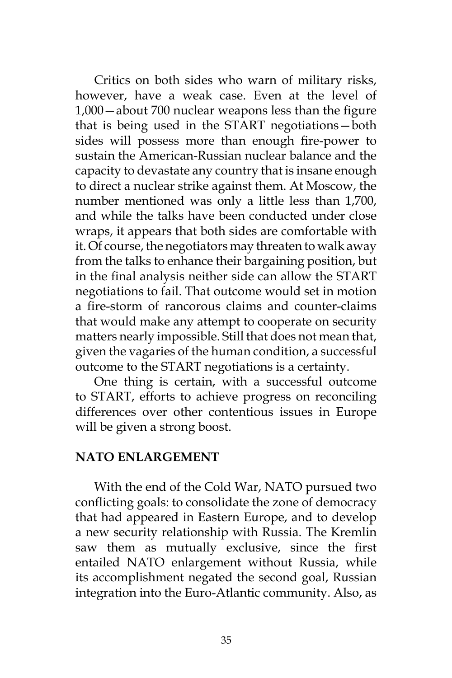Critics on both sides who warn of military risks, however, have a weak case. Even at the level of 1,000—about 700 nuclear weapons less than the figure that is being used in the START negotiations—both sides will possess more than enough fire-power to sustain the American-Russian nuclear balance and the capacity to devastate any country that is insane enough to direct a nuclear strike against them. At Moscow, the number mentioned was only a little less than 1,700, and while the talks have been conducted under close wraps, it appears that both sides are comfortable with it. Of course, the negotiators may threaten to walk away from the talks to enhance their bargaining position, but in the final analysis neither side can allow the START negotiations to fail. That outcome would set in motion a fire-storm of rancorous claims and counter-claims that would make any attempt to cooperate on security matters nearly impossible. Still that does not mean that, given the vagaries of the human condition, a successful outcome to the START negotiations is a certainty.

One thing is certain, with a successful outcome to START, efforts to achieve progress on reconciling differences over other contentious issues in Europe will be given a strong boost.

## **NATO ENLARGEMENT**

With the end of the Cold War, NATO pursued two conflicting goals: to consolidate the zone of democracy that had appeared in Eastern Europe, and to develop a new security relationship with Russia. The Kremlin saw them as mutually exclusive, since the first entailed NATO enlargement without Russia, while its accomplishment negated the second goal, Russian integration into the Euro-Atlantic community. Also, as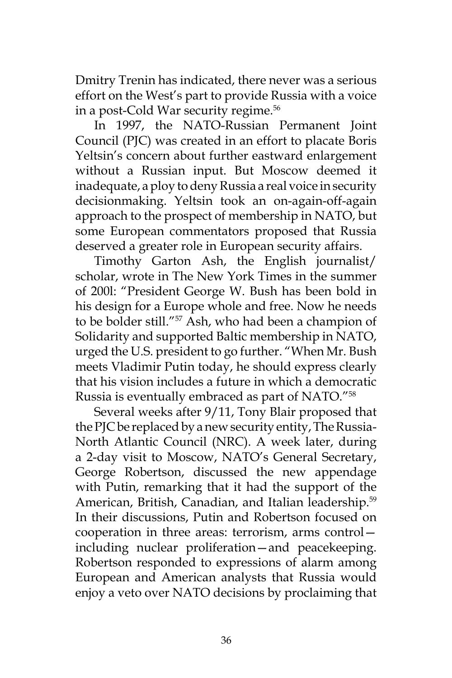Dmitry Trenin has indicated, there never was a serious effort on the West's part to provide Russia with a voice in a post-Cold War security regime.<sup>56</sup>

In 1997, the NATO-Russian Permanent Joint Council (PJC) was created in an effort to placate Boris Yeltsin's concern about further eastward enlargement without a Russian input. But Moscow deemed it inadequate, a ploy to deny Russia a real voice in security decisionmaking. Yeltsin took an on-again-off-again approach to the prospect of membership in NATO, but some European commentators proposed that Russia deserved a greater role in European security affairs.

Timothy Garton Ash, the English journalist/ scholar, wrote in The New York Times in the summer of 200l: "President George W. Bush has been bold in his design for a Europe whole and free. Now he needs to be bolder still."<sup>57</sup> Ash, who had been a champion of Solidarity and supported Baltic membership in NATO, urged the U.S. president to go further. "When Mr. Bush meets Vladimir Putin today, he should express clearly that his vision includes a future in which a democratic Russia is eventually embraced as part of NATO."58

Several weeks after 9/11, Tony Blair proposed that the PJC be replaced by a new security entity, The Russia-North Atlantic Council (NRC). A week later, during a 2-day visit to Moscow, NATO's General Secretary, George Robertson, discussed the new appendage with Putin, remarking that it had the support of the American, British, Canadian, and Italian leadership.<sup>59</sup> In their discussions, Putin and Robertson focused on cooperation in three areas: terrorism, arms control including nuclear proliferation—and peacekeeping. Robertson responded to expressions of alarm among European and American analysts that Russia would enjoy a veto over NATO decisions by proclaiming that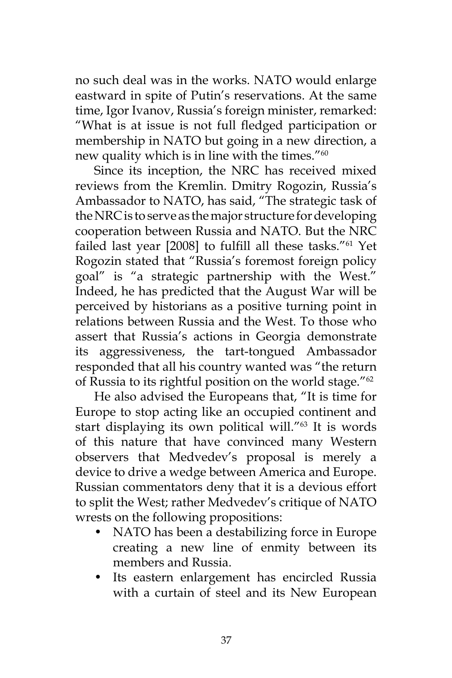no such deal was in the works. NATO would enlarge eastward in spite of Putin's reservations. At the same time, Igor Ivanov, Russia's foreign minister, remarked: "What is at issue is not full fledged participation or membership in NATO but going in a new direction, a new quality which is in line with the times."60

Since its inception, the NRC has received mixed reviews from the Kremlin. Dmitry Rogozin, Russia's Ambassador to NATO, has said, "The strategic task of the NRC is to serve as the major structure for developing cooperation between Russia and NATO. But the NRC failed last year [2008] to fulfill all these tasks."61 Yet Rogozin stated that "Russia's foremost foreign policy goal" is "a strategic partnership with the West." Indeed, he has predicted that the August War will be perceived by historians as a positive turning point in relations between Russia and the West. To those who assert that Russia's actions in Georgia demonstrate its aggressiveness, the tart-tongued Ambassador responded that all his country wanted was "the return of Russia to its rightful position on the world stage."62

He also advised the Europeans that, "It is time for Europe to stop acting like an occupied continent and start displaying its own political will."63 It is words of this nature that have convinced many Western observers that Medvedev's proposal is merely a device to drive a wedge between America and Europe. Russian commentators deny that it is a devious effort to split the West; rather Medvedev's critique of NATO wrests on the following propositions:

- NATO has been a destabilizing force in Europe creating a new line of enmity between its members and Russia.
- Its eastern enlargement has encircled Russia with a curtain of steel and its New European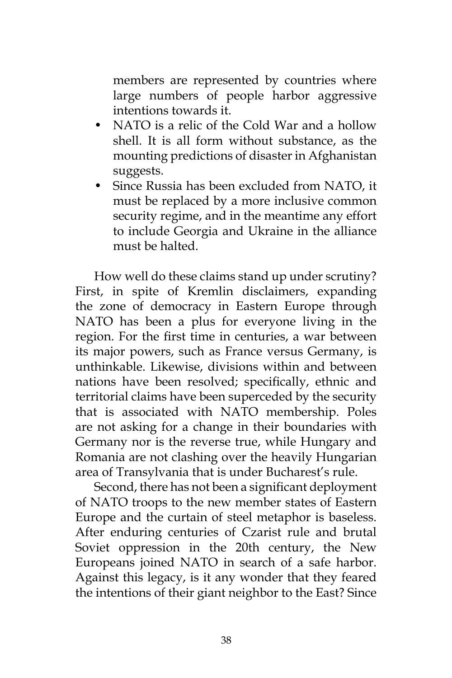members are represented by countries where large numbers of people harbor aggressive intentions towards it.

- NATO is a relic of the Cold War and a hollow shell. It is all form without substance, as the mounting predictions of disaster in Afghanistan suggests.
- Since Russia has been excluded from NATO, it must be replaced by a more inclusive common security regime, and in the meantime any effort to include Georgia and Ukraine in the alliance must be halted.

How well do these claims stand up under scrutiny? First, in spite of Kremlin disclaimers, expanding the zone of democracy in Eastern Europe through NATO has been a plus for everyone living in the region. For the first time in centuries, a war between its major powers, such as France versus Germany, is unthinkable. Likewise, divisions within and between nations have been resolved; specifically, ethnic and territorial claims have been superceded by the security that is associated with NATO membership. Poles are not asking for a change in their boundaries with Germany nor is the reverse true, while Hungary and Romania are not clashing over the heavily Hungarian area of Transylvania that is under Bucharest's rule.

Second, there has not been a significant deployment of NATO troops to the new member states of Eastern Europe and the curtain of steel metaphor is baseless. After enduring centuries of Czarist rule and brutal Soviet oppression in the 20th century, the New Europeans joined NATO in search of a safe harbor. Against this legacy, is it any wonder that they feared the intentions of their giant neighbor to the East? Since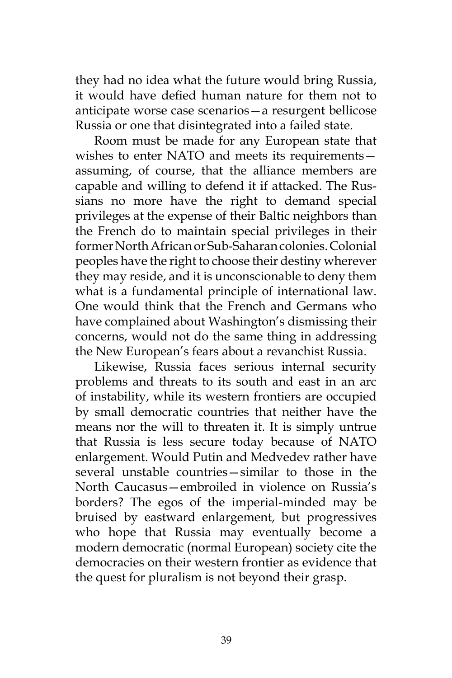they had no idea what the future would bring Russia, it would have defied human nature for them not to anticipate worse case scenarios—a resurgent bellicose Russia or one that disintegrated into a failed state.

Room must be made for any European state that wishes to enter NATO and meets its requirements assuming, of course, that the alliance members are capable and willing to defend it if attacked. The Russians no more have the right to demand special privileges at the expense of their Baltic neighbors than the French do to maintain special privileges in their former North African or Sub-Saharan colonies. Colonial peoples have the right to choose their destiny wherever they may reside, and it is unconscionable to deny them what is a fundamental principle of international law. One would think that the French and Germans who have complained about Washington's dismissing their concerns, would not do the same thing in addressing the New European's fears about a revanchist Russia.

Likewise, Russia faces serious internal security problems and threats to its south and east in an arc of instability, while its western frontiers are occupied by small democratic countries that neither have the means nor the will to threaten it. It is simply untrue that Russia is less secure today because of NATO enlargement. Would Putin and Medvedev rather have several unstable countries—similar to those in the North Caucasus—embroiled in violence on Russia's borders? The egos of the imperial-minded may be bruised by eastward enlargement, but progressives who hope that Russia may eventually become a modern democratic (normal European) society cite the democracies on their western frontier as evidence that the quest for pluralism is not beyond their grasp.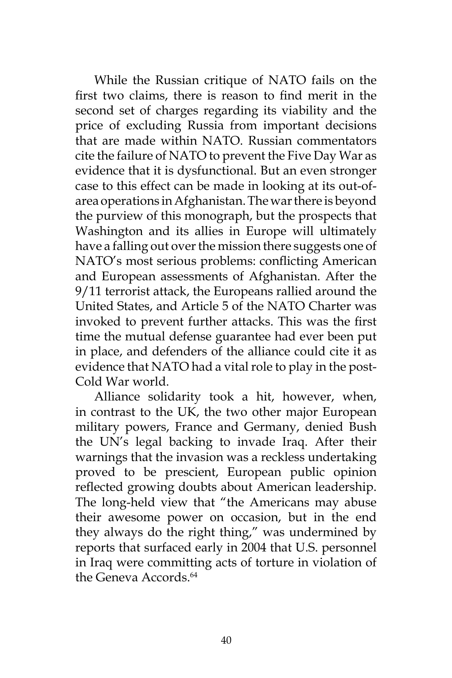While the Russian critique of NATO fails on the first two claims, there is reason to find merit in the second set of charges regarding its viability and the price of excluding Russia from important decisions that are made within NATO. Russian commentators cite the failure of NATO to prevent the Five Day War as evidence that it is dysfunctional. But an even stronger case to this effect can be made in looking at its out-ofarea operations in Afghanistan. The war there is beyond the purview of this monograph, but the prospects that Washington and its allies in Europe will ultimately have a falling out over the mission there suggests one of NATO's most serious problems: conflicting American and European assessments of Afghanistan. After the 9/11 terrorist attack, the Europeans rallied around the United States, and Article 5 of the NATO Charter was invoked to prevent further attacks. This was the first time the mutual defense guarantee had ever been put in place, and defenders of the alliance could cite it as evidence that NATO had a vital role to play in the post-Cold War world.

Alliance solidarity took a hit, however, when, in contrast to the UK, the two other major European military powers, France and Germany, denied Bush the UN's legal backing to invade Iraq. After their warnings that the invasion was a reckless undertaking proved to be prescient, European public opinion reflected growing doubts about American leadership. The long-held view that "the Americans may abuse their awesome power on occasion, but in the end they always do the right thing," was undermined by reports that surfaced early in 2004 that U.S. personnel in Iraq were committing acts of torture in violation of the Geneva Accords.<sup>64</sup>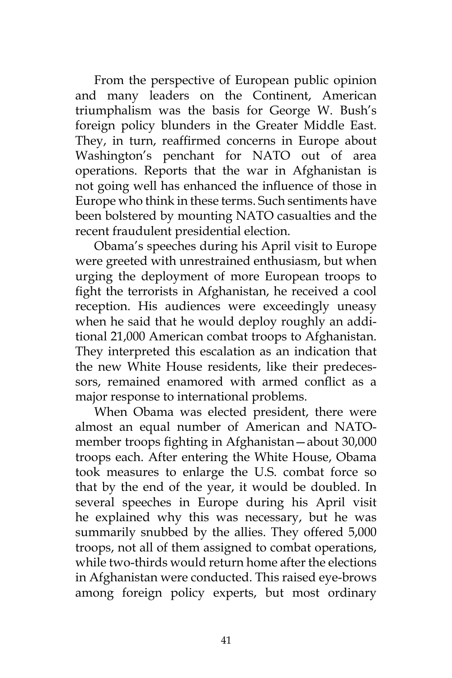From the perspective of European public opinion and many leaders on the Continent, American triumphalism was the basis for George W. Bush's foreign policy blunders in the Greater Middle East. They, in turn, reaffirmed concerns in Europe about Washington's penchant for NATO out of area operations. Reports that the war in Afghanistan is not going well has enhanced the influence of those in Europe who think in these terms. Such sentiments have been bolstered by mounting NATO casualties and the recent fraudulent presidential election.

Obama's speeches during his April visit to Europe were greeted with unrestrained enthusiasm, but when urging the deployment of more European troops to fight the terrorists in Afghanistan, he received a cool reception. His audiences were exceedingly uneasy when he said that he would deploy roughly an additional 21,000 American combat troops to Afghanistan. They interpreted this escalation as an indication that the new White House residents, like their predecessors, remained enamored with armed conflict as a major response to international problems.

When Obama was elected president, there were almost an equal number of American and NATOmember troops fighting in Afghanistan—about 30,000 troops each. After entering the White House, Obama took measures to enlarge the U.S. combat force so that by the end of the year, it would be doubled. In several speeches in Europe during his April visit he explained why this was necessary, but he was summarily snubbed by the allies. They offered 5,000 troops, not all of them assigned to combat operations, while two-thirds would return home after the elections in Afghanistan were conducted. This raised eye-brows among foreign policy experts, but most ordinary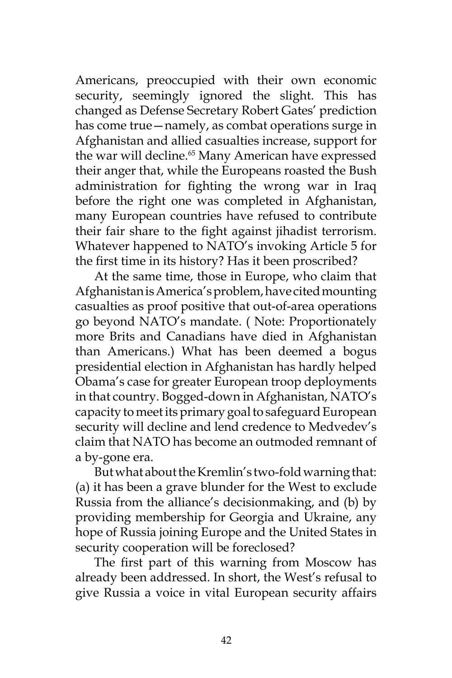Americans, preoccupied with their own economic security, seemingly ignored the slight. This has changed as Defense Secretary Robert Gates' prediction has come true—namely, as combat operations surge in Afghanistan and allied casualties increase, support for the war will decline.<sup>65</sup> Many American have expressed their anger that, while the Europeans roasted the Bush administration for fighting the wrong war in Iraq before the right one was completed in Afghanistan, many European countries have refused to contribute their fair share to the fight against jihadist terrorism. Whatever happened to NATO's invoking Article 5 for the first time in its history? Has it been proscribed?

At the same time, those in Europe, who claim that Afghanistan is America's problem, have cited mounting casualties as proof positive that out-of-area operations go beyond NATO's mandate. ( Note: Proportionately more Brits and Canadians have died in Afghanistan than Americans.) What has been deemed a bogus presidential election in Afghanistan has hardly helped Obama's case for greater European troop deployments in that country. Bogged-down in Afghanistan, NATO's capacity to meet its primary goal to safeguard European security will decline and lend credence to Medvedev's claim that NATO has become an outmoded remnant of a by-gone era.

But what about the Kremlin's two-fold warning that: (a) it has been a grave blunder for the West to exclude Russia from the alliance's decisionmaking, and (b) by providing membership for Georgia and Ukraine, any hope of Russia joining Europe and the United States in security cooperation will be foreclosed?

The first part of this warning from Moscow has already been addressed. In short, the West's refusal to give Russia a voice in vital European security affairs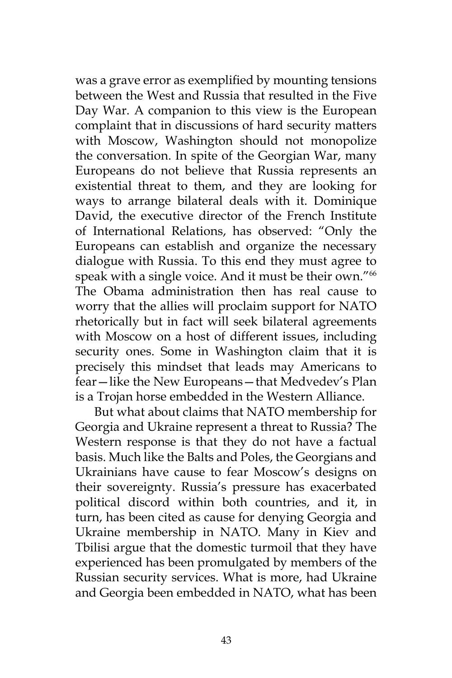was a grave error as exemplified by mounting tensions between the West and Russia that resulted in the Five Day War. A companion to this view is the European complaint that in discussions of hard security matters with Moscow, Washington should not monopolize the conversation. In spite of the Georgian War, many Europeans do not believe that Russia represents an existential threat to them, and they are looking for ways to arrange bilateral deals with it. Dominique David, the executive director of the French Institute of International Relations, has observed: "Only the Europeans can establish and organize the necessary dialogue with Russia. To this end they must agree to speak with a single voice. And it must be their own."<sup>66</sup> The Obama administration then has real cause to worry that the allies will proclaim support for NATO rhetorically but in fact will seek bilateral agreements with Moscow on a host of different issues, including security ones. Some in Washington claim that it is precisely this mindset that leads may Americans to fear—like the New Europeans—that Medvedev's Plan is a Trojan horse embedded in the Western Alliance.

But what about claims that NATO membership for Georgia and Ukraine represent a threat to Russia? The Western response is that they do not have a factual basis. Much like the Balts and Poles, the Georgians and Ukrainians have cause to fear Moscow's designs on their sovereignty. Russia's pressure has exacerbated political discord within both countries, and it, in turn, has been cited as cause for denying Georgia and Ukraine membership in NATO. Many in Kiev and Tbilisi argue that the domestic turmoil that they have experienced has been promulgated by members of the Russian security services. What is more, had Ukraine and Georgia been embedded in NATO, what has been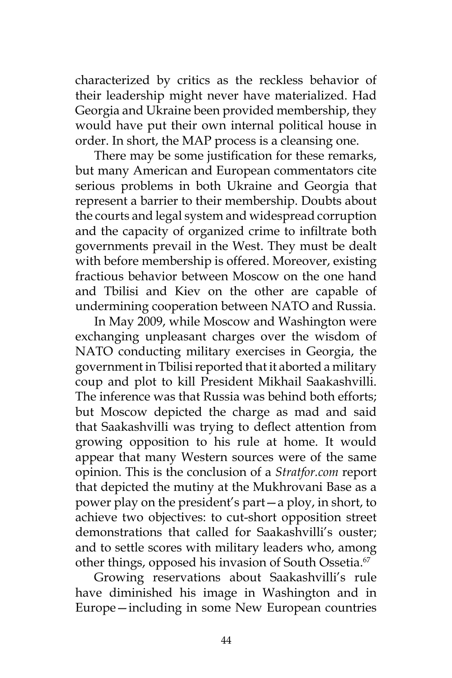characterized by critics as the reckless behavior of their leadership might never have materialized. Had Georgia and Ukraine been provided membership, they would have put their own internal political house in order. In short, the MAP process is a cleansing one.

There may be some justification for these remarks, but many American and European commentators cite serious problems in both Ukraine and Georgia that represent a barrier to their membership. Doubts about the courts and legal system and widespread corruption and the capacity of organized crime to infiltrate both governments prevail in the West. They must be dealt with before membership is offered. Moreover, existing fractious behavior between Moscow on the one hand and Tbilisi and Kiev on the other are capable of undermining cooperation between NATO and Russia.

In May 2009, while Moscow and Washington were exchanging unpleasant charges over the wisdom of NATO conducting military exercises in Georgia, the government in Tbilisi reported that it aborted a military coup and plot to kill President Mikhail Saakashvilli. The inference was that Russia was behind both efforts; but Moscow depicted the charge as mad and said that Saakashvilli was trying to deflect attention from growing opposition to his rule at home. It would appear that many Western sources were of the same opinion. This is the conclusion of a *Stratfor.com* report that depicted the mutiny at the Mukhrovani Base as a power play on the president's part—a ploy, in short, to achieve two objectives: to cut-short opposition street demonstrations that called for Saakashvilli's ouster; and to settle scores with military leaders who, among other things, opposed his invasion of South Ossetia.<sup>67</sup>

Growing reservations about Saakashvilli's rule have diminished his image in Washington and in Europe—including in some New European countries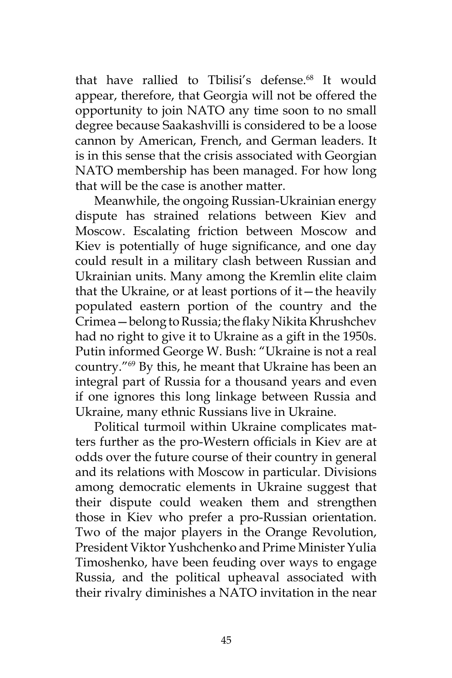that have rallied to Tbilisi's defense.<sup>68</sup> It would appear, therefore, that Georgia will not be offered the opportunity to join NATO any time soon to no small degree because Saakashvilli is considered to be a loose cannon by American, French, and German leaders. It is in this sense that the crisis associated with Georgian NATO membership has been managed. For how long that will be the case is another matter.

Meanwhile, the ongoing Russian-Ukrainian energy dispute has strained relations between Kiev and Moscow. Escalating friction between Moscow and Kiev is potentially of huge significance, and one day could result in a military clash between Russian and Ukrainian units. Many among the Kremlin elite claim that the Ukraine, or at least portions of it—the heavily populated eastern portion of the country and the Crimea—belong to Russia; the flaky Nikita Khrushchev had no right to give it to Ukraine as a gift in the 1950s. Putin informed George W. Bush: "Ukraine is not a real country."69 By this, he meant that Ukraine has been an integral part of Russia for a thousand years and even if one ignores this long linkage between Russia and Ukraine, many ethnic Russians live in Ukraine.

Political turmoil within Ukraine complicates matters further as the pro-Western officials in Kiev are at odds over the future course of their country in general and its relations with Moscow in particular. Divisions among democratic elements in Ukraine suggest that their dispute could weaken them and strengthen those in Kiev who prefer a pro-Russian orientation. Two of the major players in the Orange Revolution, President Viktor Yushchenko and Prime Minister Yulia Timoshenko, have been feuding over ways to engage Russia, and the political upheaval associated with their rivalry diminishes a NATO invitation in the near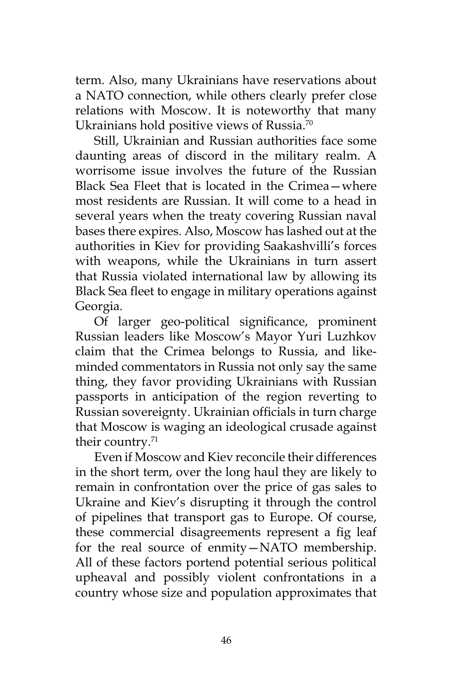term. Also, many Ukrainians have reservations about a NATO connection, while others clearly prefer close relations with Moscow. It is noteworthy that many Ukrainians hold positive views of Russia.70

Still, Ukrainian and Russian authorities face some daunting areas of discord in the military realm. A worrisome issue involves the future of the Russian Black Sea Fleet that is located in the Crimea—where most residents are Russian. It will come to a head in several years when the treaty covering Russian naval bases there expires. Also, Moscow has lashed out at the authorities in Kiev for providing Saakashvilli's forces with weapons, while the Ukrainians in turn assert that Russia violated international law by allowing its Black Sea fleet to engage in military operations against Georgia.

Of larger geo-political significance, prominent Russian leaders like Moscow's Mayor Yuri Luzhkov claim that the Crimea belongs to Russia, and likeminded commentators in Russia not only say the same thing, they favor providing Ukrainians with Russian passports in anticipation of the region reverting to Russian sovereignty. Ukrainian officials in turn charge that Moscow is waging an ideological crusade against their country.<sup>71</sup>

Even if Moscow and Kiev reconcile their differences in the short term, over the long haul they are likely to remain in confrontation over the price of gas sales to Ukraine and Kiev's disrupting it through the control of pipelines that transport gas to Europe. Of course, these commercial disagreements represent a fig leaf for the real source of enmity—NATO membership. All of these factors portend potential serious political upheaval and possibly violent confrontations in a country whose size and population approximates that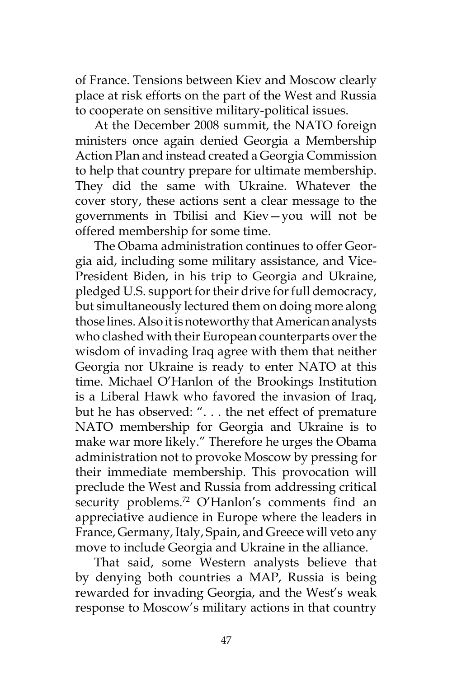of France. Tensions between Kiev and Moscow clearly place at risk efforts on the part of the West and Russia to cooperate on sensitive military-political issues.

At the December 2008 summit, the NATO foreign ministers once again denied Georgia a Membership Action Plan and instead created a Georgia Commission to help that country prepare for ultimate membership. They did the same with Ukraine. Whatever the cover story, these actions sent a clear message to the governments in Tbilisi and Kiev—you will not be offered membership for some time.

The Obama administration continues to offer Georgia aid, including some military assistance, and Vice-President Biden, in his trip to Georgia and Ukraine, pledged U.S. support for their drive for full democracy, but simultaneously lectured them on doing more along those lines. Also it is noteworthy that American analysts who clashed with their European counterparts over the wisdom of invading Iraq agree with them that neither Georgia nor Ukraine is ready to enter NATO at this time. Michael O'Hanlon of the Brookings Institution is a Liberal Hawk who favored the invasion of Iraq, but he has observed: ". . . the net effect of premature NATO membership for Georgia and Ukraine is to make war more likely." Therefore he urges the Obama administration not to provoke Moscow by pressing for their immediate membership. This provocation will preclude the West and Russia from addressing critical security problems.<sup>72</sup> O'Hanlon's comments find an appreciative audience in Europe where the leaders in France, Germany, Italy, Spain, and Greece will veto any move to include Georgia and Ukraine in the alliance.

That said, some Western analysts believe that by denying both countries a MAP, Russia is being rewarded for invading Georgia, and the West's weak response to Moscow's military actions in that country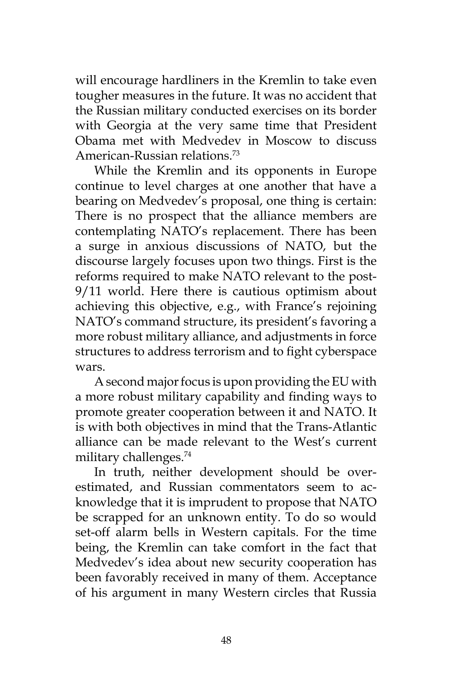will encourage hardliners in the Kremlin to take even tougher measures in the future. It was no accident that the Russian military conducted exercises on its border with Georgia at the very same time that President Obama met with Medvedev in Moscow to discuss American-Russian relations.73

While the Kremlin and its opponents in Europe continue to level charges at one another that have a bearing on Medvedev's proposal, one thing is certain: There is no prospect that the alliance members are contemplating NATO's replacement. There has been a surge in anxious discussions of NATO, but the discourse largely focuses upon two things. First is the reforms required to make NATO relevant to the post-9/11 world. Here there is cautious optimism about achieving this objective, e.g., with France's rejoining NATO's command structure, its president's favoring a more robust military alliance, and adjustments in force structures to address terrorism and to fight cyberspace wars.

A second major focus is upon providing the EU with a more robust military capability and finding ways to promote greater cooperation between it and NATO. It is with both objectives in mind that the Trans-Atlantic alliance can be made relevant to the West's current military challenges.74

In truth, neither development should be overestimated, and Russian commentators seem to acknowledge that it is imprudent to propose that NATO be scrapped for an unknown entity. To do so would set-off alarm bells in Western capitals. For the time being, the Kremlin can take comfort in the fact that Medvedev's idea about new security cooperation has been favorably received in many of them. Acceptance of his argument in many Western circles that Russia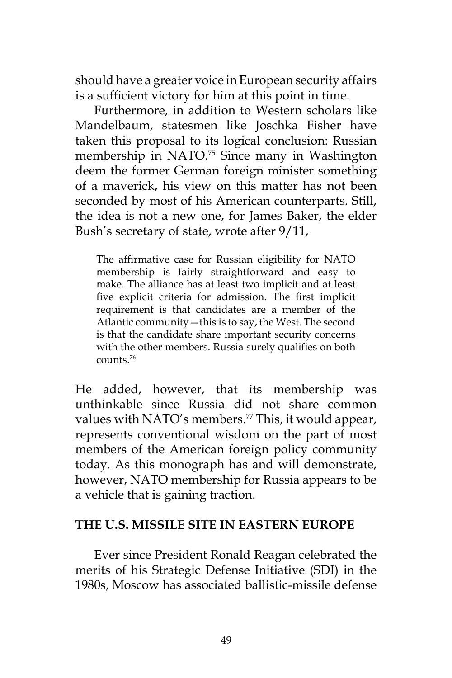should have a greater voice in European security affairs is a sufficient victory for him at this point in time.

Furthermore, in addition to Western scholars like Mandelbaum, statesmen like Joschka Fisher have taken this proposal to its logical conclusion: Russian membership in NATO.<sup>75</sup> Since many in Washington deem the former German foreign minister something of a maverick, his view on this matter has not been seconded by most of his American counterparts. Still, the idea is not a new one, for James Baker, the elder Bush's secretary of state, wrote after 9/11,

The affirmative case for Russian eligibility for NATO membership is fairly straightforward and easy to make. The alliance has at least two implicit and at least five explicit criteria for admission. The first implicit requirement is that candidates are a member of the Atlantic community—this is to say, the West. The second is that the candidate share important security concerns with the other members. Russia surely qualifies on both counts.76

He added, however, that its membership was unthinkable since Russia did not share common values with NATO's members.<sup>77</sup> This, it would appear, represents conventional wisdom on the part of most members of the American foreign policy community today. As this monograph has and will demonstrate, however, NATO membership for Russia appears to be a vehicle that is gaining traction.

## **THE U.S. MISSILE SITE IN EASTERN EUROPE**

Ever since President Ronald Reagan celebrated the merits of his Strategic Defense Initiative (SDI) in the 1980s, Moscow has associated ballistic-missile defense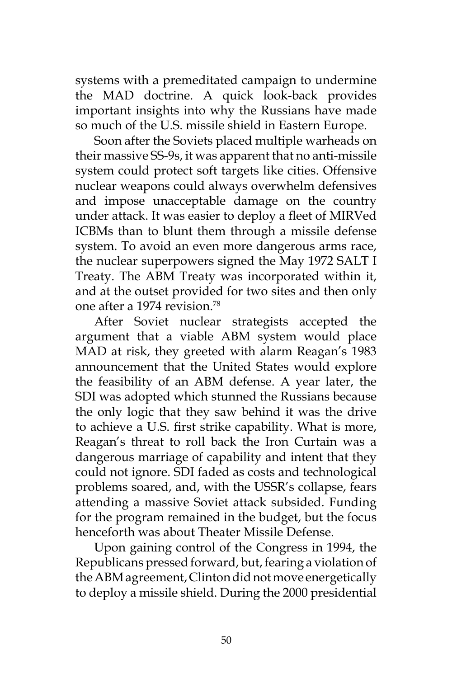systems with a premeditated campaign to undermine the MAD doctrine. A quick look-back provides important insights into why the Russians have made so much of the U.S. missile shield in Eastern Europe.

Soon after the Soviets placed multiple warheads on their massive SS-9s, it was apparent that no anti-missile system could protect soft targets like cities. Offensive nuclear weapons could always overwhelm defensives and impose unacceptable damage on the country under attack. It was easier to deploy a fleet of MIRVed ICBMs than to blunt them through a missile defense system. To avoid an even more dangerous arms race, the nuclear superpowers signed the May 1972 SALT I Treaty. The ABM Treaty was incorporated within it, and at the outset provided for two sites and then only one after a 1974 revision.78

After Soviet nuclear strategists accepted the argument that a viable ABM system would place MAD at risk, they greeted with alarm Reagan's 1983 announcement that the United States would explore the feasibility of an ABM defense. A year later, the SDI was adopted which stunned the Russians because the only logic that they saw behind it was the drive to achieve a U.S. first strike capability. What is more, Reagan's threat to roll back the Iron Curtain was a dangerous marriage of capability and intent that they could not ignore. SDI faded as costs and technological problems soared, and, with the USSR's collapse, fears attending a massive Soviet attack subsided. Funding for the program remained in the budget, but the focus henceforth was about Theater Missile Defense.

Upon gaining control of the Congress in 1994, the Republicans pressed forward, but, fearing a violation of the ABM agreement, Clinton did not move energetically to deploy a missile shield. During the 2000 presidential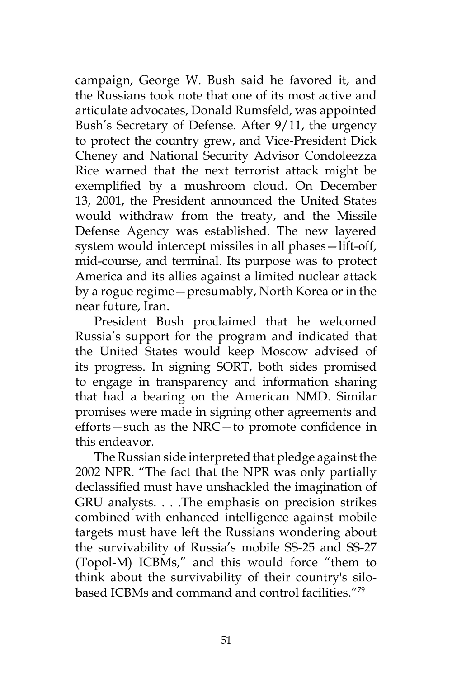campaign, George W. Bush said he favored it, and the Russians took note that one of its most active and articulate advocates, Donald Rumsfeld, was appointed Bush's Secretary of Defense. After 9/11, the urgency to protect the country grew, and Vice-President Dick Cheney and National Security Advisor Condoleezza Rice warned that the next terrorist attack might be exemplified by a mushroom cloud. On December 13, 2001, the President announced the United States would withdraw from the treaty, and the Missile Defense Agency was established. The new layered system would intercept missiles in all phases—lift-off, mid-course, and terminal. Its purpose was to protect America and its allies against a limited nuclear attack by a rogue regime—presumably, North Korea or in the near future, Iran.

President Bush proclaimed that he welcomed Russia's support for the program and indicated that the United States would keep Moscow advised of its progress. In signing SORT, both sides promised to engage in transparency and information sharing that had a bearing on the American NMD. Similar promises were made in signing other agreements and efforts—such as the NRC—to promote confidence in this endeavor.

The Russian side interpreted that pledge against the 2002 NPR. "The fact that the NPR was only partially declassified must have unshackled the imagination of GRU analysts. . . .The emphasis on precision strikes combined with enhanced intelligence against mobile targets must have left the Russians wondering about the survivability of Russia's mobile SS-25 and SS-27 (Topol-M) ICBMs," and this would force "them to think about the survivability of their country's silobased ICBMs and command and control facilities."79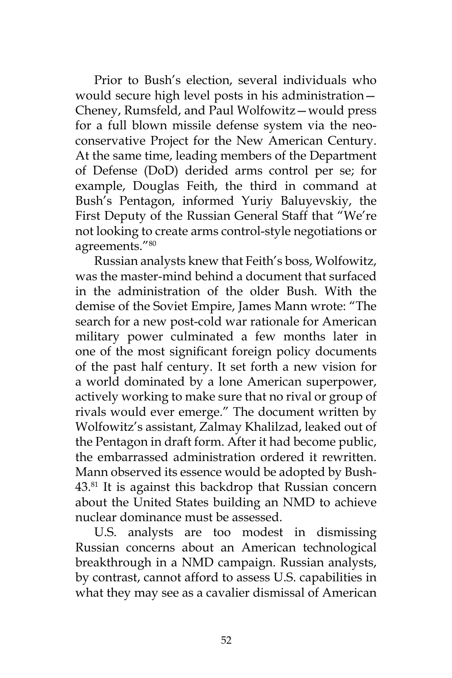Prior to Bush's election, several individuals who would secure high level posts in his administration— Cheney, Rumsfeld, and Paul Wolfowitz—would press for a full blown missile defense system via the neoconservative Project for the New American Century. At the same time, leading members of the Department of Defense (DoD) derided arms control per se; for example, Douglas Feith, the third in command at Bush's Pentagon, informed Yuriy Baluyevskiy, the First Deputy of the Russian General Staff that "We're not looking to create arms control-style negotiations or agreements."80

Russian analysts knew that Feith's boss, Wolfowitz, was the master-mind behind a document that surfaced in the administration of the older Bush. With the demise of the Soviet Empire, James Mann wrote: "The search for a new post-cold war rationale for American military power culminated a few months later in one of the most significant foreign policy documents of the past half century. It set forth a new vision for a world dominated by a lone American superpower, actively working to make sure that no rival or group of rivals would ever emerge." The document written by Wolfowitz's assistant, Zalmay Khalilzad, leaked out of the Pentagon in draft form. After it had become public, the embarrassed administration ordered it rewritten. Mann observed its essence would be adopted by Bush-43.<sup>81</sup> It is against this backdrop that Russian concern about the United States building an NMD to achieve nuclear dominance must be assessed.

U.S. analysts are too modest in dismissing Russian concerns about an American technological breakthrough in a NMD campaign. Russian analysts, by contrast, cannot afford to assess U.S. capabilities in what they may see as a cavalier dismissal of American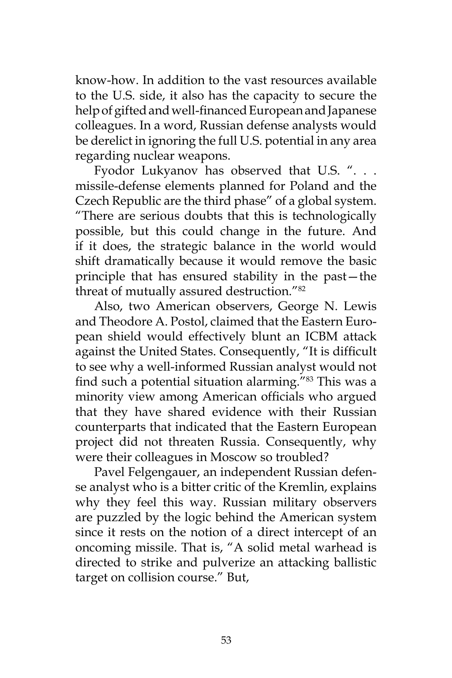know-how. In addition to the vast resources available to the U.S. side, it also has the capacity to secure the help of gifted and well-financed European and Japanese colleagues. In a word, Russian defense analysts would be derelict in ignoring the full U.S. potential in any area regarding nuclear weapons.

Fyodor Lukyanov has observed that U.S. "... missile-defense elements planned for Poland and the Czech Republic are the third phase" of a global system. "There are serious doubts that this is technologically possible, but this could change in the future. And if it does, the strategic balance in the world would shift dramatically because it would remove the basic principle that has ensured stability in the past—the threat of mutually assured destruction."82

Also, two American observers, George N. Lewis and Theodore A. Postol, claimed that the Eastern European shield would effectively blunt an ICBM attack against the United States. Consequently, "It is difficult to see why a well-informed Russian analyst would not find such a potential situation alarming."<sup>83</sup> This was a minority view among American officials who argued that they have shared evidence with their Russian counterparts that indicated that the Eastern European project did not threaten Russia. Consequently, why were their colleagues in Moscow so troubled?

Pavel Felgengauer, an independent Russian defense analyst who is a bitter critic of the Kremlin, explains why they feel this way. Russian military observers are puzzled by the logic behind the American system since it rests on the notion of a direct intercept of an oncoming missile. That is, "A solid metal warhead is directed to strike and pulverize an attacking ballistic target on collision course." But,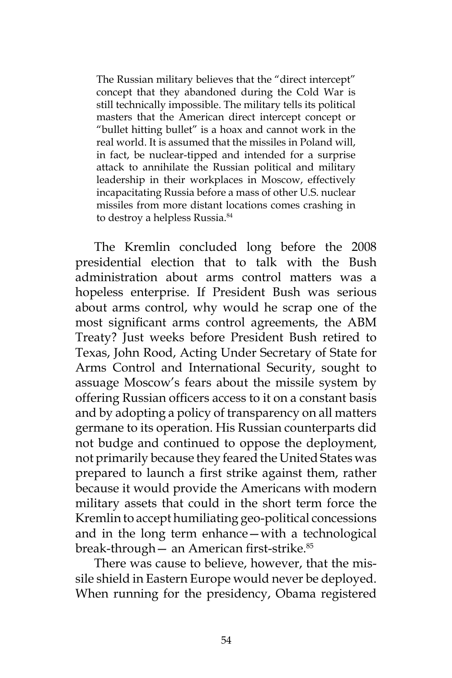The Russian military believes that the "direct intercept" concept that they abandoned during the Cold War is still technically impossible. The military tells its political masters that the American direct intercept concept or "bullet hitting bullet" is a hoax and cannot work in the real world. It is assumed that the missiles in Poland will, in fact, be nuclear-tipped and intended for a surprise attack to annihilate the Russian political and military leadership in their workplaces in Moscow, effectively incapacitating Russia before a mass of other U.S. nuclear missiles from more distant locations comes crashing in to destroy a helpless Russia.<sup>84</sup>

The Kremlin concluded long before the 2008 presidential election that to talk with the Bush administration about arms control matters was a hopeless enterprise. If President Bush was serious about arms control, why would he scrap one of the most significant arms control agreements, the ABM Treaty? Just weeks before President Bush retired to Texas, John Rood, Acting Under Secretary of State for Arms Control and International Security, sought to assuage Moscow's fears about the missile system by offering Russian officers access to it on a constant basis and by adopting a policy of transparency on all matters germane to its operation. His Russian counterparts did not budge and continued to oppose the deployment, not primarily because they feared the United States was prepared to launch a first strike against them, rather because it would provide the Americans with modern military assets that could in the short term force the Kremlin to accept humiliating geo-political concessions and in the long term enhance—with a technological break-through — an American first-strike.<sup>85</sup>

There was cause to believe, however, that the missile shield in Eastern Europe would never be deployed. When running for the presidency, Obama registered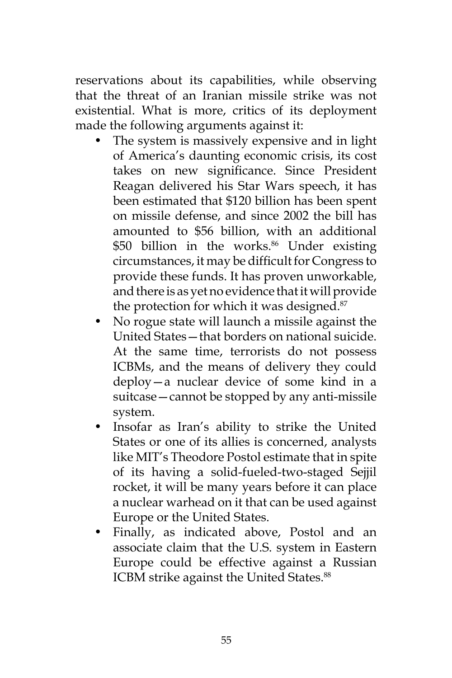reservations about its capabilities, while observing that the threat of an Iranian missile strike was not existential. What is more, critics of its deployment made the following arguments against it:

- The system is massively expensive and in light of America's daunting economic crisis, its cost takes on new significance. Since President Reagan delivered his Star Wars speech, it has been estimated that \$120 billion has been spent on missile defense, and since 2002 the bill has amounted to \$56 billion, with an additional \$50 billion in the works.<sup>86</sup> Under existing circumstances, it may be difficult for Congress to provide these funds. It has proven unworkable, and there is as yet no evidence that it will provide the protection for which it was designed.<sup>87</sup>
- No rogue state will launch a missile against the United States—that borders on national suicide. At the same time, terrorists do not possess ICBMs, and the means of delivery they could deploy—a nuclear device of some kind in a suitcase—cannot be stopped by any anti-missile system.
- Insofar as Iran's ability to strike the United States or one of its allies is concerned, analysts like MIT's Theodore Postol estimate that in spite of its having a solid-fueled-two-staged Sejjil rocket, it will be many years before it can place a nuclear warhead on it that can be used against Europe or the United States.
- Finally, as indicated above, Postol and an associate claim that the U.S. system in Eastern Europe could be effective against a Russian ICBM strike against the United States.<sup>88</sup>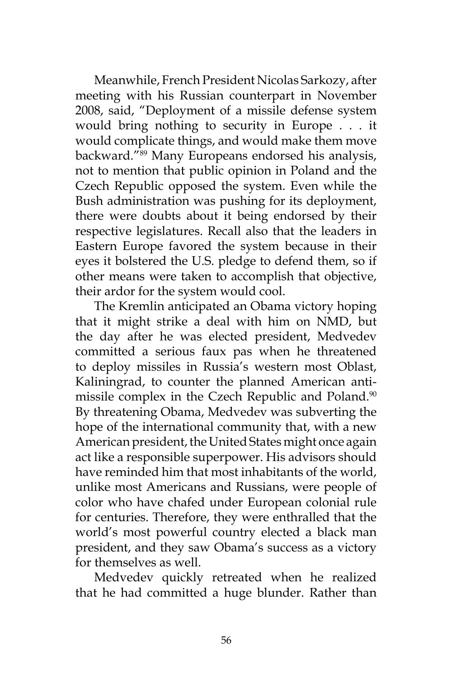Meanwhile, French President Nicolas Sarkozy, after meeting with his Russian counterpart in November 2008, said, "Deployment of a missile defense system would bring nothing to security in Europe . . . it would complicate things, and would make them move backward."89 Many Europeans endorsed his analysis, not to mention that public opinion in Poland and the Czech Republic opposed the system. Even while the Bush administration was pushing for its deployment, there were doubts about it being endorsed by their respective legislatures. Recall also that the leaders in Eastern Europe favored the system because in their eyes it bolstered the U.S. pledge to defend them, so if other means were taken to accomplish that objective, their ardor for the system would cool.

The Kremlin anticipated an Obama victory hoping that it might strike a deal with him on NMD, but the day after he was elected president, Medvedev committed a serious faux pas when he threatened to deploy missiles in Russia's western most Oblast, Kaliningrad, to counter the planned American antimissile complex in the Czech Republic and Poland.<sup>90</sup> By threatening Obama, Medvedev was subverting the hope of the international community that, with a new American president, the United States might once again act like a responsible superpower. His advisors should have reminded him that most inhabitants of the world, unlike most Americans and Russians, were people of color who have chafed under European colonial rule for centuries. Therefore, they were enthralled that the world's most powerful country elected a black man president, and they saw Obama's success as a victory for themselves as well.

Medvedev quickly retreated when he realized that he had committed a huge blunder. Rather than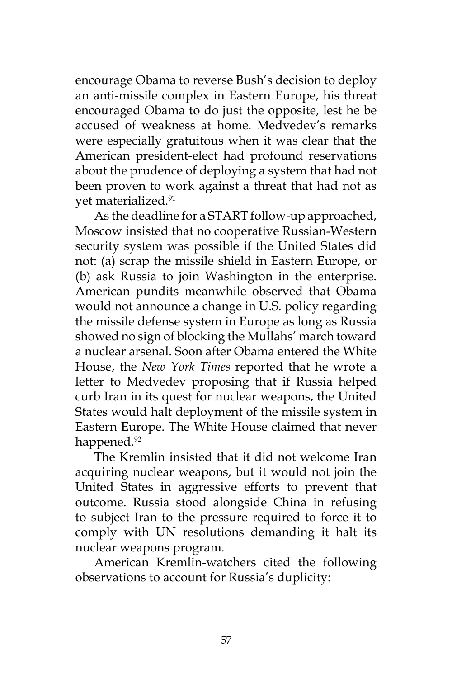encourage Obama to reverse Bush's decision to deploy an anti-missile complex in Eastern Europe, his threat encouraged Obama to do just the opposite, lest he be accused of weakness at home. Medvedev's remarks were especially gratuitous when it was clear that the American president-elect had profound reservations about the prudence of deploying a system that had not been proven to work against a threat that had not as yet materialized.<sup>91</sup>

As the deadline for a START follow-up approached, Moscow insisted that no cooperative Russian-Western security system was possible if the United States did not: (a) scrap the missile shield in Eastern Europe, or (b) ask Russia to join Washington in the enterprise. American pundits meanwhile observed that Obama would not announce a change in U.S. policy regarding the missile defense system in Europe as long as Russia showed no sign of blocking the Mullahs' march toward a nuclear arsenal. Soon after Obama entered the White House, the *New York Times* reported that he wrote a letter to Medvedev proposing that if Russia helped curb Iran in its quest for nuclear weapons, the United States would halt deployment of the missile system in Eastern Europe. The White House claimed that never happened.<sup>92</sup>

The Kremlin insisted that it did not welcome Iran acquiring nuclear weapons, but it would not join the United States in aggressive efforts to prevent that outcome. Russia stood alongside China in refusing to subject Iran to the pressure required to force it to comply with UN resolutions demanding it halt its nuclear weapons program.

American Kremlin-watchers cited the following observations to account for Russia's duplicity: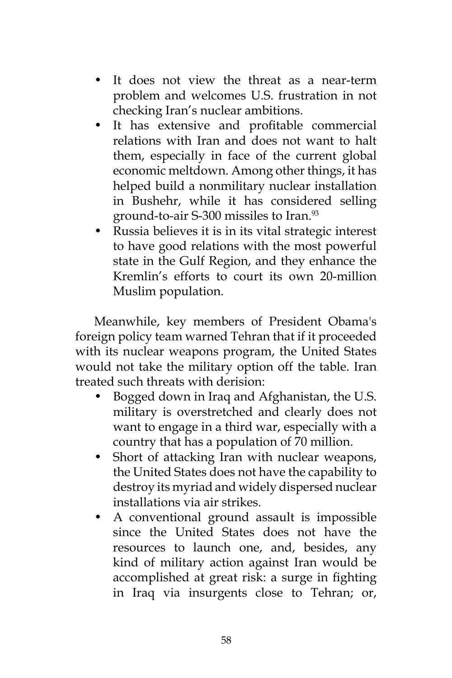- It does not view the threat as a near-term problem and welcomes U.S. frustration in not checking Iran's nuclear ambitions.
- It has extensive and profitable commercial relations with Iran and does not want to halt them, especially in face of the current global economic meltdown. Among other things, it has helped build a nonmilitary nuclear installation in Bushehr, while it has considered selling ground-to-air S-300 missiles to Iran.93
- Russia believes it is in its vital strategic interest to have good relations with the most powerful state in the Gulf Region, and they enhance the Kremlin's efforts to court its own 20-million Muslim population.

Meanwhile, key members of President Obama's foreign policy team warned Tehran that if it proceeded with its nuclear weapons program, the United States would not take the military option off the table. Iran treated such threats with derision:

- Bogged down in Iraq and Afghanistan, the U.S. military is overstretched and clearly does not want to engage in a third war, especially with a country that has a population of 70 million.
- Short of attacking Iran with nuclear weapons, the United States does not have the capability to destroy its myriad and widely dispersed nuclear installations via air strikes.
- A conventional ground assault is impossible since the United States does not have the resources to launch one, and, besides, any kind of military action against Iran would be accomplished at great risk: a surge in fighting in Iraq via insurgents close to Tehran; or,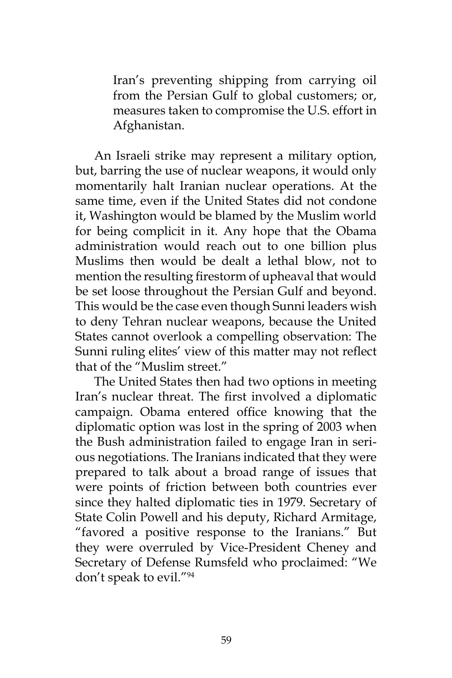Iran's preventing shipping from carrying oil from the Persian Gulf to global customers; or, measures taken to compromise the U.S. effort in Afghanistan.

An Israeli strike may represent a military option, but, barring the use of nuclear weapons, it would only momentarily halt Iranian nuclear operations. At the same time, even if the United States did not condone it, Washington would be blamed by the Muslim world for being complicit in it. Any hope that the Obama administration would reach out to one billion plus Muslims then would be dealt a lethal blow, not to mention the resulting firestorm of upheaval that would be set loose throughout the Persian Gulf and beyond. This would be the case even though Sunni leaders wish to deny Tehran nuclear weapons, because the United States cannot overlook a compelling observation: The Sunni ruling elites' view of this matter may not reflect that of the "Muslim street."

The United States then had two options in meeting Iran's nuclear threat. The first involved a diplomatic campaign. Obama entered office knowing that the diplomatic option was lost in the spring of 2003 when the Bush administration failed to engage Iran in serious negotiations. The Iranians indicated that they were prepared to talk about a broad range of issues that were points of friction between both countries ever since they halted diplomatic ties in 1979. Secretary of State Colin Powell and his deputy, Richard Armitage, "favored a positive response to the Iranians." But they were overruled by Vice-President Cheney and Secretary of Defense Rumsfeld who proclaimed: "We don't speak to evil."94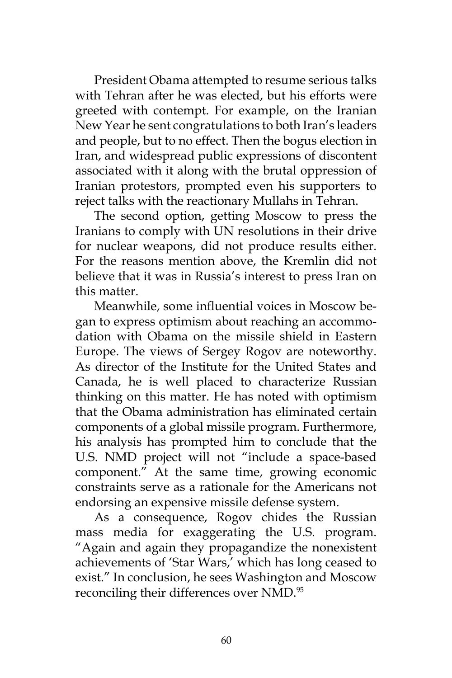President Obama attempted to resume serious talks with Tehran after he was elected, but his efforts were greeted with contempt. For example, on the Iranian New Year he sent congratulations to both Iran's leaders and people, but to no effect. Then the bogus election in Iran, and widespread public expressions of discontent associated with it along with the brutal oppression of Iranian protestors, prompted even his supporters to reject talks with the reactionary Mullahs in Tehran.

The second option, getting Moscow to press the Iranians to comply with UN resolutions in their drive for nuclear weapons, did not produce results either. For the reasons mention above, the Kremlin did not believe that it was in Russia's interest to press Iran on this matter.

Meanwhile, some influential voices in Moscow began to express optimism about reaching an accommodation with Obama on the missile shield in Eastern Europe. The views of Sergey Rogov are noteworthy. As director of the Institute for the United States and Canada, he is well placed to characterize Russian thinking on this matter. He has noted with optimism that the Obama administration has eliminated certain components of a global missile program. Furthermore, his analysis has prompted him to conclude that the U.S. NMD project will not "include a space-based component." At the same time, growing economic constraints serve as a rationale for the Americans not endorsing an expensive missile defense system.

As a consequence, Rogov chides the Russian mass media for exaggerating the U.S. program. "Again and again they propagandize the nonexistent achievements of 'Star Wars,' which has long ceased to exist." In conclusion, he sees Washington and Moscow reconciling their differences over NMD.<sup>95</sup>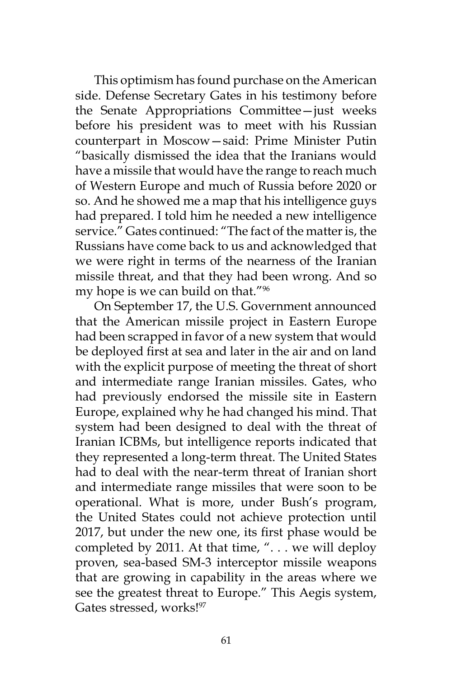This optimism has found purchase on the American side. Defense Secretary Gates in his testimony before the Senate Appropriations Committee—just weeks before his president was to meet with his Russian counterpart in Moscow—said: Prime Minister Putin "basically dismissed the idea that the Iranians would have a missile that would have the range to reach much of Western Europe and much of Russia before 2020 or so. And he showed me a map that his intelligence guys had prepared. I told him he needed a new intelligence service." Gates continued: "The fact of the matter is, the Russians have come back to us and acknowledged that we were right in terms of the nearness of the Iranian missile threat, and that they had been wrong. And so my hope is we can build on that."96

On September 17, the U.S. Government announced that the American missile project in Eastern Europe had been scrapped in favor of a new system that would be deployed first at sea and later in the air and on land with the explicit purpose of meeting the threat of short and intermediate range Iranian missiles. Gates, who had previously endorsed the missile site in Eastern Europe, explained why he had changed his mind. That system had been designed to deal with the threat of Iranian ICBMs, but intelligence reports indicated that they represented a long-term threat. The United States had to deal with the near-term threat of Iranian short and intermediate range missiles that were soon to be operational. What is more, under Bush's program, the United States could not achieve protection until 2017, but under the new one, its first phase would be completed by 2011. At that time, ". . . we will deploy proven, sea-based SM-3 interceptor missile weapons that are growing in capability in the areas where we see the greatest threat to Europe." This Aegis system, Gates stressed, works!<sup>97</sup>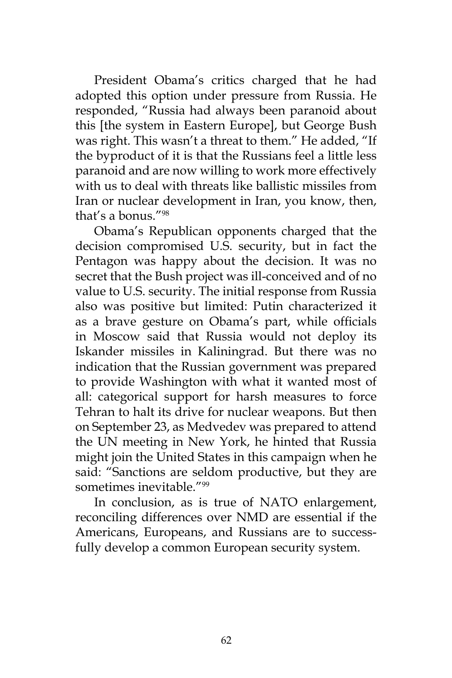President Obama's critics charged that he had adopted this option under pressure from Russia. He responded, "Russia had always been paranoid about this [the system in Eastern Europe], but George Bush was right. This wasn't a threat to them." He added, "If the byproduct of it is that the Russians feel a little less paranoid and are now willing to work more effectively with us to deal with threats like ballistic missiles from Iran or nuclear development in Iran, you know, then, that's a bonus."98

Obama's Republican opponents charged that the decision compromised U.S. security, but in fact the Pentagon was happy about the decision. It was no secret that the Bush project was ill-conceived and of no value to U.S. security. The initial response from Russia also was positive but limited: Putin characterized it as a brave gesture on Obama's part, while officials in Moscow said that Russia would not deploy its Iskander missiles in Kaliningrad. But there was no indication that the Russian government was prepared to provide Washington with what it wanted most of all: categorical support for harsh measures to force Tehran to halt its drive for nuclear weapons. But then on September 23, as Medvedev was prepared to attend the UN meeting in New York, he hinted that Russia might join the United States in this campaign when he said: "Sanctions are seldom productive, but they are sometimes inevitable."99

In conclusion, as is true of NATO enlargement, reconciling differences over NMD are essential if the Americans, Europeans, and Russians are to successfully develop a common European security system.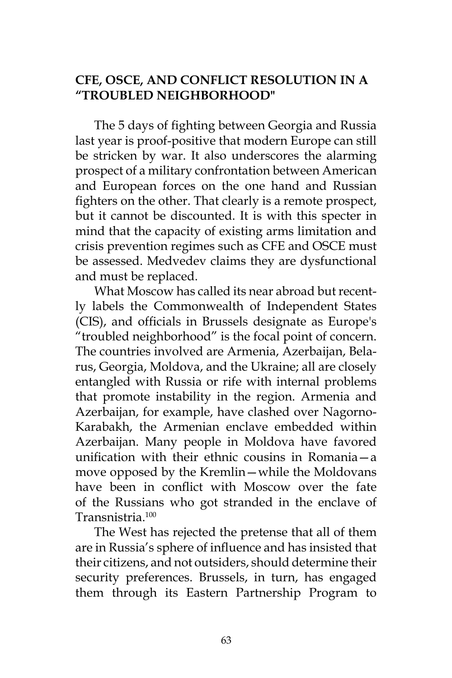# **CFE, OSCE, AND CONFLICT RESOLUTION IN A "TROUBLED NEIGHBORHOOD"**

The 5 days of fighting between Georgia and Russia last year is proof-positive that modern Europe can still be stricken by war. It also underscores the alarming prospect of a military confrontation between American and European forces on the one hand and Russian fighters on the other. That clearly is a remote prospect, but it cannot be discounted. It is with this specter in mind that the capacity of existing arms limitation and crisis prevention regimes such as CFE and OSCE must be assessed. Medvedev claims they are dysfunctional and must be replaced.

What Moscow has called its near abroad but recently labels the Commonwealth of Independent States (CIS), and officials in Brussels designate as Europe's "troubled neighborhood" is the focal point of concern. The countries involved are Armenia, Azerbaijan, Belarus, Georgia, Moldova, and the Ukraine; all are closely entangled with Russia or rife with internal problems that promote instability in the region. Armenia and Azerbaijan, for example, have clashed over Nagorno-Karabakh, the Armenian enclave embedded within Azerbaijan. Many people in Moldova have favored unification with their ethnic cousins in Romania—a move opposed by the Kremlin—while the Moldovans have been in conflict with Moscow over the fate of the Russians who got stranded in the enclave of Transnistria<sup>100</sup>

The West has rejected the pretense that all of them are in Russia's sphere of influence and has insisted that their citizens, and not outsiders, should determine their security preferences. Brussels, in turn, has engaged them through its Eastern Partnership Program to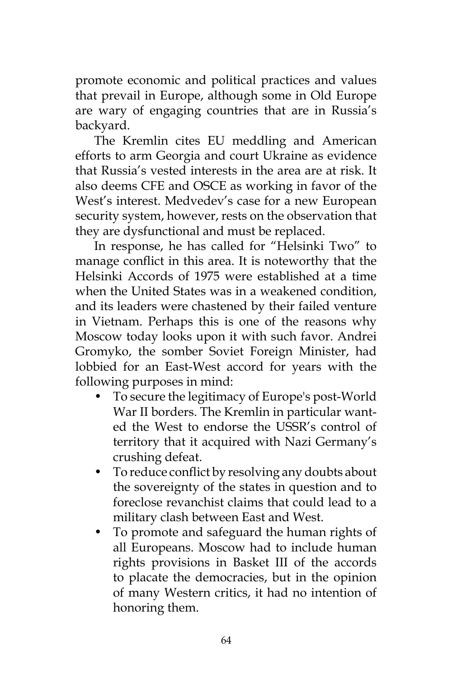promote economic and political practices and values that prevail in Europe, although some in Old Europe are wary of engaging countries that are in Russia's backyard.

The Kremlin cites EU meddling and American efforts to arm Georgia and court Ukraine as evidence that Russia's vested interests in the area are at risk. It also deems CFE and OSCE as working in favor of the West's interest. Medvedev's case for a new European security system, however, rests on the observation that they are dysfunctional and must be replaced.

In response, he has called for "Helsinki Two" to manage conflict in this area. It is noteworthy that the Helsinki Accords of 1975 were established at a time when the United States was in a weakened condition. and its leaders were chastened by their failed venture in Vietnam. Perhaps this is one of the reasons why Moscow today looks upon it with such favor. Andrei Gromyko, the somber Soviet Foreign Minister, had lobbied for an East-West accord for years with the following purposes in mind:

- To secure the legitimacy of Europe's post-World War II borders. The Kremlin in particular wanted the West to endorse the USSR's control of territory that it acquired with Nazi Germany's crushing defeat.
- To reduce conflict by resolving any doubts about the sovereignty of the states in question and to foreclose revanchist claims that could lead to a military clash between East and West.
- To promote and safeguard the human rights of all Europeans. Moscow had to include human rights provisions in Basket III of the accords to placate the democracies, but in the opinion of many Western critics, it had no intention of honoring them.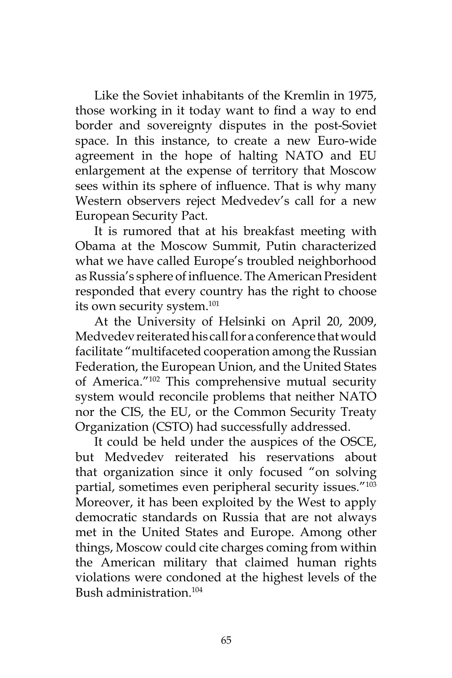Like the Soviet inhabitants of the Kremlin in 1975, those working in it today want to find a way to end border and sovereignty disputes in the post-Soviet space. In this instance, to create a new Euro-wide agreement in the hope of halting NATO and EU enlargement at the expense of territory that Moscow sees within its sphere of influence. That is why many Western observers reject Medvedev's call for a new European Security Pact.

It is rumored that at his breakfast meeting with Obama at the Moscow Summit, Putin characterized what we have called Europe's troubled neighborhood as Russia's sphere of influence. The American President responded that every country has the right to choose its own security system.101

At the University of Helsinki on April 20, 2009, Medvedev reiterated his call for a conference that would facilitate "multifaceted cooperation among the Russian Federation, the European Union, and the United States of America."102 This comprehensive mutual security system would reconcile problems that neither NATO nor the CIS, the EU, or the Common Security Treaty Organization (CSTO) had successfully addressed.

It could be held under the auspices of the OSCE, but Medvedev reiterated his reservations about that organization since it only focused "on solving partial, sometimes even peripheral security issues."103 Moreover, it has been exploited by the West to apply democratic standards on Russia that are not always met in the United States and Europe. Among other things, Moscow could cite charges coming from within the American military that claimed human rights violations were condoned at the highest levels of the Bush administration<sup>104</sup>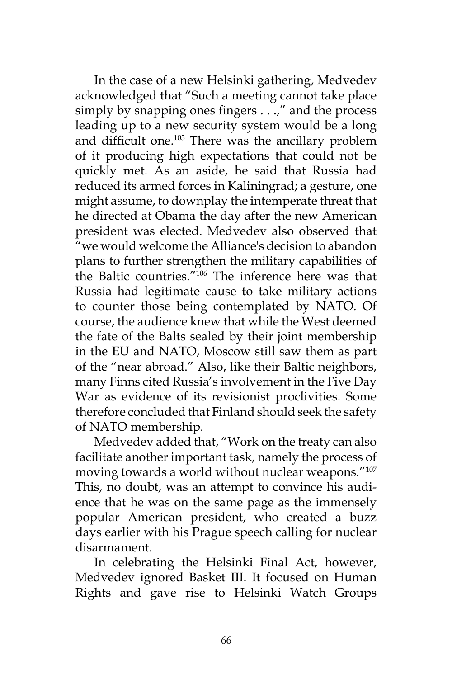In the case of a new Helsinki gathering, Medvedev acknowledged that "Such a meeting cannot take place simply by snapping ones fingers . . .," and the process leading up to a new security system would be a long and difficult one.105 There was the ancillary problem of it producing high expectations that could not be quickly met. As an aside, he said that Russia had reduced its armed forces in Kaliningrad; a gesture, one might assume, to downplay the intemperate threat that he directed at Obama the day after the new American president was elected. Medvedev also observed that "we would welcome the Alliance's decision to abandon plans to further strengthen the military capabilities of the Baltic countries."<sup>106</sup> The inference here was that Russia had legitimate cause to take military actions to counter those being contemplated by NATO. Of course, the audience knew that while the West deemed the fate of the Balts sealed by their joint membership in the EU and NATO, Moscow still saw them as part of the "near abroad." Also, like their Baltic neighbors, many Finns cited Russia's involvement in the Five Day War as evidence of its revisionist proclivities. Some therefore concluded that Finland should seek the safety of NATO membership.

Medvedev added that, "Work on the treaty can also facilitate another important task, namely the process of moving towards a world without nuclear weapons."107 This, no doubt, was an attempt to convince his audience that he was on the same page as the immensely popular American president, who created a buzz days earlier with his Prague speech calling for nuclear disarmament.

In celebrating the Helsinki Final Act, however, Medvedev ignored Basket III. It focused on Human Rights and gave rise to Helsinki Watch Groups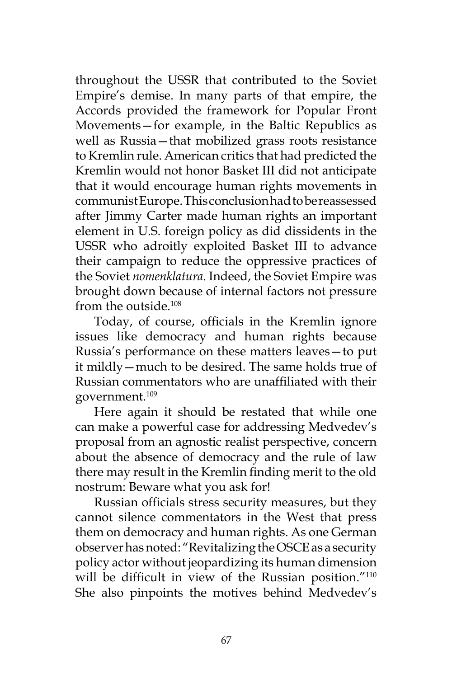throughout the USSR that contributed to the Soviet Empire's demise. In many parts of that empire, the Accords provided the framework for Popular Front Movements—for example, in the Baltic Republics as well as Russia—that mobilized grass roots resistance to Kremlin rule. American critics that had predicted the Kremlin would not honor Basket III did not anticipate that it would encourage human rights movements in communist Europe. This conclusion had to be reassessed after Jimmy Carter made human rights an important element in U.S. foreign policy as did dissidents in the USSR who adroitly exploited Basket III to advance their campaign to reduce the oppressive practices of the Soviet *nomenklatura*. Indeed, the Soviet Empire was brought down because of internal factors not pressure from the outside.108

Today, of course, officials in the Kremlin ignore issues like democracy and human rights because Russia's performance on these matters leaves—to put it mildly—much to be desired. The same holds true of Russian commentators who are unaffiliated with their government.109

Here again it should be restated that while one can make a powerful case for addressing Medvedev's proposal from an agnostic realist perspective, concern about the absence of democracy and the rule of law there may result in the Kremlin finding merit to the old nostrum: Beware what you ask for!

Russian officials stress security measures, but they cannot silence commentators in the West that press them on democracy and human rights. As one German observer has noted: "Revitalizing the OSCE as a security policy actor without jeopardizing its human dimension will be difficult in view of the Russian position."<sup>110</sup> She also pinpoints the motives behind Medvedev's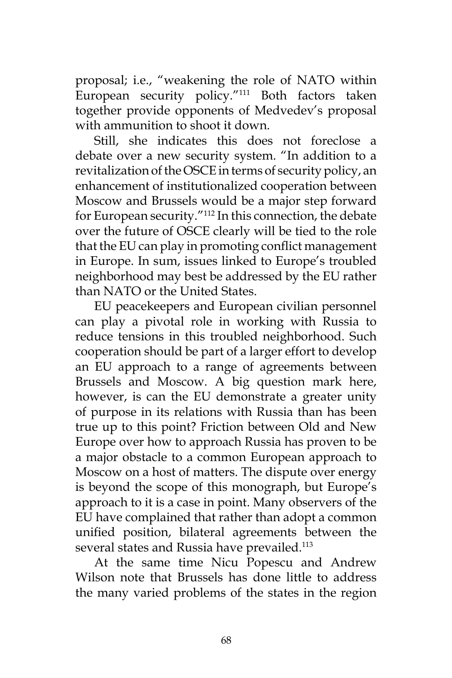proposal; i.e., "weakening the role of NATO within European security policy."<sup>111</sup> Both factors taken together provide opponents of Medvedev's proposal with ammunition to shoot it down.

Still, she indicates this does not foreclose a debate over a new security system. "In addition to a revitalization of the OSCE in terms of security policy, an enhancement of institutionalized cooperation between Moscow and Brussels would be a major step forward for European security."112 In this connection, the debate over the future of OSCE clearly will be tied to the role that the EU can play in promoting conflict management in Europe. In sum, issues linked to Europe's troubled neighborhood may best be addressed by the EU rather than NATO or the United States.

EU peacekeepers and European civilian personnel can play a pivotal role in working with Russia to reduce tensions in this troubled neighborhood. Such cooperation should be part of a larger effort to develop an EU approach to a range of agreements between Brussels and Moscow. A big question mark here, however, is can the EU demonstrate a greater unity of purpose in its relations with Russia than has been true up to this point? Friction between Old and New Europe over how to approach Russia has proven to be a major obstacle to a common European approach to Moscow on a host of matters. The dispute over energy is beyond the scope of this monograph, but Europe's approach to it is a case in point. Many observers of the EU have complained that rather than adopt a common unified position, bilateral agreements between the several states and Russia have prevailed.<sup>113</sup>

At the same time Nicu Popescu and Andrew Wilson note that Brussels has done little to address the many varied problems of the states in the region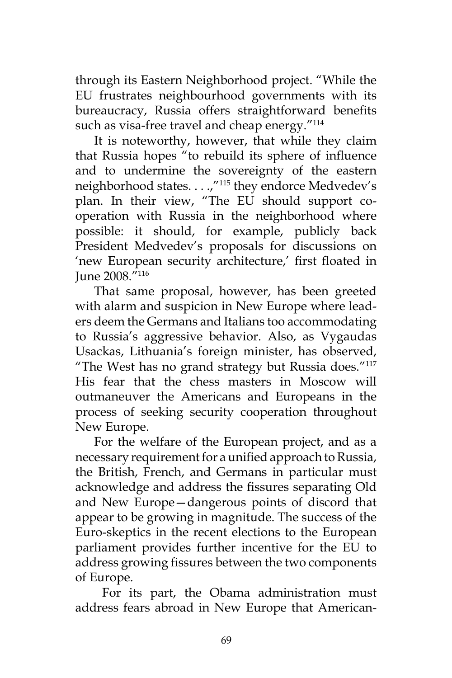through its Eastern Neighborhood project. "While the EU frustrates neighbourhood governments with its bureaucracy, Russia offers straightforward benefits such as visa-free travel and cheap energy."<sup>114</sup>

It is noteworthy, however, that while they claim that Russia hopes "to rebuild its sphere of influence and to undermine the sovereignty of the eastern neighborhood states. . . .,"115 they endorce Medvedev's plan. In their view, "The EU should support cooperation with Russia in the neighborhood where possible: it should, for example, publicly back President Medvedev's proposals for discussions on 'new European security architecture,' first floated in June 2008."116

That same proposal, however, has been greeted with alarm and suspicion in New Europe where leaders deem the Germans and Italians too accommodating to Russia's aggressive behavior. Also, as Vygaudas Usackas, Lithuania's foreign minister, has observed, "The West has no grand strategy but Russia does."117 His fear that the chess masters in Moscow will outmaneuver the Americans and Europeans in the process of seeking security cooperation throughout New Europe.

For the welfare of the European project, and as a necessary requirement for a unified approach to Russia, the British, French, and Germans in particular must acknowledge and address the fissures separating Old and New Europe—dangerous points of discord that appear to be growing in magnitude. The success of the Euro-skeptics in the recent elections to the European parliament provides further incentive for the EU to address growing fissures between the two components of Europe.

For its part, the Obama administration must address fears abroad in New Europe that American-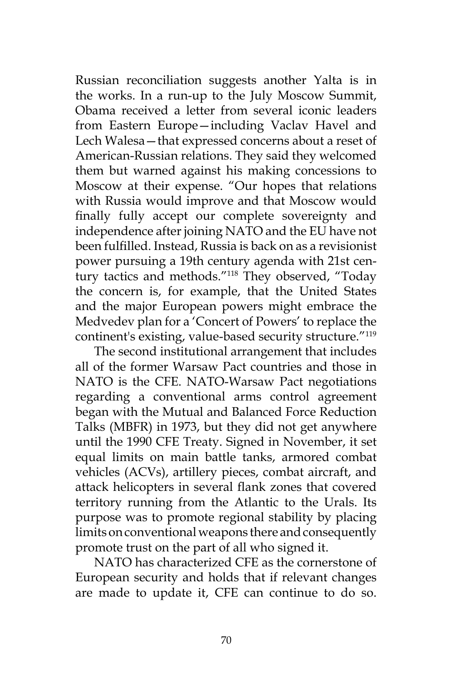Russian reconciliation suggests another Yalta is in the works. In a run-up to the July Moscow Summit, Obama received a letter from several iconic leaders from Eastern Europe—including Vaclav Havel and Lech Walesa—that expressed concerns about a reset of American-Russian relations. They said they welcomed them but warned against his making concessions to Moscow at their expense. "Our hopes that relations with Russia would improve and that Moscow would finally fully accept our complete sovereignty and independence after joining NATO and the EU have not been fulfilled. Instead, Russia is back on as a revisionist power pursuing a 19th century agenda with 21st century tactics and methods."118 They observed, "Today the concern is, for example, that the United States and the major European powers might embrace the Medvedev plan for a 'Concert of Powers' to replace the continent's existing, value-based security structure."119

The second institutional arrangement that includes all of the former Warsaw Pact countries and those in NATO is the CFE. NATO-Warsaw Pact negotiations regarding a conventional arms control agreement began with the Mutual and Balanced Force Reduction Talks (MBFR) in 1973, but they did not get anywhere until the 1990 CFE Treaty. Signed in November, it set equal limits on main battle tanks, armored combat vehicles (ACVs), artillery pieces, combat aircraft, and attack helicopters in several flank zones that covered territory running from the Atlantic to the Urals. Its purpose was to promote regional stability by placing limits on conventional weapons there and consequently promote trust on the part of all who signed it.

NATO has characterized CFE as the cornerstone of European security and holds that if relevant changes are made to update it, CFE can continue to do so.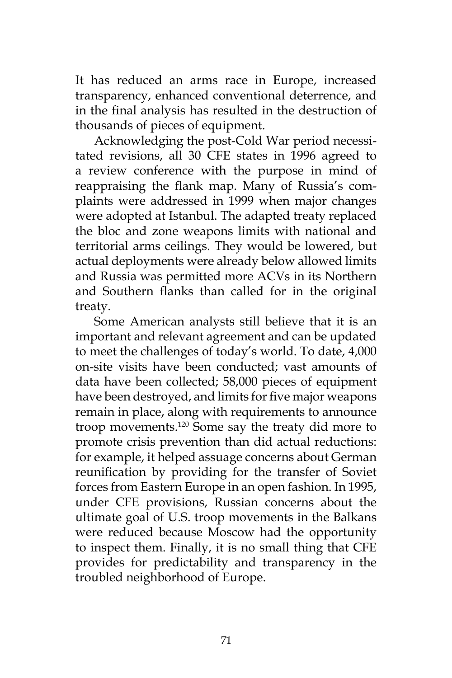It has reduced an arms race in Europe, increased transparency, enhanced conventional deterrence, and in the final analysis has resulted in the destruction of thousands of pieces of equipment.

Acknowledging the post-Cold War period necessitated revisions, all 30 CFE states in 1996 agreed to a review conference with the purpose in mind of reappraising the flank map. Many of Russia's complaints were addressed in 1999 when major changes were adopted at Istanbul. The adapted treaty replaced the bloc and zone weapons limits with national and territorial arms ceilings. They would be lowered, but actual deployments were already below allowed limits and Russia was permitted more ACVs in its Northern and Southern flanks than called for in the original treaty.

Some American analysts still believe that it is an important and relevant agreement and can be updated to meet the challenges of today's world. To date, 4,000 on-site visits have been conducted; vast amounts of data have been collected; 58,000 pieces of equipment have been destroyed, and limits for five major weapons remain in place, along with requirements to announce troop movements.120 Some say the treaty did more to promote crisis prevention than did actual reductions: for example, it helped assuage concerns about German reunification by providing for the transfer of Soviet forces from Eastern Europe in an open fashion. In 1995, under CFE provisions, Russian concerns about the ultimate goal of U.S. troop movements in the Balkans were reduced because Moscow had the opportunity to inspect them. Finally, it is no small thing that CFE provides for predictability and transparency in the troubled neighborhood of Europe.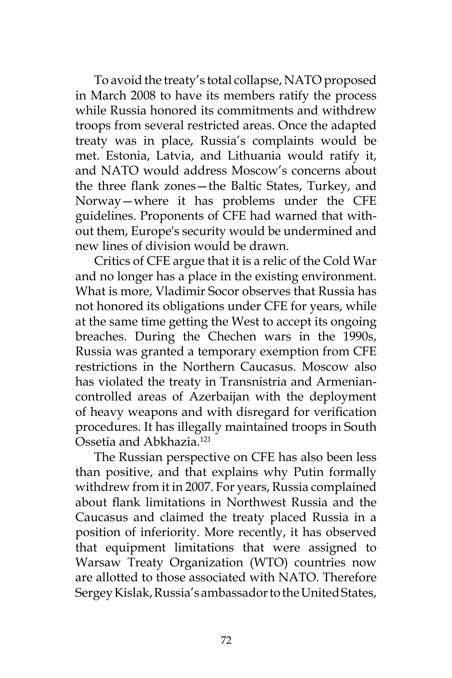To avoid the treaty's total collapse, NATO proposed in March 2008 to have its members ratify the process while Russia honored its commitments and withdrew troops from several restricted areas. Once the adapted treaty was in place, Russia's complaints would be met. Estonia, Latvia, and Lithuania would ratify it, and NATO would address Moscow's concerns about the three flank zones—the Baltic States, Turkey, and Norway—where it has problems under the CFE guidelines. Proponents of CFE had warned that without them, Europe's security would be undermined and new lines of division would be drawn.

Critics of CFE argue that it is a relic of the Cold War and no longer has a place in the existing environment. What is more, Vladimir Socor observes that Russia has not honored its obligations under CFE for years, while at the same time getting the West to accept its ongoing breaches. During the Chechen wars in the 1990s, Russia was granted a temporary exemption from CFE restrictions in the Northern Caucasus. Moscow also has violated the treaty in Transnistria and Armeniancontrolled areas of Azerbaijan with the deployment of heavy weapons and with disregard for verification procedures. It has illegally maintained troops in South Ossetia and Abkhazia.121

The Russian perspective on CFE has also been less than positive, and that explains why Putin formally withdrew from it in 2007. For years, Russia complained about flank limitations in Northwest Russia and the Caucasus and claimed the treaty placed Russia in a position of inferiority. More recently, it has observed that equipment limitations that were assigned to Warsaw Treaty Organization (WTO) countries now are allotted to those associated with NATO. Therefore Sergey Kislak, Russia's ambassador to the United States,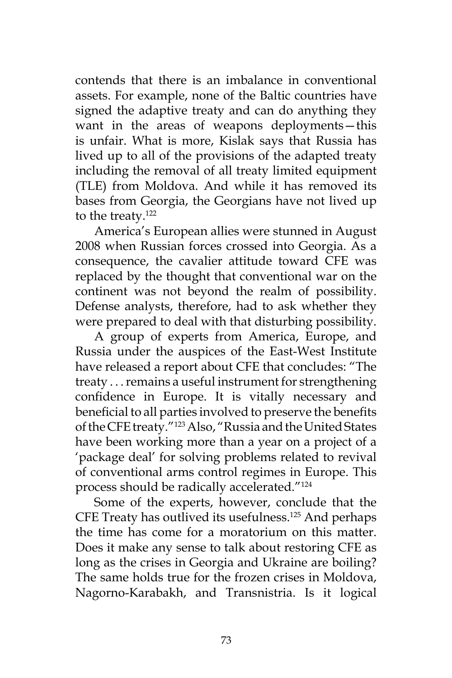contends that there is an imbalance in conventional assets. For example, none of the Baltic countries have signed the adaptive treaty and can do anything they want in the areas of weapons deployments—this is unfair. What is more, Kislak says that Russia has lived up to all of the provisions of the adapted treaty including the removal of all treaty limited equipment (TLE) from Moldova. And while it has removed its bases from Georgia, the Georgians have not lived up to the treaty.<sup>122</sup>

America's European allies were stunned in August 2008 when Russian forces crossed into Georgia. As a consequence, the cavalier attitude toward CFE was replaced by the thought that conventional war on the continent was not beyond the realm of possibility. Defense analysts, therefore, had to ask whether they were prepared to deal with that disturbing possibility.

A group of experts from America, Europe, and Russia under the auspices of the East-West Institute have released a report about CFE that concludes: "The treaty . . . remains a useful instrument for strengthening confidence in Europe. It is vitally necessary and beneficial to all parties involved to preserve the benefits of the CFE treaty."123 Also, "Russia and the United States have been working more than a year on a project of a 'package deal' for solving problems related to revival of conventional arms control regimes in Europe. This process should be radically accelerated."124

Some of the experts, however, conclude that the CFE Treaty has outlived its usefulness.125 And perhaps the time has come for a moratorium on this matter. Does it make any sense to talk about restoring CFE as long as the crises in Georgia and Ukraine are boiling? The same holds true for the frozen crises in Moldova, Nagorno-Karabakh, and Transnistria. Is it logical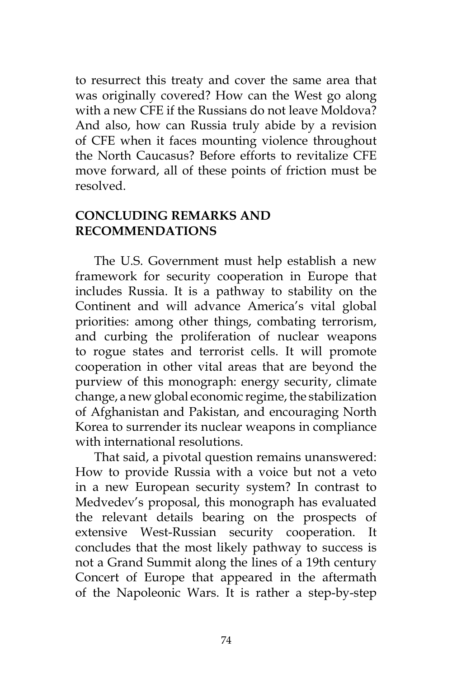to resurrect this treaty and cover the same area that was originally covered? How can the West go along with a new CFE if the Russians do not leave Moldova? And also, how can Russia truly abide by a revision of CFE when it faces mounting violence throughout the North Caucasus? Before efforts to revitalize CFE move forward, all of these points of friction must be resolved.

## **CONCLUDING REMARKS AND RECOMMENDATIONS**

The U.S. Government must help establish a new framework for security cooperation in Europe that includes Russia. It is a pathway to stability on the Continent and will advance America's vital global priorities: among other things, combating terrorism, and curbing the proliferation of nuclear weapons to rogue states and terrorist cells. It will promote cooperation in other vital areas that are beyond the purview of this monograph: energy security, climate change, a new global economic regime, the stabilization of Afghanistan and Pakistan, and encouraging North Korea to surrender its nuclear weapons in compliance with international resolutions.

That said, a pivotal question remains unanswered: How to provide Russia with a voice but not a veto in a new European security system? In contrast to Medvedev's proposal, this monograph has evaluated the relevant details bearing on the prospects of extensive West-Russian security cooperation. It concludes that the most likely pathway to success is not a Grand Summit along the lines of a 19th century Concert of Europe that appeared in the aftermath of the Napoleonic Wars. It is rather a step-by-step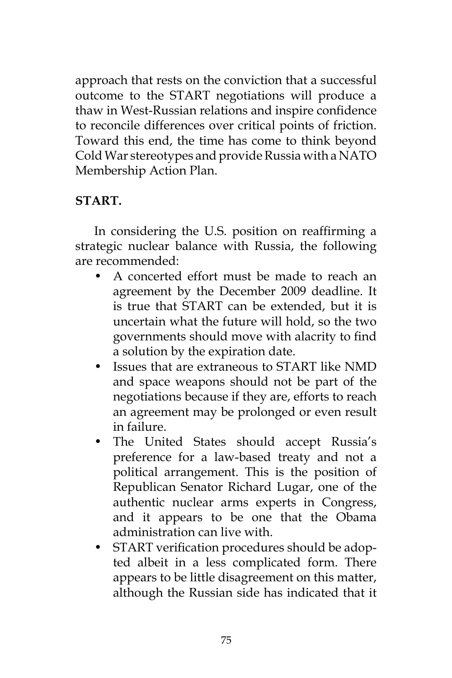approach that rests on the conviction that a successful outcome to the START negotiations will produce a thaw in West-Russian relations and inspire confidence to reconcile differences over critical points of friction. Toward this end, the time has come to think beyond Cold War stereotypes and provide Russia with a NATO Membership Action Plan.

# **START.**

In considering the U.S. position on reaffirming a strategic nuclear balance with Russia, the following are recommended:

- A concerted effort must be made to reach an agreement by the December 2009 deadline. It is true that START can be extended, but it is uncertain what the future will hold, so the two governments should move with alacrity to find a solution by the expiration date.
- Issues that are extraneous to START like NMD and space weapons should not be part of the negotiations because if they are, efforts to reach an agreement may be prolonged or even result in failure.
- The United States should accept Russia's preference for a law-based treaty and not a political arrangement. This is the position of Republican Senator Richard Lugar, one of the authentic nuclear arms experts in Congress, and it appears to be one that the Obama administration can live with.
- START verification procedures should be adopted albeit in a less complicated form. There appears to be little disagreement on this matter, although the Russian side has indicated that it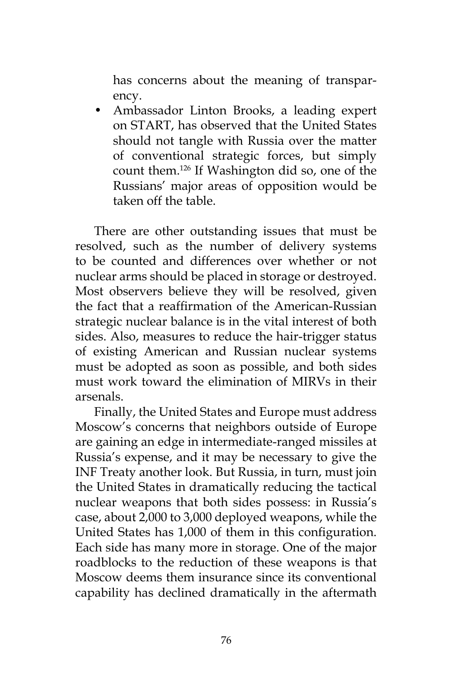has concerns about the meaning of transparency.

• Ambassador Linton Brooks, a leading expert on START, has observed that the United States should not tangle with Russia over the matter of conventional strategic forces, but simply count them.126 If Washington did so, one of the Russians' major areas of opposition would be taken off the table.

There are other outstanding issues that must be resolved, such as the number of delivery systems to be counted and differences over whether or not nuclear arms should be placed in storage or destroyed. Most observers believe they will be resolved, given the fact that a reaffirmation of the American-Russian strategic nuclear balance is in the vital interest of both sides. Also, measures to reduce the hair-trigger status of existing American and Russian nuclear systems must be adopted as soon as possible, and both sides must work toward the elimination of MIRVs in their arsenals.

Finally, the United States and Europe must address Moscow's concerns that neighbors outside of Europe are gaining an edge in intermediate-ranged missiles at Russia's expense, and it may be necessary to give the INF Treaty another look. But Russia, in turn, must join the United States in dramatically reducing the tactical nuclear weapons that both sides possess: in Russia's case, about 2,000 to 3,000 deployed weapons, while the United States has 1,000 of them in this configuration. Each side has many more in storage. One of the major roadblocks to the reduction of these weapons is that Moscow deems them insurance since its conventional capability has declined dramatically in the aftermath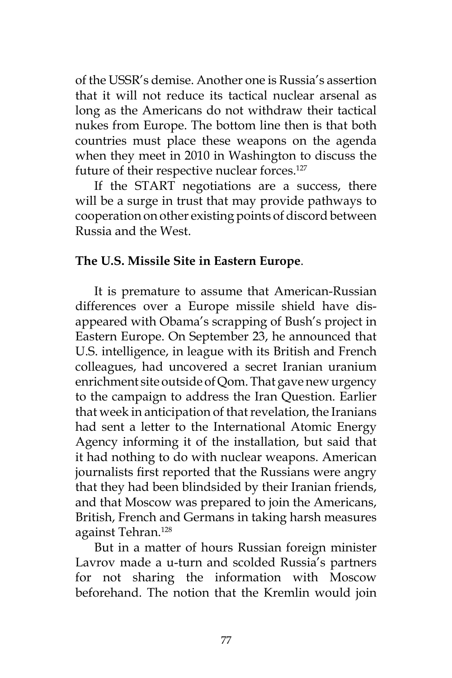of the USSR's demise. Another one is Russia's assertion that it will not reduce its tactical nuclear arsenal as long as the Americans do not withdraw their tactical nukes from Europe. The bottom line then is that both countries must place these weapons on the agenda when they meet in 2010 in Washington to discuss the future of their respective nuclear forces.<sup>127</sup>

If the START negotiations are a success, there will be a surge in trust that may provide pathways to cooperation on other existing points of discord between Russia and the West.

#### **The U.S. Missile Site in Eastern Europe**.

It is premature to assume that American-Russian differences over a Europe missile shield have disappeared with Obama's scrapping of Bush's project in Eastern Europe. On September 23, he announced that U.S. intelligence, in league with its British and French colleagues, had uncovered a secret Iranian uranium enrichment site outside of Qom. That gave new urgency to the campaign to address the Iran Question. Earlier that week in anticipation of that revelation, the Iranians had sent a letter to the International Atomic Energy Agency informing it of the installation, but said that it had nothing to do with nuclear weapons. American journalists first reported that the Russians were angry that they had been blindsided by their Iranian friends, and that Moscow was prepared to join the Americans, British, French and Germans in taking harsh measures against Tehran.128

But in a matter of hours Russian foreign minister Lavrov made a u-turn and scolded Russia's partners for not sharing the information with Moscow beforehand. The notion that the Kremlin would join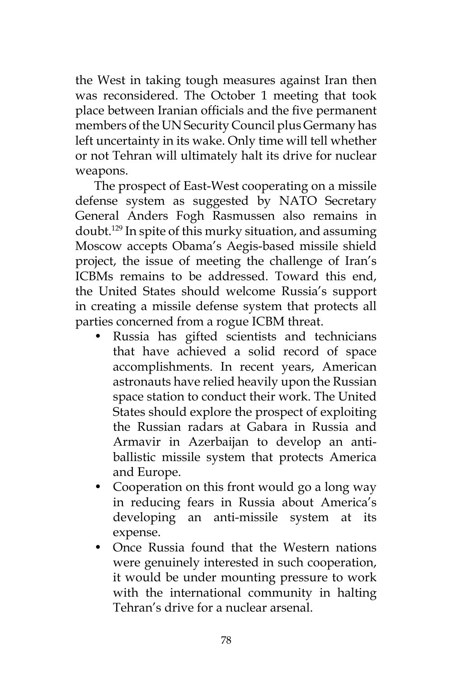the West in taking tough measures against Iran then was reconsidered. The October 1 meeting that took place between Iranian officials and the five permanent members of the UN Security Council plus Germany has left uncertainty in its wake. Only time will tell whether or not Tehran will ultimately halt its drive for nuclear weapons.

The prospect of East-West cooperating on a missile defense system as suggested by NATO Secretary General Anders Fogh Rasmussen also remains in doubt.129 In spite of this murky situation, and assuming Moscow accepts Obama's Aegis-based missile shield project, the issue of meeting the challenge of Iran's ICBMs remains to be addressed. Toward this end, the United States should welcome Russia's support in creating a missile defense system that protects all parties concerned from a rogue ICBM threat.

- Russia has gifted scientists and technicians that have achieved a solid record of space accomplishments. In recent years, American astronauts have relied heavily upon the Russian space station to conduct their work. The United States should explore the prospect of exploiting the Russian radars at Gabara in Russia and Armavir in Azerbaijan to develop an antiballistic missile system that protects America and Europe.
- Cooperation on this front would go a long way in reducing fears in Russia about America's developing an anti-missile system at its expense.
- Once Russia found that the Western nations were genuinely interested in such cooperation, it would be under mounting pressure to work with the international community in halting Tehran's drive for a nuclear arsenal.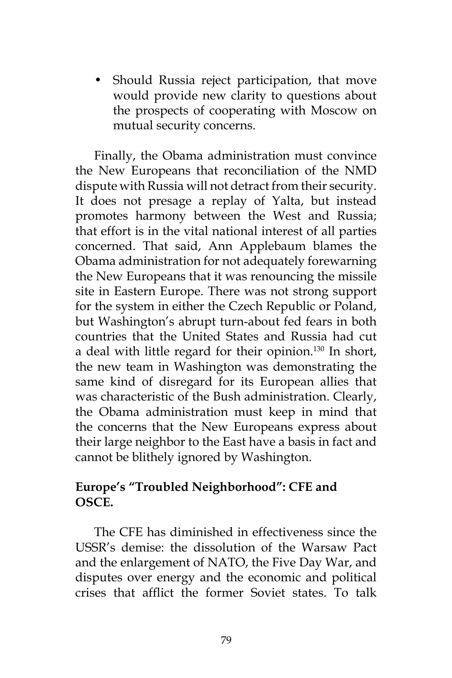• Should Russia reject participation, that move would provide new clarity to questions about the prospects of cooperating with Moscow on mutual security concerns.

Finally, the Obama administration must convince the New Europeans that reconciliation of the NMD dispute with Russia will not detract from their security. It does not presage a replay of Yalta, but instead promotes harmony between the West and Russia; that effort is in the vital national interest of all parties concerned. That said, Ann Applebaum blames the Obama administration for not adequately forewarning the New Europeans that it was renouncing the missile site in Eastern Europe. There was not strong support for the system in either the Czech Republic or Poland, but Washington's abrupt turn-about fed fears in both countries that the United States and Russia had cut a deal with little regard for their opinion.<sup>130</sup> In short, the new team in Washington was demonstrating the same kind of disregard for its European allies that was characteristic of the Bush administration. Clearly, the Obama administration must keep in mind that the concerns that the New Europeans express about their large neighbor to the East have a basis in fact and cannot be blithely ignored by Washington.

### **Europe's "Troubled Neighborhood": CFE and OSCE.**

The CFE has diminished in effectiveness since the USSR's demise: the dissolution of the Warsaw Pact and the enlargement of NATO, the Five Day War, and disputes over energy and the economic and political crises that afflict the former Soviet states. To talk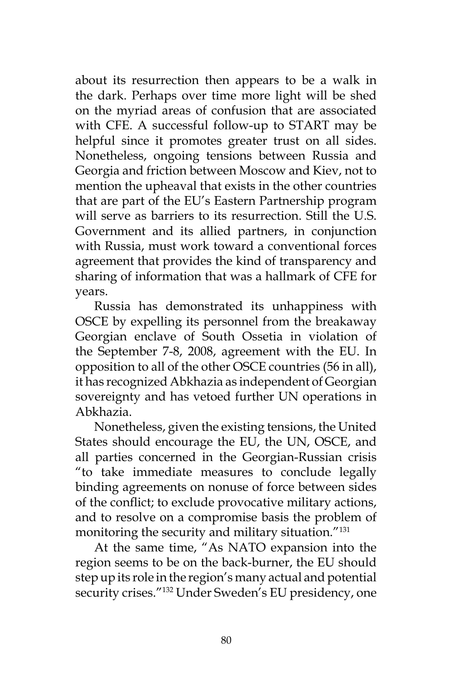about its resurrection then appears to be a walk in the dark. Perhaps over time more light will be shed on the myriad areas of confusion that are associated with CFE. A successful follow-up to START may be helpful since it promotes greater trust on all sides. Nonetheless, ongoing tensions between Russia and Georgia and friction between Moscow and Kiev, not to mention the upheaval that exists in the other countries that are part of the EU's Eastern Partnership program will serve as barriers to its resurrection. Still the U.S. Government and its allied partners, in conjunction with Russia, must work toward a conventional forces agreement that provides the kind of transparency and sharing of information that was a hallmark of CFE for years.

Russia has demonstrated its unhappiness with OSCE by expelling its personnel from the breakaway Georgian enclave of South Ossetia in violation of the September 7-8, 2008, agreement with the EU. In opposition to all of the other OSCE countries (56 in all), it has recognized Abkhazia as independent of Georgian sovereignty and has vetoed further UN operations in Abkhazia.

Nonetheless, given the existing tensions, the United States should encourage the EU, the UN, OSCE, and all parties concerned in the Georgian-Russian crisis "to take immediate measures to conclude legally binding agreements on nonuse of force between sides of the conflict; to exclude provocative military actions, and to resolve on a compromise basis the problem of monitoring the security and military situation."<sup>131</sup>

At the same time, "As NATO expansion into the region seems to be on the back-burner, the EU should step up its role in the region's many actual and potential security crises."<sup>132</sup> Under Sweden's EU presidency, one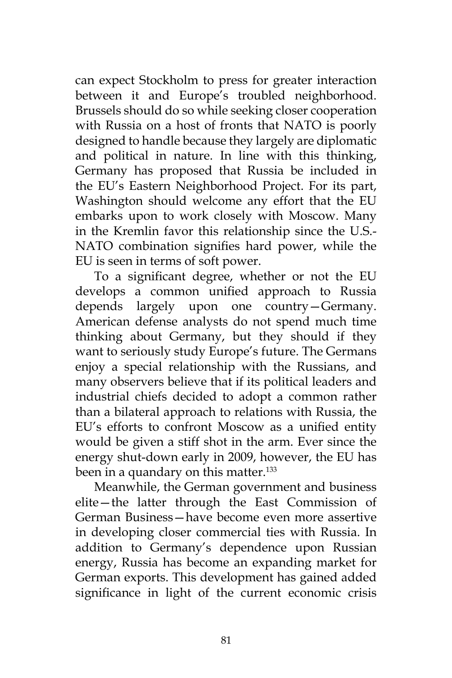can expect Stockholm to press for greater interaction between it and Europe's troubled neighborhood. Brussels should do so while seeking closer cooperation with Russia on a host of fronts that NATO is poorly designed to handle because they largely are diplomatic and political in nature. In line with this thinking, Germany has proposed that Russia be included in the EU's Eastern Neighborhood Project. For its part, Washington should welcome any effort that the EU embarks upon to work closely with Moscow. Many in the Kremlin favor this relationship since the U.S.- NATO combination signifies hard power, while the EU is seen in terms of soft power.

To a significant degree, whether or not the EU develops a common unified approach to Russia depends largely upon one country—Germany. American defense analysts do not spend much time thinking about Germany, but they should if they want to seriously study Europe's future. The Germans enjoy a special relationship with the Russians, and many observers believe that if its political leaders and industrial chiefs decided to adopt a common rather than a bilateral approach to relations with Russia, the EU's efforts to confront Moscow as a unified entity would be given a stiff shot in the arm. Ever since the energy shut-down early in 2009, however, the EU has been in a quandary on this matter.<sup>133</sup>

Meanwhile, the German government and business elite—the latter through the East Commission of German Business—have become even more assertive in developing closer commercial ties with Russia. In addition to Germany's dependence upon Russian energy, Russia has become an expanding market for German exports. This development has gained added significance in light of the current economic crisis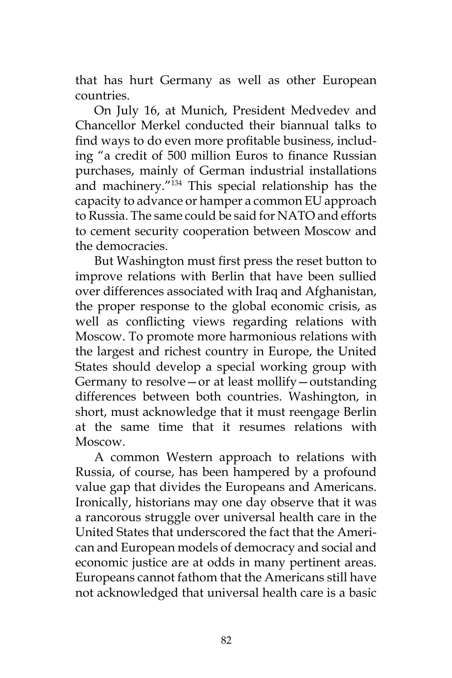that has hurt Germany as well as other European countries.

On July 16, at Munich, President Medvedev and Chancellor Merkel conducted their biannual talks to find ways to do even more profitable business, including "a credit of 500 million Euros to finance Russian purchases, mainly of German industrial installations and machinery."134 This special relationship has the capacity to advance or hamper a common EU approach to Russia. The same could be said for NATO and efforts to cement security cooperation between Moscow and the democracies.

But Washington must first press the reset button to improve relations with Berlin that have been sullied over differences associated with Iraq and Afghanistan, the proper response to the global economic crisis, as well as conflicting views regarding relations with Moscow. To promote more harmonious relations with the largest and richest country in Europe, the United States should develop a special working group with Germany to resolve—or at least mollify—outstanding differences between both countries. Washington, in short, must acknowledge that it must reengage Berlin at the same time that it resumes relations with Moscow.

A common Western approach to relations with Russia, of course, has been hampered by a profound value gap that divides the Europeans and Americans. Ironically, historians may one day observe that it was a rancorous struggle over universal health care in the United States that underscored the fact that the American and European models of democracy and social and economic justice are at odds in many pertinent areas. Europeans cannot fathom that the Americans still have not acknowledged that universal health care is a basic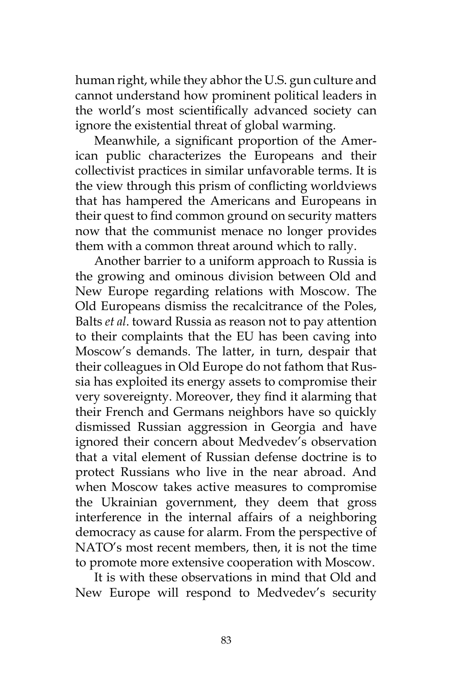human right, while they abhor the U.S. gun culture and cannot understand how prominent political leaders in the world's most scientifically advanced society can ignore the existential threat of global warming.

Meanwhile, a significant proportion of the American public characterizes the Europeans and their collectivist practices in similar unfavorable terms. It is the view through this prism of conflicting worldviews that has hampered the Americans and Europeans in their quest to find common ground on security matters now that the communist menace no longer provides them with a common threat around which to rally.

Another barrier to a uniform approach to Russia is the growing and ominous division between Old and New Europe regarding relations with Moscow. The Old Europeans dismiss the recalcitrance of the Poles, Balts *et al*. toward Russia as reason not to pay attention to their complaints that the EU has been caving into Moscow's demands. The latter, in turn, despair that their colleagues in Old Europe do not fathom that Russia has exploited its energy assets to compromise their very sovereignty. Moreover, they find it alarming that their French and Germans neighbors have so quickly dismissed Russian aggression in Georgia and have ignored their concern about Medvedev's observation that a vital element of Russian defense doctrine is to protect Russians who live in the near abroad. And when Moscow takes active measures to compromise the Ukrainian government, they deem that gross interference in the internal affairs of a neighboring democracy as cause for alarm. From the perspective of NATO's most recent members, then, it is not the time to promote more extensive cooperation with Moscow.

It is with these observations in mind that Old and New Europe will respond to Medvedev's security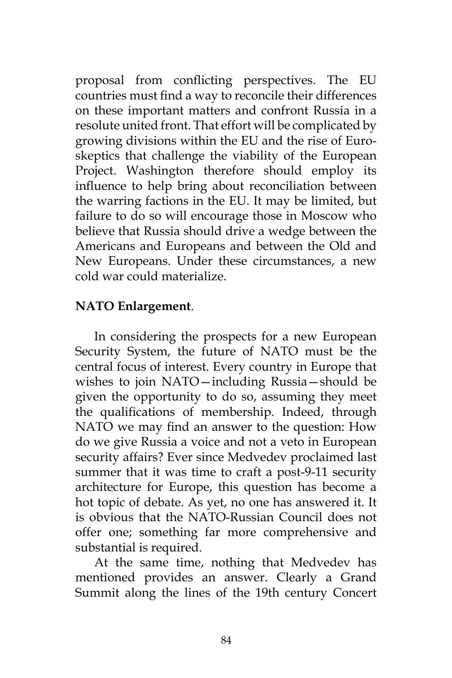proposal from conflicting perspectives. The EU countries must find a way to reconcile their differences on these important matters and confront Russia in a resolute united front. That effort will be complicated by growing divisions within the EU and the rise of Euroskeptics that challenge the viability of the European Project. Washington therefore should employ its influence to help bring about reconciliation between the warring factions in the EU. It may be limited, but failure to do so will encourage those in Moscow who believe that Russia should drive a wedge between the Americans and Europeans and between the Old and New Europeans. Under these circumstances, a new cold war could materialize.

### **NATO Enlargement**.

In considering the prospects for a new European Security System, the future of NATO must be the central focus of interest. Every country in Europe that wishes to join NATO—including Russia—should be given the opportunity to do so, assuming they meet the qualifications of membership. Indeed, through NATO we may find an answer to the question: How do we give Russia a voice and not a veto in European security affairs? Ever since Medvedev proclaimed last summer that it was time to craft a post-9-11 security architecture for Europe, this question has become a hot topic of debate. As yet, no one has answered it. It is obvious that the NATO-Russian Council does not offer one; something far more comprehensive and substantial is required.

At the same time, nothing that Medvedev has mentioned provides an answer. Clearly a Grand Summit along the lines of the 19th century Concert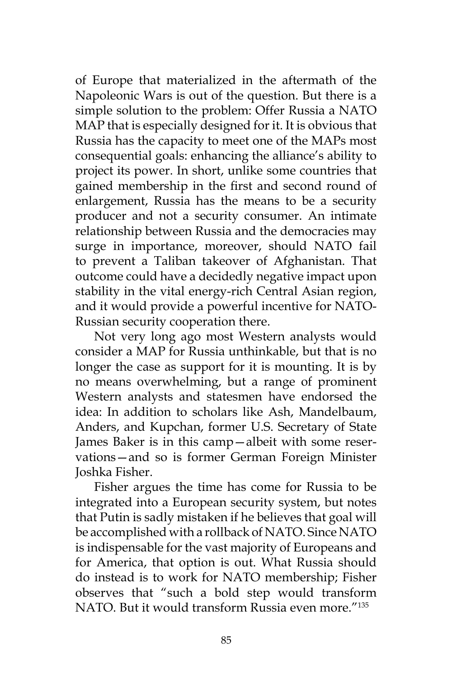of Europe that materialized in the aftermath of the Napoleonic Wars is out of the question. But there is a simple solution to the problem: Offer Russia a NATO MAP that is especially designed for it. It is obvious that Russia has the capacity to meet one of the MAPs most consequential goals: enhancing the alliance's ability to project its power. In short, unlike some countries that gained membership in the first and second round of enlargement, Russia has the means to be a security producer and not a security consumer. An intimate relationship between Russia and the democracies may surge in importance, moreover, should NATO fail to prevent a Taliban takeover of Afghanistan. That outcome could have a decidedly negative impact upon stability in the vital energy-rich Central Asian region, and it would provide a powerful incentive for NATO-Russian security cooperation there.

Not very long ago most Western analysts would consider a MAP for Russia unthinkable, but that is no longer the case as support for it is mounting. It is by no means overwhelming, but a range of prominent Western analysts and statesmen have endorsed the idea: In addition to scholars like Ash, Mandelbaum, Anders, and Kupchan, former U.S. Secretary of State James Baker is in this camp—albeit with some reservations—and so is former German Foreign Minister Joshka Fisher.

Fisher argues the time has come for Russia to be integrated into a European security system, but notes that Putin is sadly mistaken if he believes that goal will be accomplished with a rollback of NATO. Since NATO is indispensable for the vast majority of Europeans and for America, that option is out. What Russia should do instead is to work for NATO membership; Fisher observes that "such a bold step would transform NATO. But it would transform Russia even more."135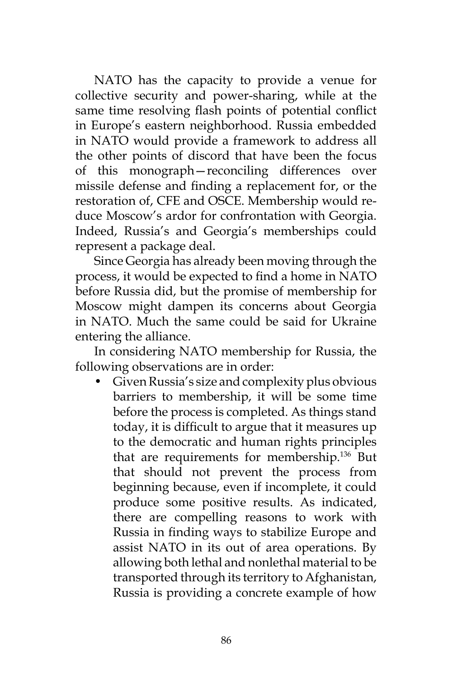NATO has the capacity to provide a venue for collective security and power-sharing, while at the same time resolving flash points of potential conflict in Europe's eastern neighborhood. Russia embedded in NATO would provide a framework to address all the other points of discord that have been the focus of this monograph—reconciling differences over missile defense and finding a replacement for, or the restoration of, CFE and OSCE. Membership would reduce Moscow's ardor for confrontation with Georgia. Indeed, Russia's and Georgia's memberships could represent a package deal.

Since Georgia has already been moving through the process, it would be expected to find a home in NATO before Russia did, but the promise of membership for Moscow might dampen its concerns about Georgia in NATO. Much the same could be said for Ukraine entering the alliance.

In considering NATO membership for Russia, the following observations are in order:

• Given Russia's size and complexity plus obvious barriers to membership, it will be some time before the process is completed. As things stand today, it is difficult to argue that it measures up to the democratic and human rights principles that are requirements for membership.136 But that should not prevent the process from beginning because, even if incomplete, it could produce some positive results. As indicated, there are compelling reasons to work with Russia in finding ways to stabilize Europe and assist NATO in its out of area operations. By allowing both lethal and nonlethal material to be transported through its territory to Afghanistan, Russia is providing a concrete example of how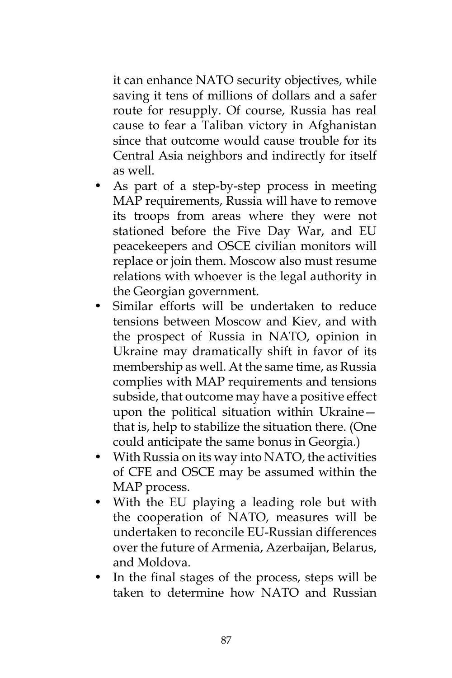it can enhance NATO security objectives, while saving it tens of millions of dollars and a safer route for resupply. Of course, Russia has real cause to fear a Taliban victory in Afghanistan since that outcome would cause trouble for its Central Asia neighbors and indirectly for itself as well.

- As part of a step-by-step process in meeting MAP requirements, Russia will have to remove its troops from areas where they were not stationed before the Five Day War, and EU peacekeepers and OSCE civilian monitors will replace or join them. Moscow also must resume relations with whoever is the legal authority in the Georgian government.
- Similar efforts will be undertaken to reduce tensions between Moscow and Kiev, and with the prospect of Russia in NATO, opinion in Ukraine may dramatically shift in favor of its membership as well. At the same time, as Russia complies with MAP requirements and tensions subside, that outcome may have a positive effect upon the political situation within Ukraine that is, help to stabilize the situation there. (One could anticipate the same bonus in Georgia.)
- With Russia on its way into NATO, the activities of CFE and OSCE may be assumed within the MAP process.
- With the EU playing a leading role but with the cooperation of NATO, measures will be undertaken to reconcile EU-Russian differences over the future of Armenia, Azerbaijan, Belarus, and Moldova.
- In the final stages of the process, steps will be taken to determine how NATO and Russian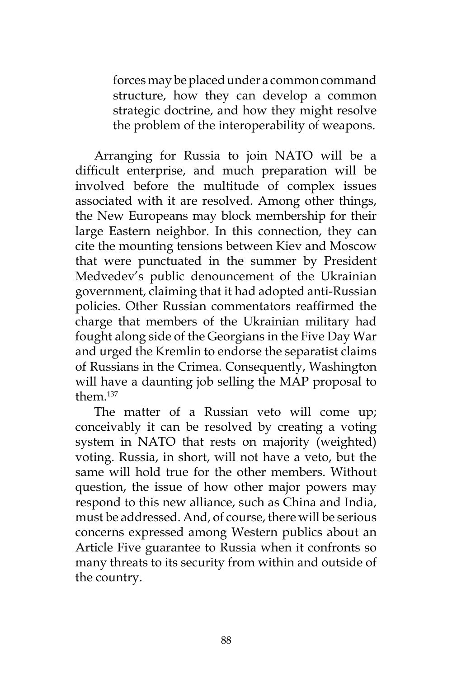forces may be placed under a common command structure, how they can develop a common strategic doctrine, and how they might resolve the problem of the interoperability of weapons.

Arranging for Russia to join NATO will be a difficult enterprise, and much preparation will be involved before the multitude of complex issues associated with it are resolved. Among other things, the New Europeans may block membership for their large Eastern neighbor. In this connection, they can cite the mounting tensions between Kiev and Moscow that were punctuated in the summer by President Medvedev's public denouncement of the Ukrainian government, claiming that it had adopted anti-Russian policies. Other Russian commentators reaffirmed the charge that members of the Ukrainian military had fought along side of the Georgians in the Five Day War and urged the Kremlin to endorse the separatist claims of Russians in the Crimea. Consequently, Washington will have a daunting job selling the MAP proposal to them $137$ 

The matter of a Russian veto will come up; conceivably it can be resolved by creating a voting system in NATO that rests on majority (weighted) voting. Russia, in short, will not have a veto, but the same will hold true for the other members. Without question, the issue of how other major powers may respond to this new alliance, such as China and India, must be addressed. And, of course, there will be serious concerns expressed among Western publics about an Article Five guarantee to Russia when it confronts so many threats to its security from within and outside of the country.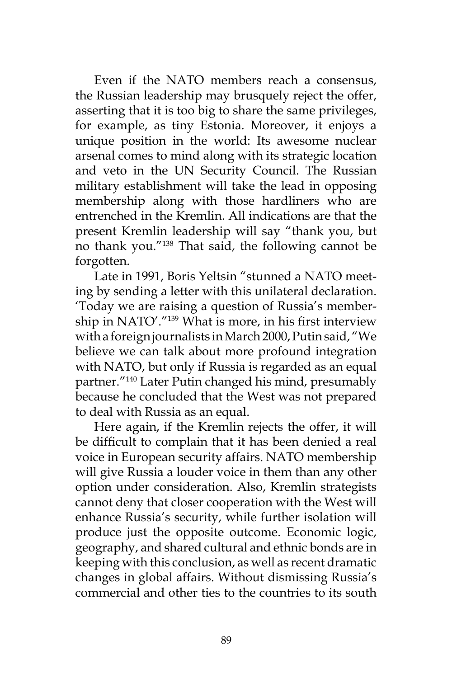Even if the NATO members reach a consensus, the Russian leadership may brusquely reject the offer, asserting that it is too big to share the same privileges, for example, as tiny Estonia. Moreover, it enjoys a unique position in the world: Its awesome nuclear arsenal comes to mind along with its strategic location and veto in the UN Security Council. The Russian military establishment will take the lead in opposing membership along with those hardliners who are entrenched in the Kremlin. All indications are that the present Kremlin leadership will say "thank you, but no thank you."138 That said, the following cannot be forgotten.

Late in 1991, Boris Yeltsin "stunned a NATO meeting by sending a letter with this unilateral declaration. 'Today we are raising a question of Russia's membership in NATO'."139 What is more, in his first interview with a foreign journalists in March 2000, Putin said, "We believe we can talk about more profound integration with NATO, but only if Russia is regarded as an equal partner."140 Later Putin changed his mind, presumably because he concluded that the West was not prepared to deal with Russia as an equal.

Here again, if the Kremlin rejects the offer, it will be difficult to complain that it has been denied a real voice in European security affairs. NATO membership will give Russia a louder voice in them than any other option under consideration. Also, Kremlin strategists cannot deny that closer cooperation with the West will enhance Russia's security, while further isolation will produce just the opposite outcome. Economic logic, geography, and shared cultural and ethnic bonds are in keeping with this conclusion, as well as recent dramatic changes in global affairs. Without dismissing Russia's commercial and other ties to the countries to its south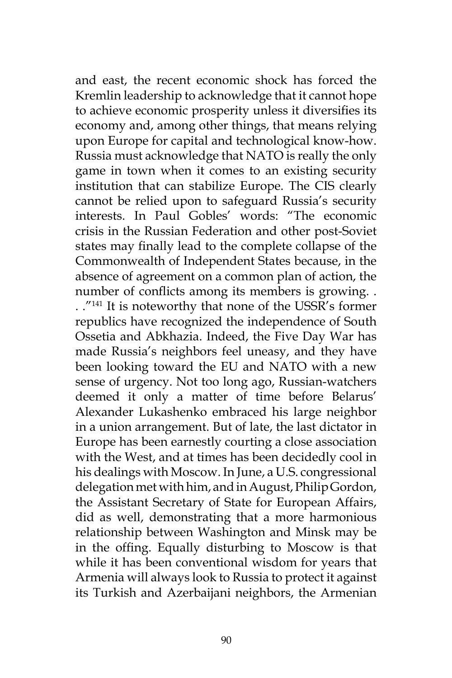and east, the recent economic shock has forced the Kremlin leadership to acknowledge that it cannot hope to achieve economic prosperity unless it diversifies its economy and, among other things, that means relying upon Europe for capital and technological know-how. Russia must acknowledge that NATO is really the only game in town when it comes to an existing security institution that can stabilize Europe. The CIS clearly cannot be relied upon to safeguard Russia's security interests. In Paul Gobles' words: "The economic crisis in the Russian Federation and other post-Soviet states may finally lead to the complete collapse of the Commonwealth of Independent States because, in the absence of agreement on a common plan of action, the number of conflicts among its members is growing. .

. ."141 It is noteworthy that none of the USSR's former republics have recognized the independence of South Ossetia and Abkhazia. Indeed, the Five Day War has made Russia's neighbors feel uneasy, and they have been looking toward the EU and NATO with a new sense of urgency. Not too long ago, Russian-watchers deemed it only a matter of time before Belarus' Alexander Lukashenko embraced his large neighbor in a union arrangement. But of late, the last dictator in Europe has been earnestly courting a close association with the West, and at times has been decidedly cool in his dealings with Moscow. In June, a U.S. congressional delegation met with him, and in August, Philip Gordon, the Assistant Secretary of State for European Affairs, did as well, demonstrating that a more harmonious relationship between Washington and Minsk may be in the offing. Equally disturbing to Moscow is that while it has been conventional wisdom for years that Armenia will always look to Russia to protect it against its Turkish and Azerbaijani neighbors, the Armenian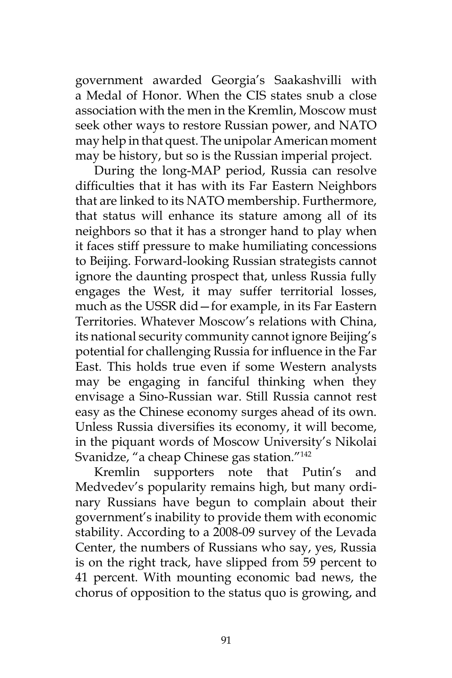government awarded Georgia's Saakashvilli with a Medal of Honor. When the CIS states snub a close association with the men in the Kremlin, Moscow must seek other ways to restore Russian power, and NATO may help in that quest. The unipolar American moment may be history, but so is the Russian imperial project.

During the long-MAP period, Russia can resolve difficulties that it has with its Far Eastern Neighbors that are linked to its NATO membership. Furthermore, that status will enhance its stature among all of its neighbors so that it has a stronger hand to play when it faces stiff pressure to make humiliating concessions to Beijing. Forward-looking Russian strategists cannot ignore the daunting prospect that, unless Russia fully engages the West, it may suffer territorial losses, much as the USSR did—for example, in its Far Eastern Territories. Whatever Moscow's relations with China, its national security community cannot ignore Beijing's potential for challenging Russia for influence in the Far East. This holds true even if some Western analysts may be engaging in fanciful thinking when they envisage a Sino-Russian war. Still Russia cannot rest easy as the Chinese economy surges ahead of its own. Unless Russia diversifies its economy, it will become, in the piquant words of Moscow University's Nikolai Svanidze, "a cheap Chinese gas station."142

Kremlin supporters note that Putin's and Medvedev's popularity remains high, but many ordinary Russians have begun to complain about their government's inability to provide them with economic stability. According to a 2008-09 survey of the Levada Center, the numbers of Russians who say, yes, Russia is on the right track, have slipped from 59 percent to 41 percent. With mounting economic bad news, the chorus of opposition to the status quo is growing, and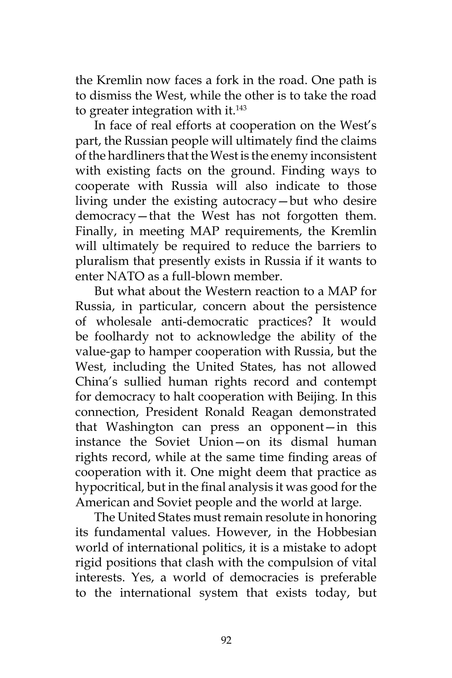the Kremlin now faces a fork in the road. One path is to dismiss the West, while the other is to take the road to greater integration with it. $143$ 

In face of real efforts at cooperation on the West's part, the Russian people will ultimately find the claims of the hardliners that the West is the enemy inconsistent with existing facts on the ground. Finding ways to cooperate with Russia will also indicate to those living under the existing autocracy—but who desire democracy—that the West has not forgotten them. Finally, in meeting MAP requirements, the Kremlin will ultimately be required to reduce the barriers to pluralism that presently exists in Russia if it wants to enter NATO as a full-blown member.

But what about the Western reaction to a MAP for Russia, in particular, concern about the persistence of wholesale anti-democratic practices? It would be foolhardy not to acknowledge the ability of the value-gap to hamper cooperation with Russia, but the West, including the United States, has not allowed China's sullied human rights record and contempt for democracy to halt cooperation with Beijing. In this connection, President Ronald Reagan demonstrated that Washington can press an opponent—in this instance the Soviet Union—on its dismal human rights record, while at the same time finding areas of cooperation with it. One might deem that practice as hypocritical, but in the final analysis it was good for the American and Soviet people and the world at large.

The United States must remain resolute in honoring its fundamental values. However, in the Hobbesian world of international politics, it is a mistake to adopt rigid positions that clash with the compulsion of vital interests. Yes, a world of democracies is preferable to the international system that exists today, but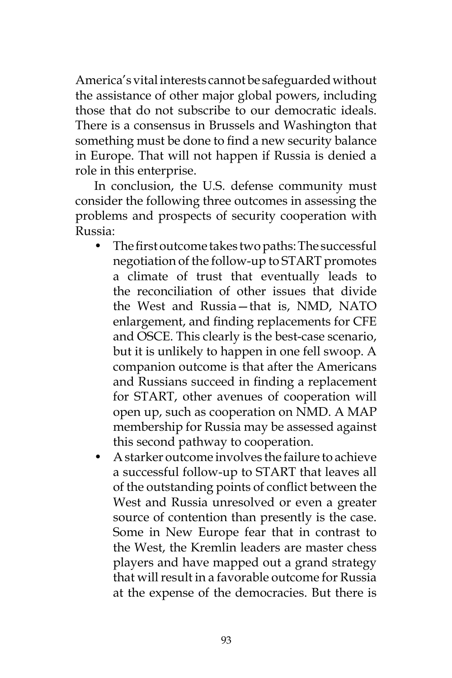America's vital interests cannot be safeguarded without the assistance of other major global powers, including those that do not subscribe to our democratic ideals. There is a consensus in Brussels and Washington that something must be done to find a new security balance in Europe. That will not happen if Russia is denied a role in this enterprise.

In conclusion, the U.S. defense community must consider the following three outcomes in assessing the problems and prospects of security cooperation with Russia:

- The first outcome takes two paths: The successful negotiation of the follow-up to START promotes a climate of trust that eventually leads to the reconciliation of other issues that divide the West and Russia—that is, NMD, NATO enlargement, and finding replacements for CFE and OSCE. This clearly is the best-case scenario, but it is unlikely to happen in one fell swoop. A companion outcome is that after the Americans and Russians succeed in finding a replacement for START, other avenues of cooperation will open up, such as cooperation on NMD. A MAP membership for Russia may be assessed against this second pathway to cooperation.
- A starker outcome involves the failure to achieve a successful follow-up to START that leaves all of the outstanding points of conflict between the West and Russia unresolved or even a greater source of contention than presently is the case. Some in New Europe fear that in contrast to the West, the Kremlin leaders are master chess players and have mapped out a grand strategy that will result in a favorable outcome for Russia at the expense of the democracies. But there is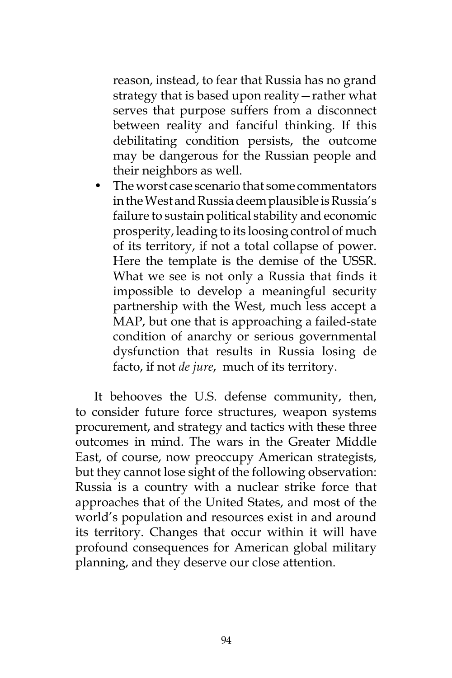reason, instead, to fear that Russia has no grand strategy that is based upon reality—rather what serves that purpose suffers from a disconnect between reality and fanciful thinking. If this debilitating condition persists, the outcome may be dangerous for the Russian people and their neighbors as well.

• The worst case scenario that some commentators in the West and Russia deem plausible is Russia's failure to sustain political stability and economic prosperity, leading to its loosing control of much of its territory, if not a total collapse of power. Here the template is the demise of the USSR. What we see is not only a Russia that finds it impossible to develop a meaningful security partnership with the West, much less accept a MAP, but one that is approaching a failed-state condition of anarchy or serious governmental dysfunction that results in Russia losing de facto, if not *de jure*, much of its territory.

It behooves the U.S. defense community, then, to consider future force structures, weapon systems procurement, and strategy and tactics with these three outcomes in mind. The wars in the Greater Middle East, of course, now preoccupy American strategists, but they cannot lose sight of the following observation: Russia is a country with a nuclear strike force that approaches that of the United States, and most of the world's population and resources exist in and around its territory. Changes that occur within it will have profound consequences for American global military planning, and they deserve our close attention.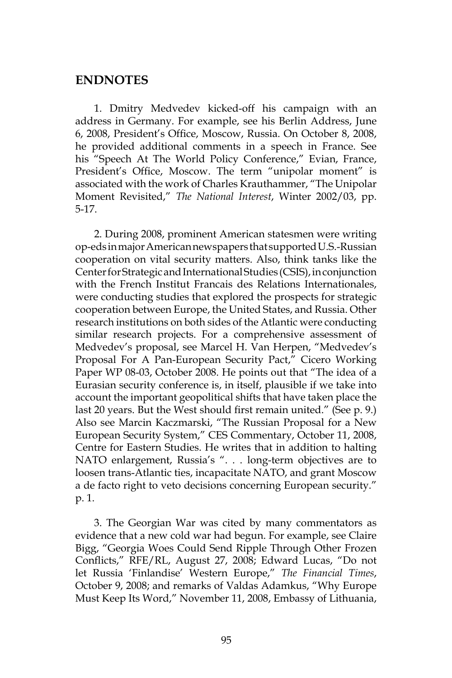#### **ENDNOTES**

1. Dmitry Medvedev kicked-off his campaign with an address in Germany. For example, see his Berlin Address, June 6, 2008, President's Office, Moscow, Russia. On October 8, 2008, he provided additional comments in a speech in France. See his "Speech At The World Policy Conference," Evian, France, President's Office, Moscow. The term "unipolar moment" is associated with the work of Charles Krauthammer, "The Unipolar Moment Revisited," *The National Interest*, Winter 2002/03, pp. 5-17.

2. During 2008, prominent American statesmen were writing op-eds in major American newspapers that supported U.S.-Russian cooperation on vital security matters. Also, think tanks like the Center for Strategic and International Studies (CSIS), in conjunction with the French Institut Francais des Relations Internationales, were conducting studies that explored the prospects for strategic cooperation between Europe, the United States, and Russia. Other research institutions on both sides of the Atlantic were conducting similar research projects. For a comprehensive assessment of Medvedev's proposal, see Marcel H. Van Herpen, "Medvedev's Proposal For A Pan-European Security Pact," Cicero Working Paper WP 08-03, October 2008. He points out that "The idea of a Eurasian security conference is, in itself, plausible if we take into account the important geopolitical shifts that have taken place the last 20 years. But the West should first remain united." (See p. 9.) Also see Marcin Kaczmarski, "The Russian Proposal for a New European Security System," CES Commentary, October 11, 2008, Centre for Eastern Studies. He writes that in addition to halting NATO enlargement, Russia's ". . . long-term objectives are to loosen trans-Atlantic ties, incapacitate NATO, and grant Moscow a de facto right to veto decisions concerning European security." p. 1.

3. The Georgian War was cited by many commentators as evidence that a new cold war had begun. For example, see Claire Bigg, "Georgia Woes Could Send Ripple Through Other Frozen Conflicts," RFE/RL, August 27, 2008; Edward Lucas, "Do not let Russia 'Finlandise' Western Europe," *The Financial Times*, October 9, 2008; and remarks of Valdas Adamkus, "Why Europe Must Keep Its Word," November 11, 2008, Embassy of Lithuania,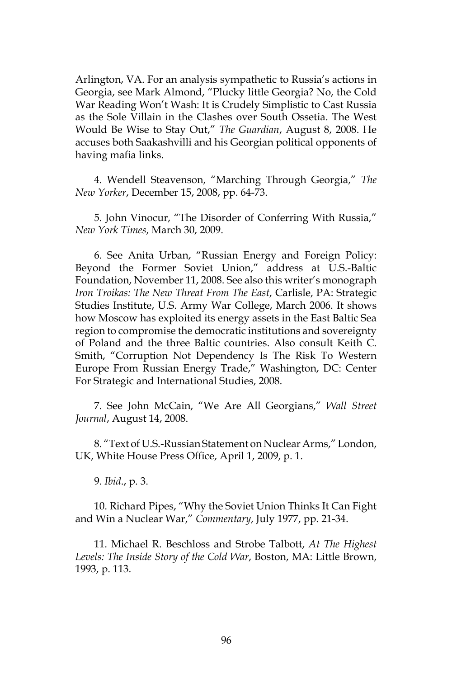Arlington, VA. For an analysis sympathetic to Russia's actions in Georgia, see Mark Almond, "Plucky little Georgia? No, the Cold War Reading Won't Wash: It is Crudely Simplistic to Cast Russia as the Sole Villain in the Clashes over South Ossetia. The West Would Be Wise to Stay Out," *The Guardian*, August 8, 2008. He accuses both Saakashvilli and his Georgian political opponents of having mafia links.

4. Wendell Steavenson, "Marching Through Georgia," *The New Yorker*, December 15, 2008, pp. 64-73.

5. John Vinocur, "The Disorder of Conferring With Russia," *New York Times*, March 30, 2009.

6. See Anita Urban, "Russian Energy and Foreign Policy: Beyond the Former Soviet Union," address at U.S.-Baltic Foundation, November 11, 2008. See also this writer's monograph *Iron Troikas: The New Threat From The East*, Carlisle, PA: Strategic Studies Institute, U.S. Army War College, March 2006. It shows how Moscow has exploited its energy assets in the East Baltic Sea region to compromise the democratic institutions and sovereignty of Poland and the three Baltic countries. Also consult Keith C. Smith, "Corruption Not Dependency Is The Risk To Western Europe From Russian Energy Trade," Washington, DC: Center For Strategic and International Studies, 2008.

7. See John McCain, "We Are All Georgians," *Wall Street Journal*, August 14, 2008.

8. "Text of U.S.-Russian Statement on Nuclear Arms," London, UK, White House Press Office, April 1, 2009, p. 1.

9. *Ibid*., p. 3.

10. Richard Pipes, "Why the Soviet Union Thinks It Can Fight and Win a Nuclear War," *Commentary*, July 1977, pp. 21-34.

11. Michael R. Beschloss and Strobe Talbott, *At The Highest Levels: The Inside Story of the Cold War*, Boston, MA: Little Brown, 1993, p. 113.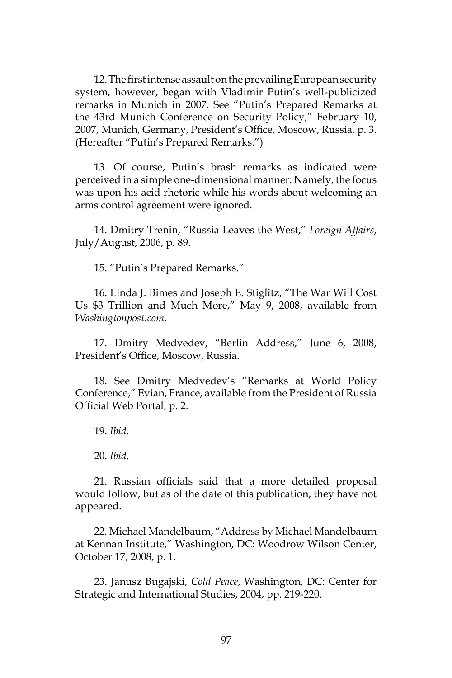12. The first intense assault on the prevailing European security system, however, began with Vladimir Putin's well-publicized remarks in Munich in 2007. See "Putin's Prepared Remarks at the 43rd Munich Conference on Security Policy," February 10, 2007, Munich, Germany, President's Office, Moscow, Russia, p. 3. (Hereafter "Putin's Prepared Remarks.")

13. Of course, Putin's brash remarks as indicated were perceived in a simple one-dimensional manner: Namely, the focus was upon his acid rhetoric while his words about welcoming an arms control agreement were ignored.

14. Dmitry Trenin, "Russia Leaves the West," *Foreign Affairs*, July/August, 2006, p. 89.

15. "Putin's Prepared Remarks."

16. Linda J. Bimes and Joseph E. Stiglitz, "The War Will Cost Us \$3 Trillion and Much More," May 9, 2008, available from *Washingtonpost.com*.

17. Dmitry Medvedev, "Berlin Address," June 6, 2008, President's Office, Moscow, Russia.

18. See Dmitry Medvedev's "Remarks at World Policy Conference," Evian, France, available from the President of Russia Official Web Portal, p. 2.

19. *Ibid*.

20. *Ibid*.

21. Russian officials said that a more detailed proposal would follow, but as of the date of this publication, they have not appeared.

22. Michael Mandelbaum, "Address by Michael Mandelbaum at Kennan Institute," Washington, DC: Woodrow Wilson Center, October 17, 2008, p. 1.

23. Janusz Bugajski, *Cold Peace*, Washington, DC: Center for Strategic and International Studies, 2004, pp. 219-220.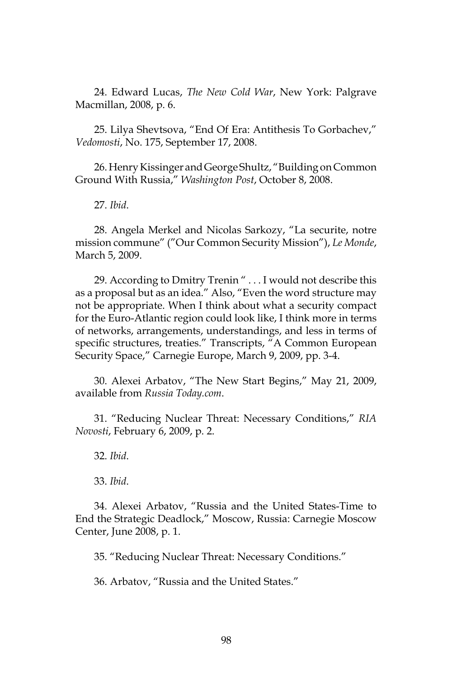24. Edward Lucas, *The New Cold War*, New York: Palgrave Macmillan, 2008, p. 6.

25. Lilya Shevtsova, "End Of Era: Antithesis To Gorbachev," *Vedomosti*, No. 175, September 17, 2008.

26. Henry Kissinger and George Shultz, "Building on Common Ground With Russia," *Washington Post*, October 8, 2008.

27. *Ibid*.

28. Angela Merkel and Nicolas Sarkozy, "La securite, notre mission commune" ("Our Common Security Mission"), *Le Monde*, March 5, 2009.

29. According to Dmitry Trenin " . . . I would not describe this as a proposal but as an idea." Also, "Even the word structure may not be appropriate. When I think about what a security compact for the Euro-Atlantic region could look like, I think more in terms of networks, arrangements, understandings, and less in terms of specific structures, treaties." Transcripts, "A Common European Security Space," Carnegie Europe, March 9, 2009, pp. 3-4.

30. Alexei Arbatov, "The New Start Begins," May 21, 2009, available from *Russia Today.com*.

31. "Reducing Nuclear Threat: Necessary Conditions," *RIA Novosti*, February 6, 2009, p. 2.

32. *Ibid*.

33. *Ibid*.

34. Alexei Arbatov, "Russia and the United States-Time to End the Strategic Deadlock," Moscow, Russia: Carnegie Moscow Center, June 2008, p. 1.

35. "Reducing Nuclear Threat: Necessary Conditions."

36. Arbatov, "Russia and the United States."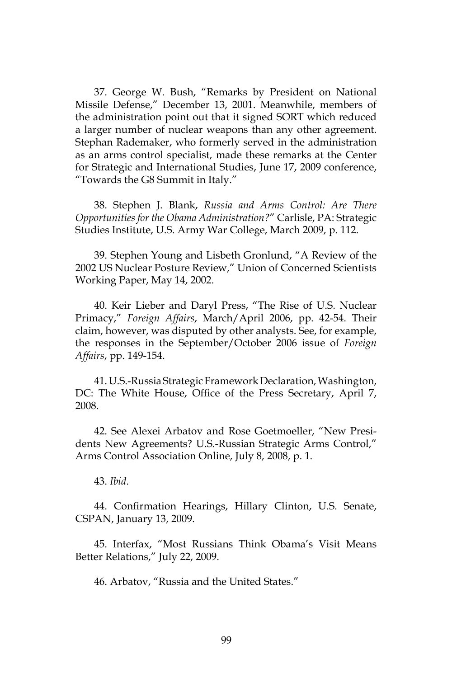37. George W. Bush, "Remarks by President on National Missile Defense," December 13, 2001. Meanwhile, members of the administration point out that it signed SORT which reduced a larger number of nuclear weapons than any other agreement. Stephan Rademaker, who formerly served in the administration as an arms control specialist, made these remarks at the Center for Strategic and International Studies, June 17, 2009 conference, "Towards the G8 Summit in Italy."

38. Stephen J. Blank, *Russia and Arms Control: Are There Opportunities for the Obama Administration?*" Carlisle, PA: Strategic Studies Institute, U.S. Army War College, March 2009, p. 112.

39. Stephen Young and Lisbeth Gronlund, "A Review of the 2002 US Nuclear Posture Review," Union of Concerned Scientists Working Paper, May 14, 2002.

40. Keir Lieber and Daryl Press, "The Rise of U.S. Nuclear Primacy," *Foreign Affairs*, March/April 2006, pp. 42-54. Their claim, however, was disputed by other analysts. See, for example, the responses in the September/October 2006 issue of *Foreign Affairs*, pp. 149-154.

41. U.S.-Russia Strategic Framework Declaration, Washington, DC: The White House, Office of the Press Secretary, April 7, 2008.

42. See Alexei Arbatov and Rose Goetmoeller, "New Presidents New Agreements? U.S.-Russian Strategic Arms Control," Arms Control Association Online, July 8, 2008, p. 1.

43. *Ibid*.

44. Confirmation Hearings, Hillary Clinton, U.S. Senate, CSPAN, January 13, 2009.

45. Interfax, "Most Russians Think Obama's Visit Means Better Relations," July 22, 2009.

46. Arbatov, "Russia and the United States."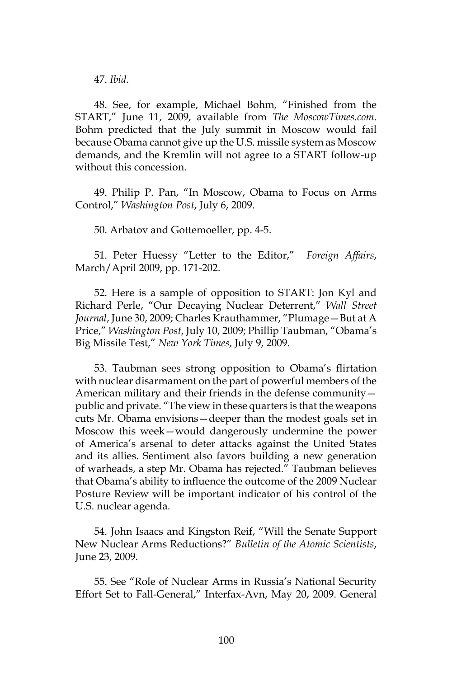47. *Ibid*.

48. See, for example, Michael Bohm, "Finished from the START," June 11, 2009, available from *The MoscowTimes.com*. Bohm predicted that the July summit in Moscow would fail because Obama cannot give up the U.S. missile system as Moscow demands, and the Kremlin will not agree to a START follow-up without this concession.

49. Philip P. Pan, "In Moscow, Obama to Focus on Arms Control," *Washington Post*, July 6, 2009.

50. Arbatov and Gottemoeller, pp. 4-5.

51. Peter Huessy "Letter to the Editor," *Foreign Affairs*, March/April 2009, pp. 171-202.

52. Here is a sample of opposition to START: Jon Kyl and Richard Perle, "Our Decaying Nuclear Deterrent," *Wall Street Journal*, June 30, 2009; Charles Krauthammer, "Plumage—But at A Price," *Washington Post*, July 10, 2009; Phillip Taubman, "Obama's Big Missile Test," *New York Times*, July 9, 2009.

53. Taubman sees strong opposition to Obama's flirtation with nuclear disarmament on the part of powerful members of the American military and their friends in the defense community public and private. "The view in these quarters is that the weapons cuts Mr. Obama envisions—deeper than the modest goals set in Moscow this week—would dangerously undermine the power of America's arsenal to deter attacks against the United States and its allies. Sentiment also favors building a new generation of warheads, a step Mr. Obama has rejected." Taubman believes that Obama's ability to influence the outcome of the 2009 Nuclear Posture Review will be important indicator of his control of the U.S. nuclear agenda.

54. John Isaacs and Kingston Reif, "Will the Senate Support New Nuclear Arms Reductions?" *Bulletin of the Atomic Scientists*, June 23, 2009.

55. See "Role of Nuclear Arms in Russia's National Security Effort Set to Fall-General," Interfax-Avn, May 20, 2009. General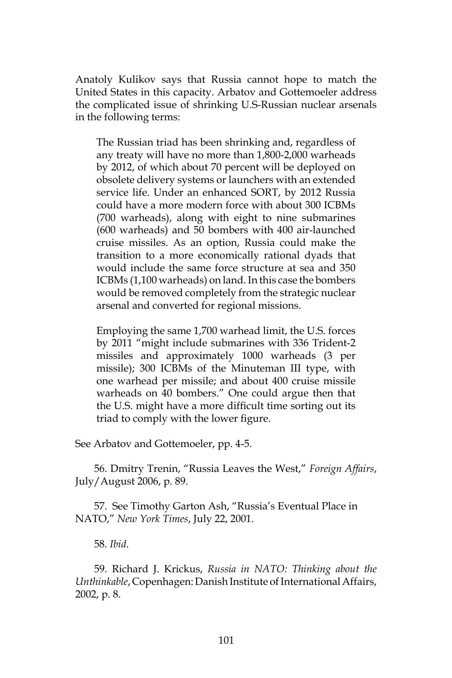Anatoly Kulikov says that Russia cannot hope to match the United States in this capacity. Arbatov and Gottemoeler address the complicated issue of shrinking U.S-Russian nuclear arsenals in the following terms:

The Russian triad has been shrinking and, regardless of any treaty will have no more than 1,800-2,000 warheads by 2012, of which about 70 percent will be deployed on obsolete delivery systems or launchers with an extended service life. Under an enhanced SORT, by 2012 Russia could have a more modern force with about 300 ICBMs (700 warheads), along with eight to nine submarines (600 warheads) and 50 bombers with 400 air-launched cruise missiles. As an option, Russia could make the transition to a more economically rational dyads that would include the same force structure at sea and 350 ICBMs (1,100 warheads) on land. In this case the bombers would be removed completely from the strategic nuclear arsenal and converted for regional missions.

Employing the same 1,700 warhead limit, the U.S. forces by 2011 "might include submarines with 336 Trident-2 missiles and approximately 1000 warheads (3 per missile); 300 ICBMs of the Minuteman III type, with one warhead per missile; and about 400 cruise missile warheads on 40 bombers." One could argue then that the U.S. might have a more difficult time sorting out its triad to comply with the lower figure.

See Arbatov and Gottemoeler, pp. 4-5.

56. Dmitry Trenin, "Russia Leaves the West," *Foreign Affairs*, July/August 2006, p. 89.

57. See Timothy Garton Ash, "Russia's Eventual Place in NATO," *New York Times*, July 22, 2001.

58. *Ibid*.

59. Richard J. Krickus, *Russia in NATO: Thinking about the Unthinkable*, Copenhagen: Danish Institute of International Affairs, 2002, p. 8.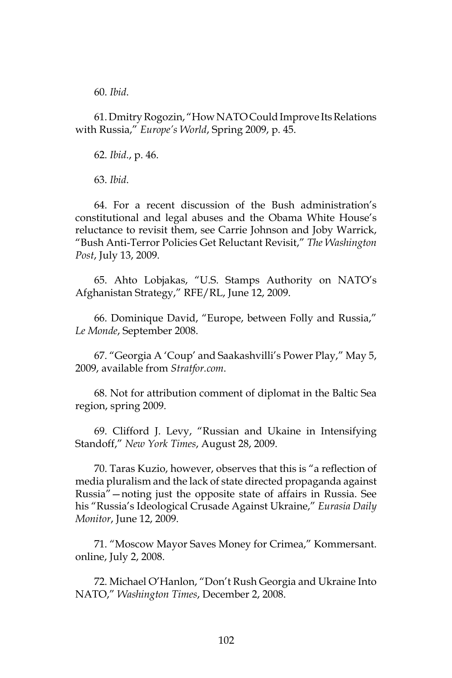60. *Ibid*.

61. Dmitry Rogozin, "How NATO Could Improve Its Relations with Russia," *Europe's World*, Spring 2009, p. 45.

62. *Ibid*., p. 46.

63. *Ibid*.

64. For a recent discussion of the Bush administration's constitutional and legal abuses and the Obama White House's reluctance to revisit them, see Carrie Johnson and Joby Warrick, "Bush Anti-Terror Policies Get Reluctant Revisit," *The Washington Post*, July 13, 2009.

65. Ahto Lobjakas, "U.S. Stamps Authority on NATO's Afghanistan Strategy," RFE/RL, June 12, 2009.

66. Dominique David, "Europe, between Folly and Russia," *Le Monde*, September 2008.

67. "Georgia A 'Coup' and Saakashvilli's Power Play," May 5, 2009, available from *Stratfor.com*.

68. Not for attribution comment of diplomat in the Baltic Sea region, spring 2009.

69. Clifford J. Levy, "Russian and Ukaine in Intensifying Standoff," *New York Times*, August 28, 2009.

70. Taras Kuzio, however, observes that this is "a reflection of media pluralism and the lack of state directed propaganda against Russia"—noting just the opposite state of affairs in Russia. See his "Russia's Ideological Crusade Against Ukraine," *Eurasia Daily Monitor*, June 12, 2009.

71. "Moscow Mayor Saves Money for Crimea," Kommersant. online, July 2, 2008.

72. Michael O'Hanlon, "Don't Rush Georgia and Ukraine Into NATO," *Washington Times*, December 2, 2008.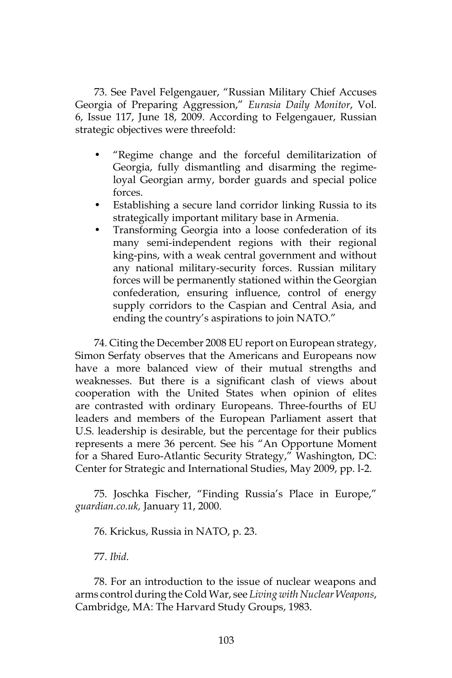73. See Pavel Felgengauer, "Russian Military Chief Accuses Georgia of Preparing Aggression," *Eurasia Daily Monitor*, Vol. 6, Issue 117, June 18, 2009. According to Felgengauer, Russian strategic objectives were threefold:

- "Regime change and the forceful demilitarization of Georgia, fully dismantling and disarming the regimeloyal Georgian army, border guards and special police forces.
- Establishing a secure land corridor linking Russia to its strategically important military base in Armenia.
- Transforming Georgia into a loose confederation of its many semi-independent regions with their regional king-pins, with a weak central government and without any national military-security forces. Russian military forces will be permanently stationed within the Georgian confederation, ensuring influence, control of energy supply corridors to the Caspian and Central Asia, and ending the country's aspirations to join NATO."

74. Citing the December 2008 EU report on European strategy, Simon Serfaty observes that the Americans and Europeans now have a more balanced view of their mutual strengths and weaknesses. But there is a significant clash of views about cooperation with the United States when opinion of elites are contrasted with ordinary Europeans. Three-fourths of EU leaders and members of the European Parliament assert that U.S. leadership is desirable, but the percentage for their publics represents a mere 36 percent. See his "An Opportune Moment for a Shared Euro-Atlantic Security Strategy," Washington, DC: Center for Strategic and International Studies, May 2009, pp. l-2.

75. Joschka Fischer, "Finding Russia's Place in Europe," *guardian.co.uk,* January 11, 2000.

76. Krickus, Russia in NATO, p. 23.

77. *Ibid*.

78. For an introduction to the issue of nuclear weapons and arms control during the Cold War, see *Living with Nuclear Weapons*, Cambridge, MA: The Harvard Study Groups, 1983.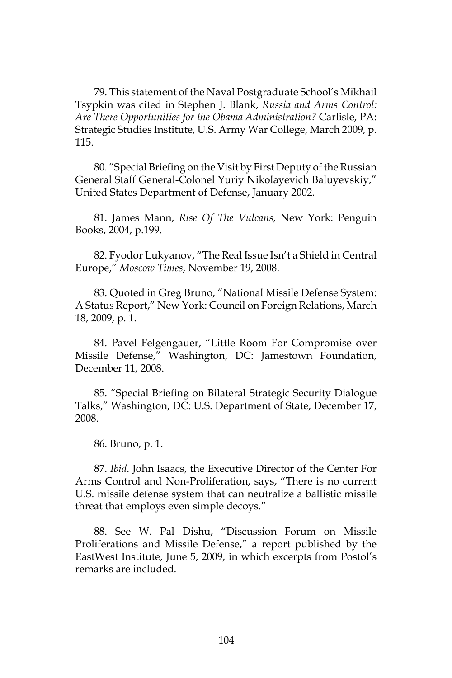79. This statement of the Naval Postgraduate School's Mikhail Tsypkin was cited in Stephen J. Blank, *Russia and Arms Control: Are There Opportunities for the Obama Administration?* Carlisle, PA: Strategic Studies Institute, U.S. Army War College, March 2009, p. 115.

80. "Special Briefing on the Visit by First Deputy of the Russian General Staff General-Colonel Yuriy Nikolayevich Baluyevskiy," United States Department of Defense, January 2002.

81. James Mann, *Rise Of The Vulcans*, New York: Penguin Books, 2004, p.199.

82. Fyodor Lukyanov, "The Real Issue Isn't a Shield in Central Europe," *Moscow Times*, November 19, 2008.

83. Quoted in Greg Bruno, "National Missile Defense System: A Status Report," New York: Council on Foreign Relations, March 18, 2009, p. 1.

84. Pavel Felgengauer, "Little Room For Compromise over Missile Defense," Washington, DC: Jamestown Foundation, December 11, 2008.

85. "Special Briefing on Bilateral Strategic Security Dialogue Talks," Washington, DC: U.S. Department of State, December 17, 2008.

86. Bruno, p. 1.

87. *Ibid*. John Isaacs, the Executive Director of the Center For Arms Control and Non-Proliferation, says, "There is no current U.S. missile defense system that can neutralize a ballistic missile threat that employs even simple decoys."

88. See W. Pal Dishu, "Discussion Forum on Missile Proliferations and Missile Defense," a report published by the EastWest Institute, June 5, 2009, in which excerpts from Postol's remarks are included.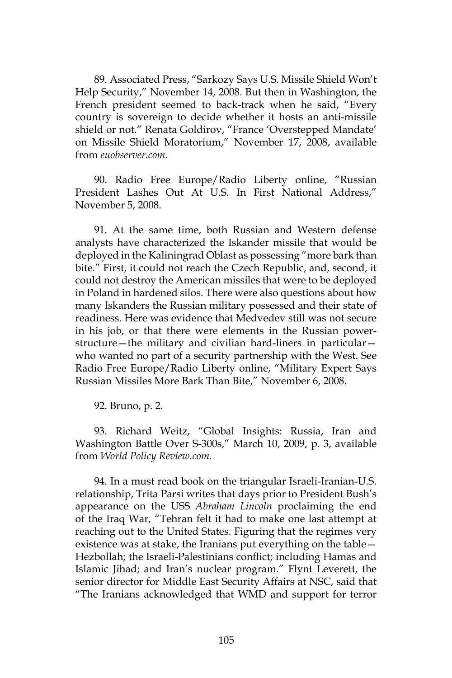89. Associated Press, "Sarkozy Says U.S. Missile Shield Won't Help Security," November 14, 2008. But then in Washington, the French president seemed to back-track when he said, "Every country is sovereign to decide whether it hosts an anti-missile shield or not." Renata Goldirov, "France 'Overstepped Mandate' on Missile Shield Moratorium," November 17, 2008, available from *euobserver.com*.

90. Radio Free Europe/Radio Liberty online, "Russian President Lashes Out At U.S. In First National Address," November 5, 2008.

91. At the same time, both Russian and Western defense analysts have characterized the Iskander missile that would be deployed in the Kaliningrad Oblast as possessing "more bark than bite." First, it could not reach the Czech Republic, and, second, it could not destroy the American missiles that were to be deployed in Poland in hardened silos. There were also questions about how many Iskanders the Russian military possessed and their state of readiness. Here was evidence that Medvedev still was not secure in his job, or that there were elements in the Russian powerstructure—the military and civilian hard-liners in particular who wanted no part of a security partnership with the West. See Radio Free Europe/Radio Liberty online, "Military Expert Says Russian Missiles More Bark Than Bite," November 6, 2008.

92. Bruno, p. 2.

93. Richard Weitz, "Global Insights: Russia, Iran and Washington Battle Over S-300s," March 10, 2009, p. 3, available from *World Policy Review.com*.

94. In a must read book on the triangular Israeli-Iranian-U.S. relationship, Trita Parsi writes that days prior to President Bush's appearance on the USS *Abraham Lincoln* proclaiming the end of the Iraq War, "Tehran felt it had to make one last attempt at reaching out to the United States. Figuring that the regimes very existence was at stake, the Iranians put everything on the table— Hezbollah; the Israeli-Palestinians conflict; including Hamas and Islamic Jihad; and Iran's nuclear program." Flynt Leverett, the senior director for Middle East Security Affairs at NSC, said that "The Iranians acknowledged that WMD and support for terror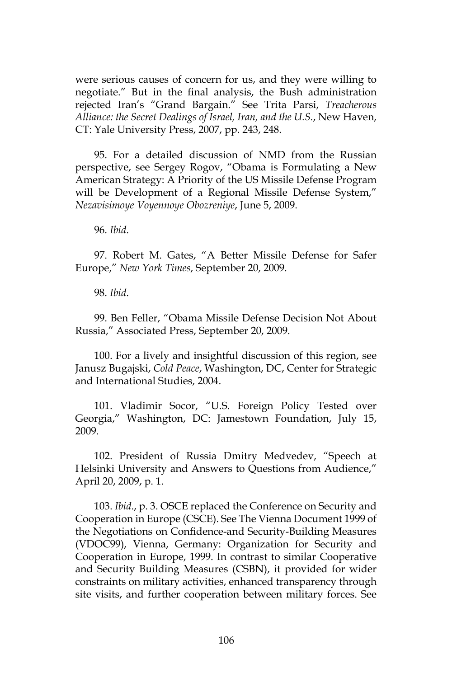were serious causes of concern for us, and they were willing to negotiate." But in the final analysis, the Bush administration rejected Iran's "Grand Bargain." See Trita Parsi, *Treacherous Alliance: the Secret Dealings of Israel, Iran, and the U.S.*, New Haven, CT: Yale University Press, 2007, pp. 243, 248.

95. For a detailed discussion of NMD from the Russian perspective, see Sergey Rogov, "Obama is Formulating a New American Strategy: A Priority of the US Missile Defense Program will be Development of a Regional Missile Defense System," *Nezavisimoye Voyennoye Obozreniye*, June 5, 2009.

96. *Ibid*.

97. Robert M. Gates, "A Better Missile Defense for Safer Europe," *New York Times*, September 20, 2009.

98. *Ibid*.

99. Ben Feller, "Obama Missile Defense Decision Not About Russia," Associated Press, September 20, 2009.

100. For a lively and insightful discussion of this region, see Janusz Bugajski, *Cold Peace*, Washington, DC, Center for Strategic and International Studies, 2004.

101. Vladimir Socor, "U.S. Foreign Policy Tested over Georgia," Washington, DC: Jamestown Foundation, July 15, 2009.

102. President of Russia Dmitry Medvedev, "Speech at Helsinki University and Answers to Questions from Audience," April 20, 2009, p. 1.

103. *Ibid*., p. 3. OSCE replaced the Conference on Security and Cooperation in Europe (CSCE). See The Vienna Document 1999 of the Negotiations on Confidence-and Security-Building Measures (VDOC99), Vienna, Germany: Organization for Security and Cooperation in Europe, 1999. In contrast to similar Cooperative and Security Building Measures (CSBN), it provided for wider constraints on military activities, enhanced transparency through site visits, and further cooperation between military forces. See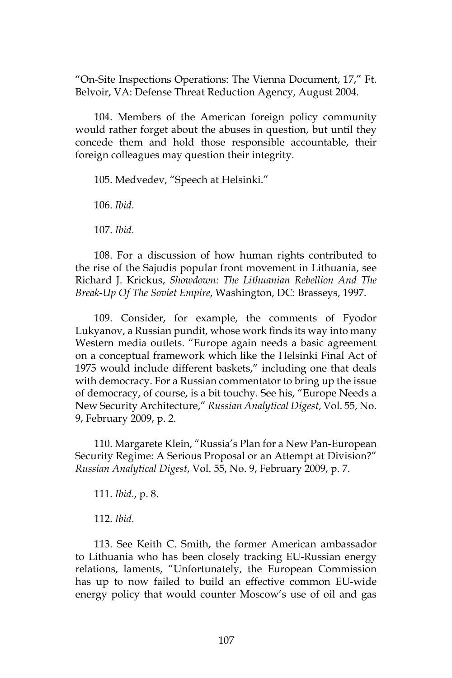"On-Site Inspections Operations: The Vienna Document, 17," Ft. Belvoir, VA: Defense Threat Reduction Agency, August 2004.

104. Members of the American foreign policy community would rather forget about the abuses in question, but until they concede them and hold those responsible accountable, their foreign colleagues may question their integrity.

105. Medvedev, "Speech at Helsinki."

106. *Ibid*.

107. *Ibid*.

108. For a discussion of how human rights contributed to the rise of the Sajudis popular front movement in Lithuania, see Richard J. Krickus, *Showdown: The Lithuanian Rebellion And The Break-Up Of The Soviet Empire*, Washington, DC: Brasseys, 1997.

109. Consider, for example, the comments of Fyodor Lukyanov, a Russian pundit, whose work finds its way into many Western media outlets. "Europe again needs a basic agreement on a conceptual framework which like the Helsinki Final Act of 1975 would include different baskets," including one that deals with democracy. For a Russian commentator to bring up the issue of democracy, of course, is a bit touchy. See his, "Europe Needs a New Security Architecture," *Russian Analytical Digest*, Vol. 55, No. 9, February 2009, p. 2.

110. Margarete Klein, "Russia's Plan for a New Pan-European Security Regime: A Serious Proposal or an Attempt at Division?" *Russian Analytical Digest*, Vol. 55, No. 9, February 2009, p. 7.

111. *Ibid*., p. 8.

112. *Ibid*.

113. See Keith C. Smith, the former American ambassador to Lithuania who has been closely tracking EU-Russian energy relations, laments, "Unfortunately, the European Commission has up to now failed to build an effective common EU-wide energy policy that would counter Moscow's use of oil and gas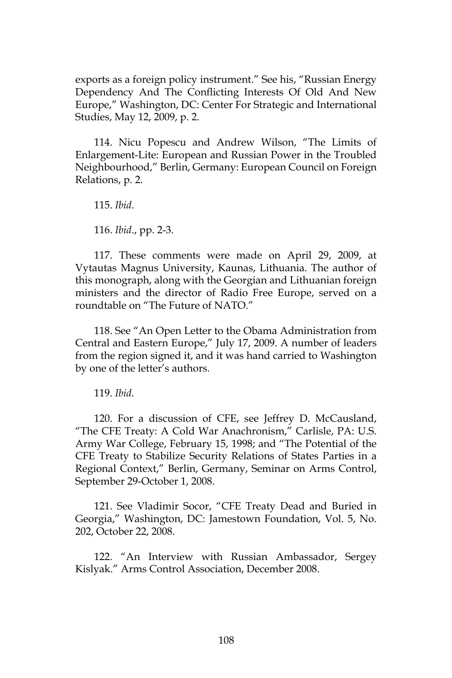exports as a foreign policy instrument." See his, "Russian Energy Dependency And The Conflicting Interests Of Old And New Europe," Washington, DC: Center For Strategic and International Studies, May 12, 2009, p. 2.

114. Nicu Popescu and Andrew Wilson, "The Limits of Enlargement-Lite: European and Russian Power in the Troubled Neighbourhood," Berlin, Germany: European Council on Foreign Relations, p. 2.

115. *Ibid*.

116. *Ibid*., pp. 2-3.

117. These comments were made on April 29, 2009, at Vytautas Magnus University, Kaunas, Lithuania. The author of this monograph, along with the Georgian and Lithuanian foreign ministers and the director of Radio Free Europe, served on a roundtable on "The Future of NATO."

118. See "An Open Letter to the Obama Administration from Central and Eastern Europe," July 17, 2009. A number of leaders from the region signed it, and it was hand carried to Washington by one of the letter's authors.

119. *Ibid*.

120. For a discussion of CFE, see Jeffrey D. McCausland, "The CFE Treaty: A Cold War Anachronism," Carlisle, PA: U.S. Army War College, February 15, 1998; and "The Potential of the CFE Treaty to Stabilize Security Relations of States Parties in a Regional Context," Berlin, Germany, Seminar on Arms Control, September 29-October 1, 2008.

121. See Vladimir Socor, "CFE Treaty Dead and Buried in Georgia," Washington, DC: Jamestown Foundation, Vol. 5, No. 202, October 22, 2008.

122. "An Interview with Russian Ambassador, Sergey Kislyak." Arms Control Association, December 2008.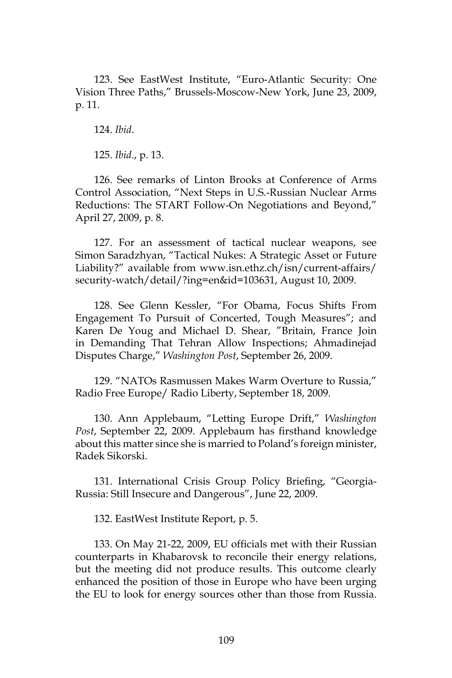123. See EastWest Institute, "Euro-Atlantic Security: One Vision Three Paths," Brussels-Moscow-New York, June 23, 2009, p. 11.

124. *Ibid*.

125. *Ibid*., p. 13.

126. See remarks of Linton Brooks at Conference of Arms Control Association, "Next Steps in U.S.-Russian Nuclear Arms Reductions: The START Follow-On Negotiations and Beyond," April 27, 2009, p. 8.

127. For an assessment of tactical nuclear weapons, see Simon Saradzhyan, "Tactical Nukes: A Strategic Asset or Future Liability?" available from www.isn.ethz.ch/isn/current-affairs/ security-watch/detail/?ing=en&id=103631, August 10, 2009.

128. See Glenn Kessler, "For Obama, Focus Shifts From Engagement To Pursuit of Concerted, Tough Measures"; and Karen De Youg and Michael D. Shear, "Britain, France Join in Demanding That Tehran Allow Inspections; Ahmadinejad Disputes Charge," *Washington Post*, September 26, 2009.

129. "NATOs Rasmussen Makes Warm Overture to Russia," Radio Free Europe/ Radio Liberty, September 18, 2009.

130. Ann Applebaum, "Letting Europe Drift," *Washington Post*, September 22, 2009. Applebaum has firsthand knowledge about this matter since she is married to Poland's foreign minister, Radek Sikorski.

131. International Crisis Group Policy Briefing, "Georgia-Russia: Still Insecure and Dangerous", June 22, 2009.

132. EastWest Institute Report, p. 5.

133. On May 21-22, 2009, EU officials met with their Russian counterparts in Khabarovsk to reconcile their energy relations, but the meeting did not produce results. This outcome clearly enhanced the position of those in Europe who have been urging the EU to look for energy sources other than those from Russia.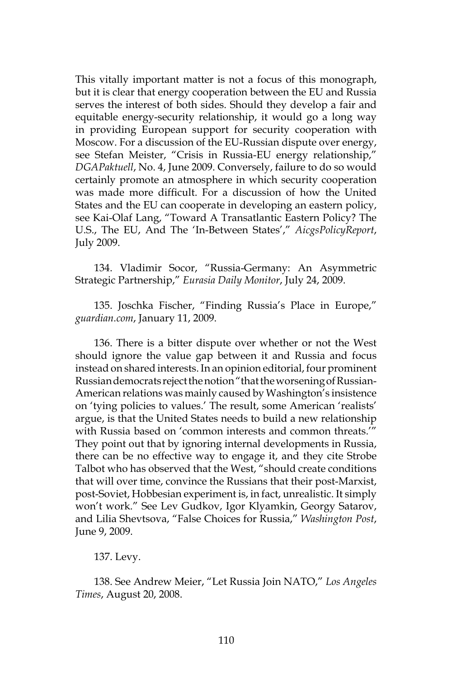This vitally important matter is not a focus of this monograph, but it is clear that energy cooperation between the EU and Russia serves the interest of both sides. Should they develop a fair and equitable energy-security relationship, it would go a long way in providing European support for security cooperation with Moscow. For a discussion of the EU-Russian dispute over energy, see Stefan Meister, "Crisis in Russia-EU energy relationship," *DGAPaktuell*, No. 4, June 2009. Conversely, failure to do so would certainly promote an atmosphere in which security cooperation was made more difficult. For a discussion of how the United States and the EU can cooperate in developing an eastern policy, see Kai-Olaf Lang, "Toward A Transatlantic Eastern Policy? The U.S., The EU, And The 'In-Between States'," *AicgsPolicyReport*, July 2009.

134. Vladimir Socor, "Russia-Germany: An Asymmetric Strategic Partnership," *Eurasia Daily Monitor*, July 24, 2009.

135. Joschka Fischer, "Finding Russia's Place in Europe," *guardian.com*, January 11, 2009.

136. There is a bitter dispute over whether or not the West should ignore the value gap between it and Russia and focus instead on shared interests. In an opinion editorial, four prominent Russian democrats reject the notion "that the worsening of Russian-American relations was mainly caused by Washington's insistence on 'tying policies to values.' The result, some American 'realists' argue, is that the United States needs to build a new relationship with Russia based on 'common interests and common threats.'" They point out that by ignoring internal developments in Russia, there can be no effective way to engage it, and they cite Strobe Talbot who has observed that the West, "should create conditions that will over time, convince the Russians that their post-Marxist, post-Soviet, Hobbesian experiment is, in fact, unrealistic. It simply won't work." See Lev Gudkov, Igor Klyamkin, Georgy Satarov, and Lilia Shevtsova, "False Choices for Russia," *Washington Post*, June 9, 2009.

137. Levy.

138. See Andrew Meier, "Let Russia Join NATO," *Los Angeles Times*, August 20, 2008.